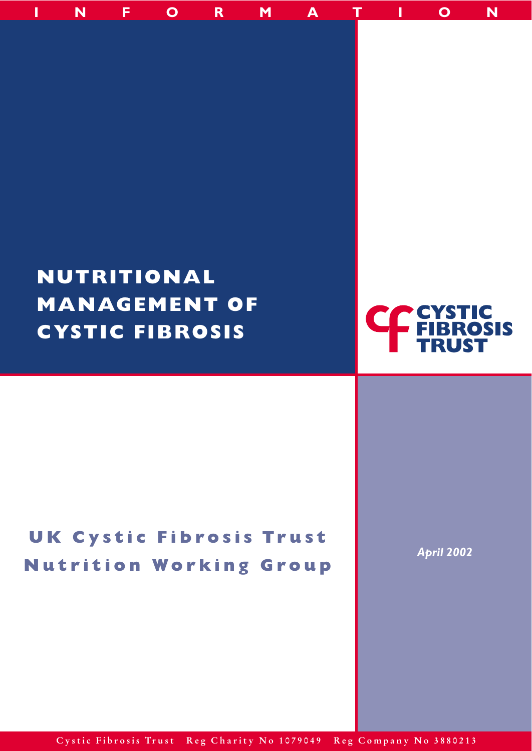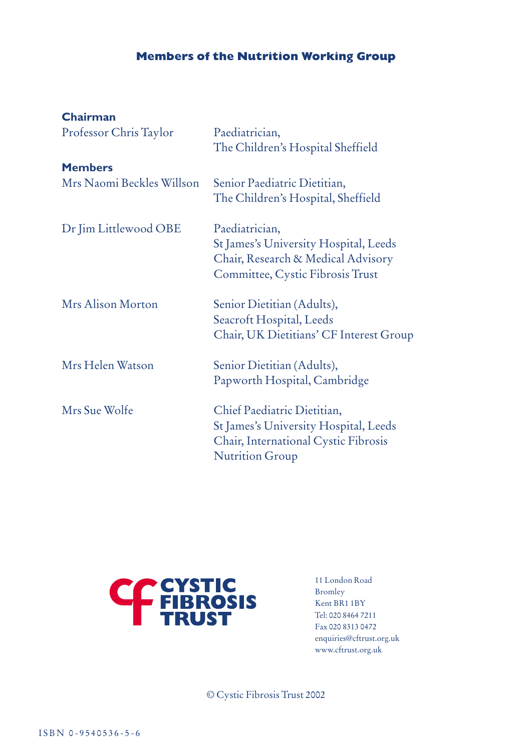# **Members of the Nutrition Working Group**

| Chairman                  |                                                                                                                                        |
|---------------------------|----------------------------------------------------------------------------------------------------------------------------------------|
| Professor Chris Taylor    | Paediatrician,<br>The Children's Hospital Sheffield                                                                                    |
| <b>Members</b>            |                                                                                                                                        |
| Mrs Naomi Beckles Willson | Senior Paediatric Dietitian,<br>The Children's Hospital, Sheffield                                                                     |
| Dr Jim Littlewood OBE     | Paediatrician,<br>St James's University Hospital, Leeds<br>Chair, Research & Medical Advisory<br>Committee, Cystic Fibrosis Trust      |
| Mrs Alison Morton         | Senior Dietitian (Adults),<br>Seacroft Hospital, Leeds<br>Chair, UK Dietitians' CF Interest Group                                      |
| Mrs Helen Watson          | Senior Dietitian (Adults),<br>Papworth Hospital, Cambridge                                                                             |
| Mrs Sue Wolfe             | Chief Paediatric Dietitian,<br>St James's University Hospital, Leeds<br>Chair, International Cystic Fibrosis<br><b>Nutrition Group</b> |



11 London Road Bromley Kent BR1 1BY Tel: 020 8464 7211 Fax 020 8313 0472 enquiries@cftrust.org.uk www.cftrust.org.uk

© Cystic Fibrosis Trust 2002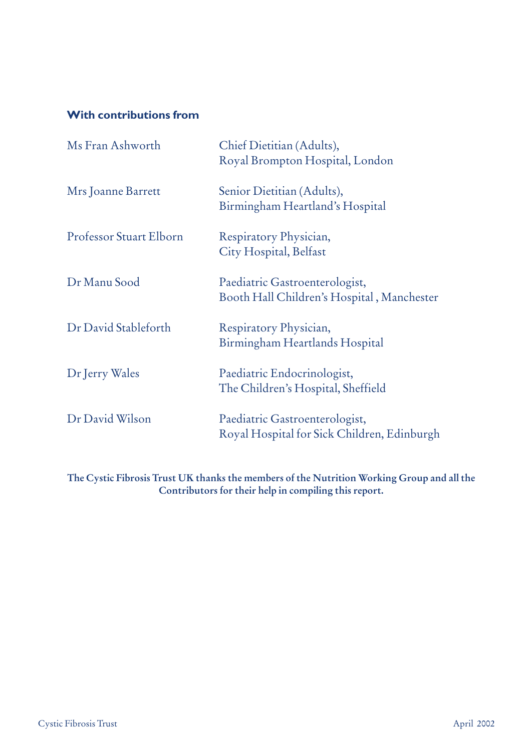# **With contributions from**

| Ms Fran Ashworth        | Chief Dietitian (Adults),<br>Royal Brompton Hospital, London                  |
|-------------------------|-------------------------------------------------------------------------------|
| Mrs Joanne Barrett      | Senior Dietitian (Adults),<br>Birmingham Heartland's Hospital                 |
| Professor Stuart Elborn | Respiratory Physician,<br>City Hospital, Belfast                              |
| Dr Manu Sood            | Paediatric Gastroenterologist,<br>Booth Hall Children's Hospital, Manchester  |
| Dr David Stableforth    | Respiratory Physician,<br>Birmingham Heartlands Hospital                      |
| Dr Jerry Wales          | Paediatric Endocrinologist,<br>The Children's Hospital, Sheffield             |
| Dr David Wilson         | Paediatric Gastroenterologist,<br>Royal Hospital for Sick Children, Edinburgh |
|                         |                                                                               |

**The Cystic Fibrosis Trust UK thanks the members of the Nutrition Working Group and all the Contributors for their help in compiling this report.**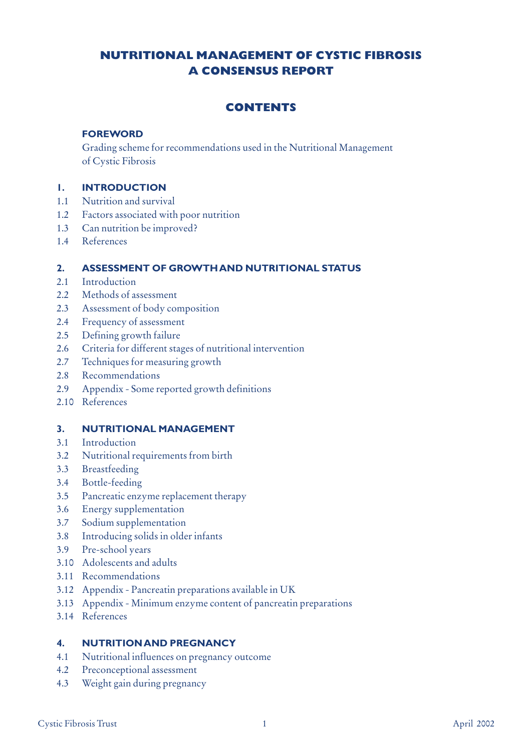## **NUTRITIONAL MANAGEMENT OF CYSTIC FIBROSIS A CONSENSUS REPORT**

## **CONTENTS**

## **FOREWORD**

Grading scheme for recommendations used in the Nutritional Management of Cystic Fibrosis

## **1. INTRODUCTION**

- 1.1 Nutrition and survival
- 1.2 Factors associated with poor nutrition
- 1.3 Can nutrition be improved?
- 1.4 References

## **2. ASSESSMENT OF GROWTH AND NUTRITIONAL STATUS**

- 2.1 Introduction
- 2.2 Methods of assessment
- 2.3 Assessment of body composition
- 2.4 Frequency of assessment
- 2.5 Defining growth failure
- 2.6 Criteria for different stages of nutritional intervention
- 2.7 Techniques for measuring growth
- 2.8 Recommendations
- 2.9 Appendix Some reported growth definitions
- 2.10 References

#### **3. NUTRITIONAL MANAGEMENT**

- 3.1 Introduction
- 3.2 Nutritional requirements from birth
- 3.3 Breastfeeding
- 3.4 Bottle-feeding
- 3.5 Pancreatic enzyme replacement therapy
- 3.6 Energy supplementation
- 3.7 Sodium supplementation
- 3.8 Introducing solids in older infants
- 3.9 Pre-school years
- 3.10 Adolescents and adults
- 3.11 Recommendations
- 3.12 Appendix Pancreatin preparations available in UK
- 3.13 Appendix Minimum enzyme content of pancreatin preparations
- 3.14 References

#### **4. NUTRITION AND PREGNANCY**

- 4.1 Nutritional influences on pregnancy outcome
- 4.2 Preconceptional assessment
- 4.3 Weight gain during pregnancy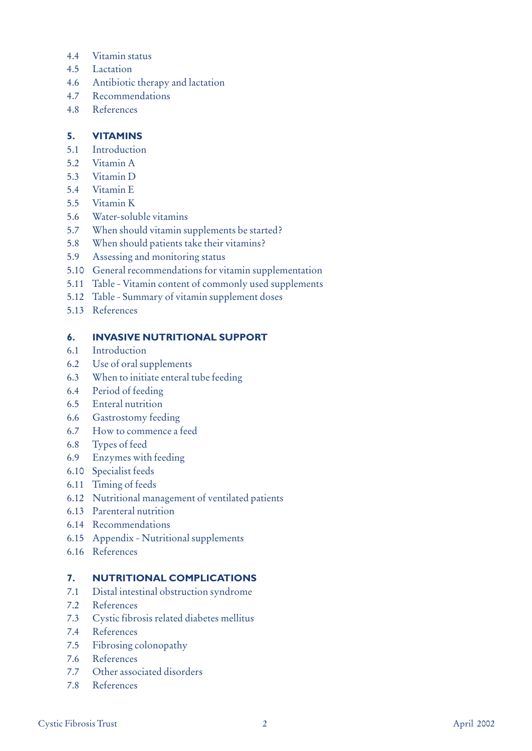- 4.4 Vitamin status
- 4.5 Lactation
- 4.6 Antibiotic therapy and lactation
- 4.7 Recommendations
- 4.8 References

## **5. VITAMINS**

- 5.1 Introduction
- 5.2 Vitamin A
- 5.3 Vitamin D
- 5.4 Vitamin E
- 5.5 Vitamin K
- 5.6 Water-soluble vitamins
- 5.7 When should vitamin supplements be started?
- 5.8 When should patients take their vitamins?
- 5.9 Assessing and monitoring status
- 5.10 General recommendations for vitamin supplementation
- 5.11 Table Vitamin content of commonly used supplements
- 5.12 Table Summary of vitamin supplement doses
- 5.13 References

## **6. INVASIVE NUTRITIONAL SUPPORT**

- 6.1 Introduction
- 6.2 Use of oral supplements
- 6.3 When to initiate enteral tube feeding
- 6.4 Period of feeding
- 6.5 Enteral nutrition
- 6.6 Gastrostomy feeding
- 6.7 How to commence a feed
- 6.8 Types of feed
- 6.9 Enzymes with feeding
- 6.10 Specialist feeds
- 6.11 Timing of feeds
- 6.12 Nutritional management of ventilated patients
- 6.13 Parenteral nutrition
- 6.14 Recommendations
- 6.15 Appendix Nutritional supplements
- 6.16 References

## **7. NUTRITIONAL COMPLICATIONS**

- 7.1 Distal intestinal obstruction syndrome
- 7.2 References
- 7.3 Cystic fibrosis related diabetes mellitus
- 7.4 References
- 7.5 Fibrosing colonopathy
- 7.6 References
- 7.7 Other associated disorders
- 7.8 References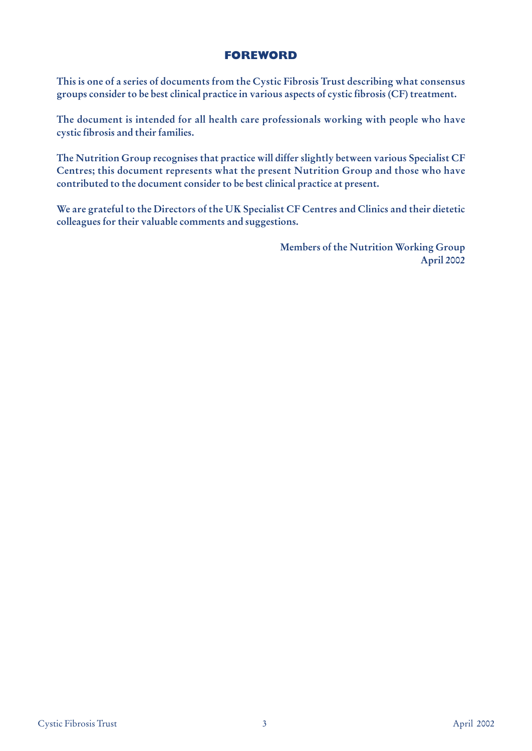## **FOREWORD**

**This is one of a series of documents from the Cystic Fibrosis Trust describing what consensus groups consider to be best clinical practice in various aspects of cystic fibrosis (CF) treatment.** 

**The document is intended for all health care professionals working with people who have cystic fibrosis and their families.** 

**The Nutrition Group recognises that practice will differ slightly between various Specialist CF Centres; this document represents what the present Nutrition Group and those who have contributed to the document consider to be best clinical practice at present.**

**We are grateful to the Directors of the UK Specialist CF Centres and Clinics and their dietetic colleagues for their valuable comments and suggestions.**

> **Members of the Nutrition Working Group April 2002**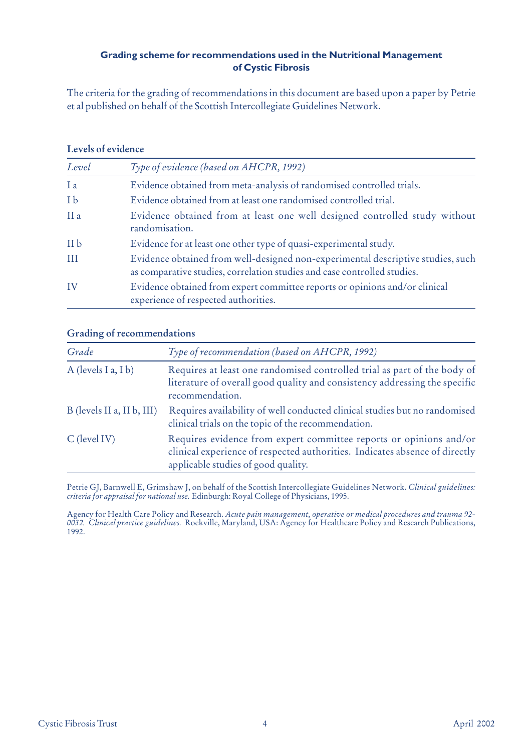## **Grading scheme for recommendations used in the Nutritional Management of Cystic Fibrosis**

The criteria for the grading of recommendations in this document are based upon a paper by Petrie et al published on behalf of the Scottish Intercollegiate Guidelines Network.

#### **Levels of evidence**

| Level           | Type of evidence (based on AHCPR, 1992)                                                                                                                     |
|-----------------|-------------------------------------------------------------------------------------------------------------------------------------------------------------|
| I a             | Evidence obtained from meta-analysis of randomised controlled trials.                                                                                       |
| I b             | Evidence obtained from at least one randomised controlled trial.                                                                                            |
| II <sub>a</sub> | Evidence obtained from at least one well designed controlled study without<br>randomisation.                                                                |
| II <sub>b</sub> | Evidence for at least one other type of quasi-experimental study.                                                                                           |
| III             | Evidence obtained from well-designed non-experimental descriptive studies, such<br>as comparative studies, correlation studies and case controlled studies. |
| IV              | Evidence obtained from expert committee reports or opinions and/or clinical<br>experience of respected authorities.                                         |

## **Grading of recommendations**

| Grade                      | Type of recommendation (based on AHCPR, 1992)                                                                                                                                            |
|----------------------------|------------------------------------------------------------------------------------------------------------------------------------------------------------------------------------------|
| A (levels I a, I b)        | Requires at least one randomised controlled trial as part of the body of<br>literature of overall good quality and consistency addressing the specific<br>recommendation.                |
| B (levels II a, II b, III) | Requires availability of well conducted clinical studies but no randomised<br>clinical trials on the topic of the recommendation.                                                        |
| $C$ (level IV)             | Requires evidence from expert committee reports or opinions and/or<br>clinical experience of respected authorities. Indicates absence of directly<br>applicable studies of good quality. |

Petrie GJ, Barnwell E, Grimshaw J, on behalf of the Scottish Intercollegiate Guidelines Network. *Clinical guidelines: criteria for appraisal for national use.* Edinburgh: Royal College of Physicians, 1995.

Agency for Health Care Policy and Research. *Acute pain management, operative or medical procedures and trauma 92- 0032. Clinical practice guidelines.* Rockville, Maryland, USA: Agency for Healthcare Policy and Research Publications, 1992.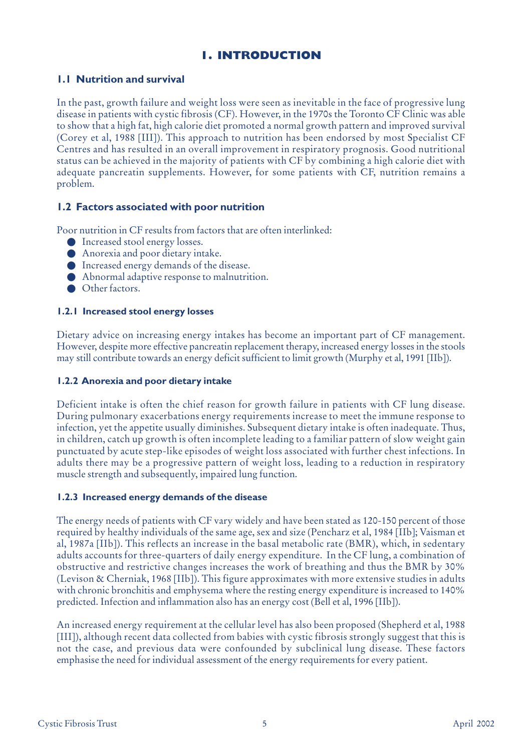## **1. INTRODUCTION**

## **1.1 Nutrition and survival**

In the past, growth failure and weight loss were seen as inevitable in the face of progressive lung disease in patients with cystic fibrosis (CF). However, in the 1970s the Toronto CF Clinic was able to show that a high fat, high calorie diet promoted a normal growth pattern and improved survival (Corey et al, 1988 [III]). This approach to nutrition has been endorsed by most Specialist CF Centres and has resulted in an overall improvement in respiratory prognosis. Good nutritional status can be achieved in the majority of patients with CF by combining a high calorie diet with adequate pancreatin supplements. However, for some patients with CF, nutrition remains a problem.

## **1.2 Factors associated with poor nutrition**

Poor nutrition in CF results from factors that are often interlinked:

- Increased stool energy losses.
- Anorexia and poor dietary intake.
- Increased energy demands of the disease.
- Abnormal adaptive response to malnutrition.
- Other factors.

#### **1.2.1 Increased stool energy losses**

Dietary advice on increasing energy intakes has become an important part of CF management. However, despite more effective pancreatin replacement therapy, increased energy losses in the stools may still contribute towards an energy deficit sufficient to limit growth (Murphy et al, 1991 [IIb]).

## **1.2.2 Anorexia and poor dietary intake**

Deficient intake is often the chief reason for growth failure in patients with CF lung disease. During pulmonary exacerbations energy requirements increase to meet the immune response to infection, yet the appetite usually diminishes. Subsequent dietary intake is often inadequate. Thus, in children, catch up growth is often incomplete leading to a familiar pattern of slow weight gain punctuated by acute step-like episodes of weight loss associated with further chest infections. In adults there may be a progressive pattern of weight loss, leading to a reduction in respiratory muscle strength and subsequently, impaired lung function.

#### **1.2.3 Increased energy demands of the disease**

The energy needs of patients with CF vary widely and have been stated as 120-150 percent of those required by healthy individuals of the same age, sex and size (Pencharz et al, 1984 [IIb]; Vaisman et al, 1987a [IIb]). This reflects an increase in the basal metabolic rate (BMR), which, in sedentary adults accounts for three-quarters of daily energy expenditure. In the CF lung, a combination of obstructive and restrictive changes increases the work of breathing and thus the BMR by 30% (Levison & Cherniak, 1968 [IIb]). This figure approximates with more extensive studies in adults with chronic bronchitis and emphysema where the resting energy expenditure is increased to 140% predicted. Infection and inflammation also has an energy cost (Bell et al, 1996 [IIb]).

An increased energy requirement at the cellular level has also been proposed (Shepherd et al, 1988 [III]), although recent data collected from babies with cystic fibrosis strongly suggest that this is not the case, and previous data were confounded by subclinical lung disease. These factors emphasise the need for individual assessment of the energy requirements for every patient.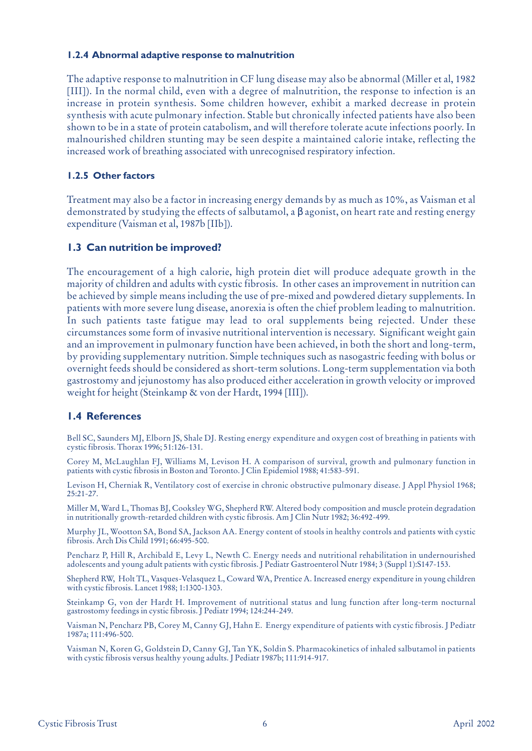#### **1.2.4 Abnormal adaptive response to malnutrition**

The adaptive response to malnutrition in CF lung disease may also be abnormal (Miller et al, 1982 [III]). In the normal child, even with a degree of malnutrition, the response to infection is an increase in protein synthesis. Some children however, exhibit a marked decrease in protein synthesis with acute pulmonary infection. Stable but chronically infected patients have also been shown to be in a state of protein catabolism, and will therefore tolerate acute infections poorly. In malnourished children stunting may be seen despite a maintained calorie intake, reflecting the increased work of breathing associated with unrecognised respiratory infection.

#### **1.2.5 Other factors**

Treatment may also be a factor in increasing energy demands by as much as 10%, as Vaisman et al demonstrated by studying the effects of salbutamol, a β agonist, on heart rate and resting energy expenditure (Vaisman et al, 1987b [IIb]).

## **1.3 Can nutrition be improved?**

The encouragement of a high calorie, high protein diet will produce adequate growth in the majority of children and adults with cystic fibrosis. In other cases an improvement in nutrition can be achieved by simple means including the use of pre-mixed and powdered dietary supplements. In patients with more severe lung disease, anorexia is often the chief problem leading to malnutrition. In such patients taste fatigue may lead to oral supplements being rejected. Under these circumstances some form of invasive nutritional intervention is necessary. Significant weight gain and an improvement in pulmonary function have been achieved, in both the short and long-term, by providing supplementary nutrition. Simple techniques such as nasogastric feeding with bolus or overnight feeds should be considered as short-term solutions. Long-term supplementation via both gastrostomy and jejunostomy has also produced either acceleration in growth velocity or improved weight for height (Steinkamp & von der Hardt, 1994 [III]).

#### **1.4 References**

Bell SC, Saunders MJ, Elborn JS, Shale DJ. Resting energy expenditure and oxygen cost of breathing in patients with cystic fibrosis. Thorax 1996; 51:126-131.

Corey M, McLaughlan FJ, Williams M, Levison H. A comparison of survival, growth and pulmonary function in patients with cystic fibrosis in Boston and Toronto. J Clin Epidemiol 1988; 41:583-591.

Levison H, Cherniak R, Ventilatory cost of exercise in chronic obstructive pulmonary disease. J Appl Physiol 1968; 25:21-27.

Miller M, Ward L, Thomas BJ, Cooksley WG, Shepherd RW. Altered body composition and muscle protein degradation in nutritionally growth-retarded children with cystic fibrosis. Am J Clin Nutr 1982; 36:492-499.

Murphy JL, Wootton SA, Bond SA, Jackson AA. Energy content of stools in healthy controls and patients with cystic fibrosis. Arch Dis Child 1991; 66:495-500.

Pencharz P, Hill R, Archibald E, Levy L, Newth C. Energy needs and nutritional rehabilitation in undernourished adolescents and young adult patients with cystic fibrosis. J Pediatr Gastroenterol Nutr 1984; 3 (Suppl 1):S147-153.

Shepherd RW, Holt TL, Vasques-Velasquez L, Coward WA, Prentice A. Increased energy expenditure in young children with cystic fibrosis. Lancet 1988; 1:1300-1303.

Steinkamp G, von der Hardt H. Improvement of nutritional status and lung function after long-term nocturnal gastrostomy feedings in cystic fibrosis. J Pediatr 1994; 124:244-249.

Vaisman N, Pencharz PB, Corey M, Canny GJ, Hahn E. Energy expenditure of patients with cystic fibrosis. J Pediatr 1987a; 111:496-500.

Vaisman N, Koren G, Goldstein D, Canny GJ, Tan YK, Soldin S. Pharmacokinetics of inhaled salbutamol in patients with cystic fibrosis versus healthy young adults. J Pediatr 1987b; 111:914-917.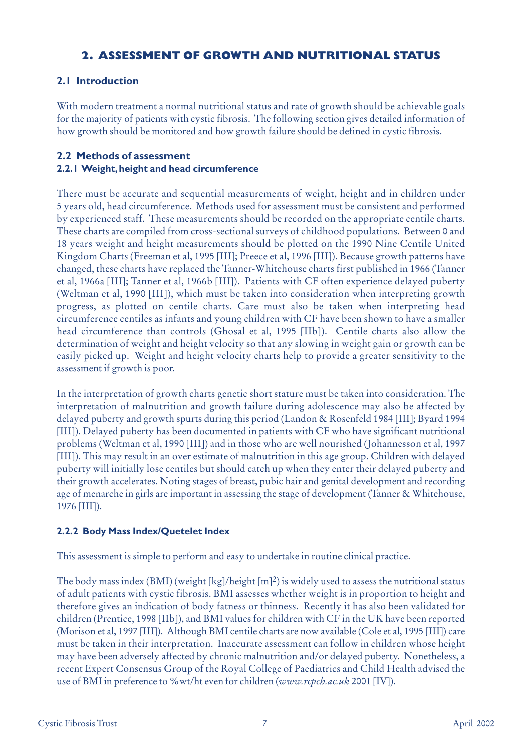## **2. ASSESSMENT OF GROWTH AND NUTRITIONAL STATUS**

## **2.1 Introduction**

With modern treatment a normal nutritional status and rate of growth should be achievable goals for the majority of patients with cystic fibrosis. The following section gives detailed information of how growth should be monitored and how growth failure should be defined in cystic fibrosis.

## **2.2 Methods of assessment 2.2.1 Weight,height and head circumference**

## There must be accurate and sequential measurements of weight, height and in children under 5 years old, head circumference. Methods used for assessment must be consistent and performed by experienced staff. These measurements should be recorded on the appropriate centile charts. These charts are compiled from cross-sectional surveys of childhood populations. Between 0 and 18 years weight and height measurements should be plotted on the 1990 Nine Centile United Kingdom Charts (Freeman et al, 1995 [III]; Preece et al, 1996 [III]). Because growth patterns have changed, these charts have replaced the Tanner-Whitehouse charts first published in 1966 (Tanner et al, 1966a [III]; Tanner et al, 1966b [III]). Patients with CF often experience delayed puberty (Weltman et al, 1990 [III]), which must be taken into consideration when interpreting growth progress, as plotted on centile charts. Care must also be taken when interpreting head circumference centiles as infants and young children with CF have been shown to have a smaller head circumference than controls (Ghosal et al, 1995 [IIb]). Centile charts also allow the determination of weight and height velocity so that any slowing in weight gain or growth can be easily picked up. Weight and height velocity charts help to provide a greater sensitivity to the assessment if growth is poor.

In the interpretation of growth charts genetic short stature must be taken into consideration. The interpretation of malnutrition and growth failure during adolescence may also be affected by delayed puberty and growth spurts during this period (Landon & Rosenfeld 1984 [III]; Byard 1994 [III]). Delayed puberty has been documented in patients with CF who have significant nutritional problems (Weltman et al, 1990 [III]) and in those who are well nourished (Johannesson et al, 1997 [III]). This may result in an over estimate of malnutrition in this age group. Children with delayed puberty will initially lose centiles but should catch up when they enter their delayed puberty and their growth accelerates. Noting stages of breast, pubic hair and genital development and recording age of menarche in girls are important in assessing the stage of development (Tanner & Whitehouse, 1976 [III]).

## **2.2.2 Body Mass Index/Quetelet Index**

This assessment is simple to perform and easy to undertake in routine clinical practice.

The body mass index (BMI) (weight [kg]/height [m]<sup>2</sup>) is widely used to assess the nutritional status of adult patients with cystic fibrosis. BMI assesses whether weight is in proportion to height and therefore gives an indication of body fatness or thinness. Recently it has also been validated for children (Prentice, 1998 [IIb]), and BMI values for children with CF in the UK have been reported (Morison et al, 1997 [III]). Although BMI centile charts are now available (Cole et al, 1995 [III]) care must be taken in their interpretation. Inaccurate assessment can follow in children whose height may have been adversely affected by chronic malnutrition and/or delayed puberty. Nonetheless, a recent Expert Consensus Group of the Royal College of Paediatrics and Child Health advised the use of BMI in preference to %wt/ht even for children (*www.rcpch.ac.uk* 2001 [IV]).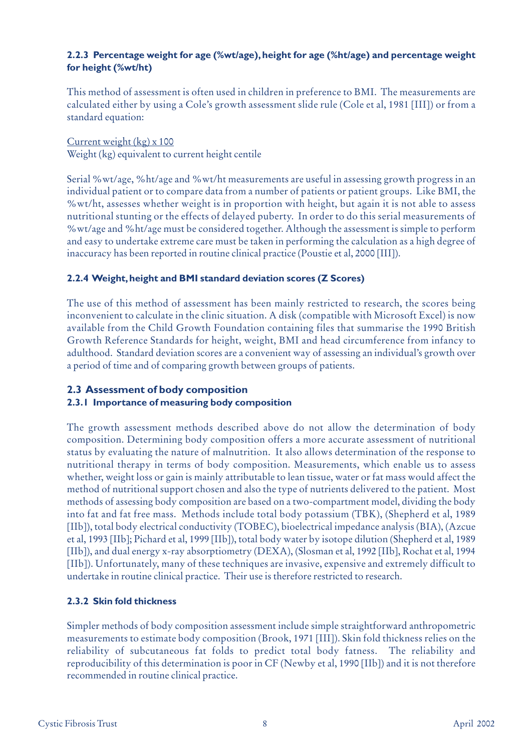## **2.2.3 Percentage weight for age (%wt/age),height for age (%ht/age) and percentage weight for height (%wt/ht)**

This method of assessment is often used in children in preference to BMI. The measurements are calculated either by using a Cole's growth assessment slide rule (Cole et al, 1981 [III]) or from a standard equation:

Current weight (kg) x 100

Weight (kg) equivalent to current height centile

Serial %wt/age, %ht/age and %wt/ht measurements are useful in assessing growth progress in an individual patient or to compare data from a number of patients or patient groups. Like BMI, the %wt/ht, assesses whether weight is in proportion with height, but again it is not able to assess nutritional stunting or the effects of delayed puberty. In order to do this serial measurements of %wt/age and %ht/age must be considered together. Although the assessment is simple to perform and easy to undertake extreme care must be taken in performing the calculation as a high degree of inaccuracy has been reported in routine clinical practice (Poustie et al, 2000 [III]).

## **2.2.4 Weight,height and BMI standard deviation scores (Z Scores)**

The use of this method of assessment has been mainly restricted to research, the scores being inconvenient to calculate in the clinic situation. A disk (compatible with Microsoft Excel) is now available from the Child Growth Foundation containing files that summarise the 1990 British Growth Reference Standards for height, weight, BMI and head circumference from infancy to adulthood. Standard deviation scores are a convenient way of assessing an individual's growth over a period of time and of comparing growth between groups of patients.

# **2.3 Assessment of body composition**

# **2.3.1 Importance of measuring body composition**

The growth assessment methods described above do not allow the determination of body composition. Determining body composition offers a more accurate assessment of nutritional status by evaluating the nature of malnutrition. It also allows determination of the response to nutritional therapy in terms of body composition. Measurements, which enable us to assess whether, weight loss or gain is mainly attributable to lean tissue, water or fat mass would affect the method of nutritional support chosen and also the type of nutrients delivered to the patient. Most methods of assessing body composition are based on a two-compartment model, dividing the body into fat and fat free mass. Methods include total body potassium (TBK), (Shepherd et al, 1989 [IIb]), total body electrical conductivity (TOBEC), bioelectrical impedance analysis (BIA), (Azcue et al, 1993 [IIb]; Pichard et al, 1999 [IIb]), total body water by isotope dilution (Shepherd et al, 1989 [IIb]), and dual energy x-ray absorptiometry (DEXA), (Slosman et al, 1992 [IIb], Rochat et al, 1994 [IIb]). Unfortunately, many of these techniques are invasive, expensive and extremely difficult to undertake in routine clinical practice. Their use is therefore restricted to research.

## **2.3.2 Skin fold thickness**

Simpler methods of body composition assessment include simple straightforward anthropometric measurements to estimate body composition (Brook, 1971 [III]). Skin fold thickness relies on the reliability of subcutaneous fat folds to predict total body fatness. The reliability and reproducibility of this determination is poor in CF (Newby et al, 1990 [IIb]) and it is not therefore recommended in routine clinical practice.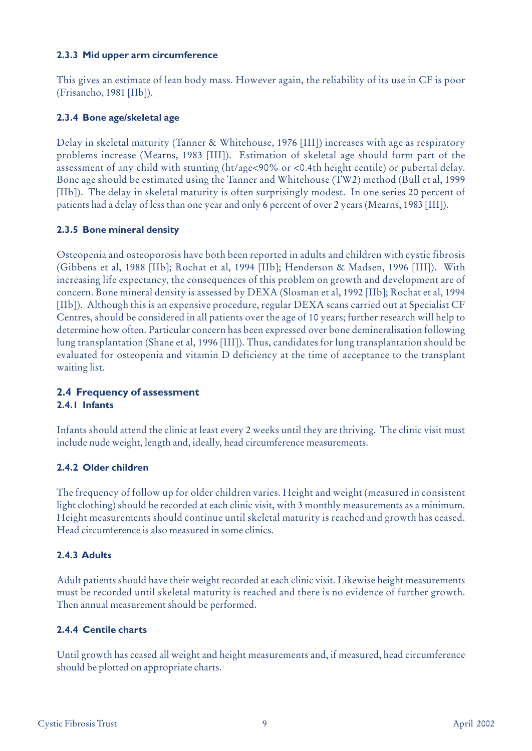## **2.3.3 Mid upper arm circumference**

This gives an estimate of lean body mass. However again, the reliability of its use in CF is poor (Frisancho, 1981 [IIb]).

## **2.3.4 Bone age/skeletal age**

Delay in skeletal maturity (Tanner & Whitehouse, 1976 [III]) increases with age as respiratory problems increase (Mearns, 1983 [III]). Estimation of skeletal age should form part of the assessment of any child with stunting (ht/age<90% or <0.4th height centile) or pubertal delay. Bone age should be estimated using the Tanner and Whitehouse (TW2) method (Bull et al, 1999 [IIb]). The delay in skeletal maturity is often surprisingly modest. In one series 20 percent of patients had a delay of less than one year and only 6 percent of over 2 years (Mearns, 1983 [III]).

## **2.3.5 Bone mineral density**

Osteopenia and osteoporosis have both been reported in adults and children with cystic fibrosis (Gibbens et al, 1988 [IIb]; Rochat et al, 1994 [IIb]; Henderson & Madsen, 1996 [III]). With increasing life expectancy, the consequences of this problem on growth and development are of concern. Bone mineral density is assessed by DEXA (Slosman et al, 1992 [IIb]; Rochat et al, 1994 [IIb]). Although this is an expensive procedure, regular DEXA scans carried out at Specialist CF Centres, should be considered in all patients over the age of 10 years; further research will help to determine how often. Particular concern has been expressed over bone demineralisation following lung transplantation (Shane et al, 1996 [III]). Thus, candidates for lung transplantation should be evaluated for osteopenia and vitamin D deficiency at the time of acceptance to the transplant waiting list.

## **2.4 Frequency of assessment 2.4.1 Infants**

Infants should attend the clinic at least every 2 weeks until they are thriving. The clinic visit must include nude weight, length and, ideally, head circumference measurements.

## **2.4.2 Older children**

The frequency of follow up for older children varies. Height and weight (measured in consistent light clothing) should be recorded at each clinic visit, with 3 monthly measurements as a minimum. Height measurements should continue until skeletal maturity is reached and growth has ceased. Head circumference is also measured in some clinics.

## **2.4.3 Adults**

Adult patients should have their weight recorded at each clinic visit. Likewise height measurements must be recorded until skeletal maturity is reached and there is no evidence of further growth. Then annual measurement should be performed.

#### **2.4.4 Centile charts**

Until growth has ceased all weight and height measurements and, if measured, head circumference should be plotted on appropriate charts.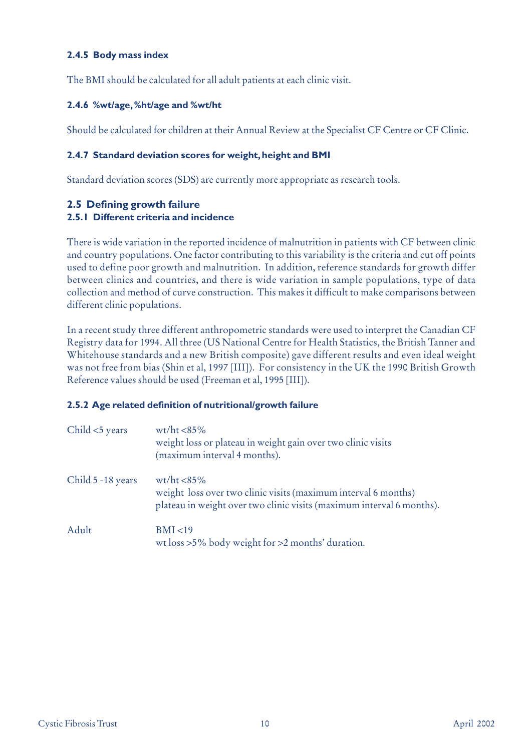## **2.4.5 Body mass index**

The BMI should be calculated for all adult patients at each clinic visit.

## **2.4.6 %wt/age,%ht/age and %wt/ht**

Should be calculated for children at their Annual Review at the Specialist CF Centre or CF Clinic.

## **2.4.7 Standard deviation scores for weight,height and BMI**

Standard deviation scores (SDS) are currently more appropriate as research tools.

## **2.5 Defining growth failure**

## **2.5.1 Different criteria and incidence**

There is wide variation in the reported incidence of malnutrition in patients with CF between clinic and country populations. One factor contributing to this variability is the criteria and cut off points used to define poor growth and malnutrition. In addition, reference standards for growth differ between clinics and countries, and there is wide variation in sample populations, type of data collection and method of curve construction. This makes it difficult to make comparisons between different clinic populations.

In a recent study three different anthropometric standards were used to interpret the Canadian CF Registry data for 1994. All three (US National Centre for Health Statistics, the British Tanner and Whitehouse standards and a new British composite) gave different results and even ideal weight was not free from bias (Shin et al, 1997 [III]). For consistency in the UK the 1990 British Growth Reference values should be used (Freeman et al, 1995 [III]).

#### **2.5.2 Age related definition of nutritional/growth failure**

| Child <5 years    | $\text{wt} / \text{ht} < 85\%$<br>weight loss or plateau in weight gain over two clinic visits<br>(maximum interval 4 months).                            |
|-------------------|-----------------------------------------------------------------------------------------------------------------------------------------------------------|
| Child 5 -18 years | $wt/ht < 85\%$<br>weight loss over two clinic visits (maximum interval 6 months)<br>plateau in weight over two clinic visits (maximum interval 6 months). |
| Adult             | BMI < 19<br>wt loss >5% body weight for >2 months' duration.                                                                                              |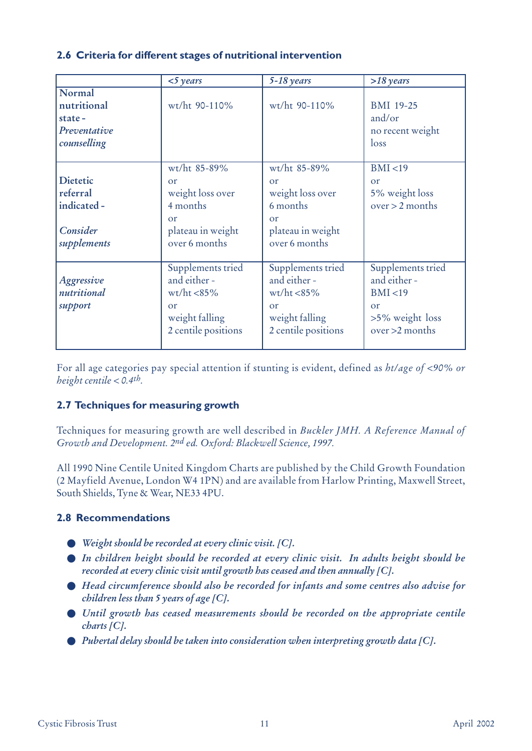## **2.6 Criteria for different stages of nutritional intervention**

|                                                                       | $<$ 5 years                                                                                        | $5-18$ years                                                                                               | $>18$ years                                                                                          |
|-----------------------------------------------------------------------|----------------------------------------------------------------------------------------------------|------------------------------------------------------------------------------------------------------------|------------------------------------------------------------------------------------------------------|
| Normal<br>nutritional<br>state-<br>Preventative<br>counselling        | wt/ht 90-110%                                                                                      | wt/ht 90-110%                                                                                              | <b>BMI 19-25</b><br>and/or<br>no recent weight<br>loss                                               |
| <b>Dietetic</b><br>referral<br>indicated -<br>Consider<br>supplements | wt/ht 85-89%<br>or<br>weight loss over<br>4 months<br>or<br>plateau in weight<br>over 6 months     | wt/ht 85-89%<br>or<br>weight loss over<br>6 months<br>$\alpha$ r<br>plateau in weight<br>over 6 months     | BMI < 19<br>$\alpha$<br>5% weight loss<br>$over > 2$ months                                          |
| Aggressive<br>nutritional<br>support                                  | Supplements tried<br>and either -<br>$wt/ht < 85\%$<br>or<br>weight falling<br>2 centile positions | Supplements tried<br>and either -<br>$wt/ht < 85\%$<br>$\alpha$ r<br>weight falling<br>2 centile positions | Supplements tried<br>and either -<br>BMI < 19<br>$\alpha$<br>$>5\%$ weight loss<br>$over > 2$ months |

For all age categories pay special attention if stunting is evident, defined as *ht/age of <90% or height centile < 0.4th.* 

## **2.7 Techniques for measuring growth**

Techniques for measuring growth are well described in *Buckler JMH. A Reference Manual of Growth and Development. 2nd ed. Oxford: Blackwell Science, 1997.*

All 1990 Nine Centile United Kingdom Charts are published by the Child Growth Foundation (2 Mayfield Avenue, London W4 1PN) and are available from Harlow Printing, Maxwell Street, South Shields, Tyne & Wear, NE33 4PU.

## **2.8 Recommendations**

- *Weight should be recorded at every clinic visit. [C].*
- *In children height should be recorded at every clinic visit. In adults height should be recorded at every clinic visit until growth has ceased and then annually [C].*
- *Head circumference should also be recorded for infants and some centres also advise for children less than 5 years of age [C].*
- *Until growth has ceased measurements should be recorded on the appropriate centile charts [C].*
- *Pubertal delay should be taken into consideration when interpreting growth data [C].*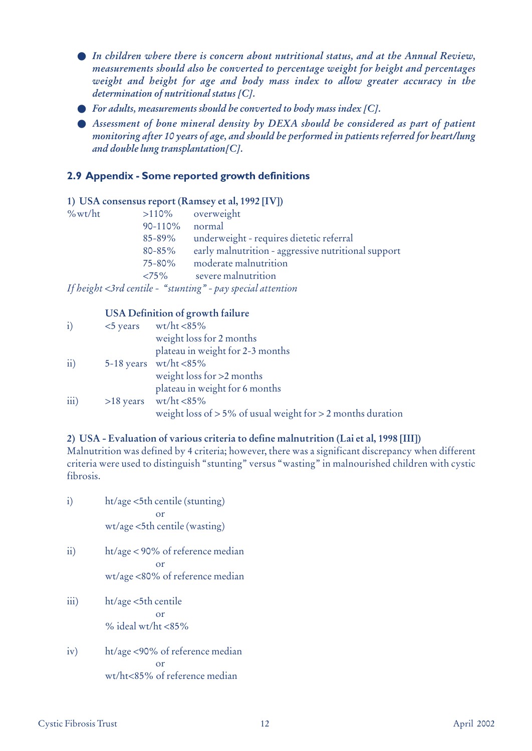- *In children where there is concern about nutritional status, and at the Annual Review, measurements should also be converted to percentage weight for height and percentages weight and height for age and body mass index to allow greater accuracy in the determination of nutritional status [C].*
- *For adults, measurements should be converted to body mass index [C].*
- *Assessment of bone mineral density by DEXA should be considered as part of patient monitoring after 10 years of age, and should be performed in patients referred for heart/lung and double lung transplantation[C].*

## **2.9 Appendix - Some reported growth definitions**

#### **1) USA consensus report (Ramsey et al, 1992 [IV])**

| $\%$ wt/ht | >110%       | overweight                                                  |
|------------|-------------|-------------------------------------------------------------|
|            | 90-110%     | normal                                                      |
|            | $85 - 89\%$ | underweight - requires dietetic referral                    |
|            | $80 - 85%$  | early malnutrition - aggressive nutritional support         |
|            | 75-80%      | moderate malnutrition                                       |
|            | ${<}75\%$   | severe malnutrition                                         |
|            |             | If height <3rd centile - "stunting" - pay special attention |

## **USA Definition of growth failure**

| $\ddot{i}$           | $\langle$ 5 years wt/ht $\langle$ 85%                            |
|----------------------|------------------------------------------------------------------|
|                      | weight loss for 2 months                                         |
|                      | plateau in weight for 2-3 months                                 |
| $\dddot{\text{ii}})$ | 5-18 years wt/ht $<85\%$                                         |
|                      | weight loss for $>2$ months                                      |
|                      | plateau in weight for 6 months                                   |
| $\overline{iii}$ )   | $>18$ years wt/ht <85%                                           |
|                      | weight loss of $> 5\%$ of usual weight for $> 2$ months duration |

#### **2) USA - Evaluation of various criteria to define malnutrition (Lai et al, 1998 [III])**

Malnutrition was defined by 4 criteria; however, there was a significant discrepancy when different criteria were used to distinguish "stunting" versus "wasting" in malnourished children with cystic fibrosis.

i) ht/age <5th centile (stunting) or wt/age <5th centile (wasting) ii) ht/age < 90% of reference median

> or wt/age <80% of reference median

- iii) ht/age <5th centile or % ideal wt/ht  $<85%$
- iv) ht/age <90% of reference median or wt/ht<85% of reference median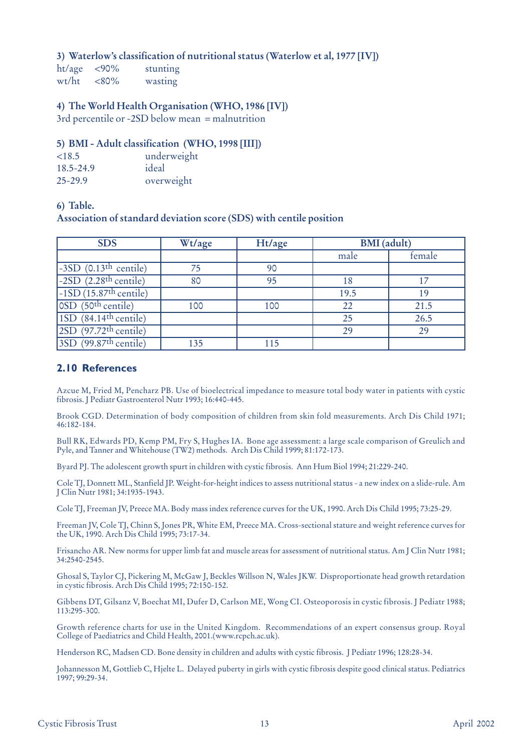## **3) Waterlow's classification of nutritional status (Waterlow et al, 1977 [IV])**

ht/age <90% stunting wt/ht <80% wasting

## **4) The World Health Organisation (WHO, 1986 [IV])**

3rd percentile or -2SD below mean = malnutrition

## **5) BMI - Adult classification (WHO, 1998 [III])**

| <18.5       | underweight |
|-------------|-------------|
| 18.5-24.9   | ideal       |
| $25 - 29.9$ | overweight  |

#### **6) Table.**

**Association of standard deviation score (SDS) with centile position**

| <b>SDS</b>                          | Wt/age | Ht/age | <b>BMI</b> (adult) |        |
|-------------------------------------|--------|--------|--------------------|--------|
|                                     |        |        | male               | female |
| $-3SD$ (0.13 <sup>th</sup> centile) | 75     | 90     |                    |        |
| $-2SD$ (2.28 <sup>th</sup> centile) | 80     | 95     | 18                 | 17     |
| $-1SD(15.87th centile)$             |        |        | 19.5               | 19     |
| $OSD$ (50 <sup>th</sup> centile)    | 100    | 100    | 22                 | 21.5   |
| $1SD$ (84.14 <sup>th</sup> centile) |        |        | 25                 | 26.5   |
| $2SD$ (97.72 <sup>th</sup> centile) |        |        | 29                 | 29     |
| $3SD$ (99.87 <sup>th</sup> centile) | 135    | 115    |                    |        |

## **2.10 References**

Azcue M, Fried M, Pencharz PB. Use of bioelectrical impedance to measure total body water in patients with cystic fibrosis. J Pediatr Gastroenterol Nutr 1993; 16:440-445.

Brook CGD. Determination of body composition of children from skin fold measurements. Arch Dis Child 1971; 46:182-184.

Bull RK, Edwards PD, Kemp PM, Fry S, Hughes IA. Bone age assessment: a large scale comparison of Greulich and Pyle, and Tanner and Whitehouse (TW2) methods. Arch Dis Child 1999; 81:172-173.

Byard PJ. The adolescent growth spurt in children with cystic fibrosis. Ann Hum Biol 1994; 21:229-240.

Cole TJ, Donnett ML, Stanfield JP. Weight-for-height indices to assess nutritional status - a new index on a slide-rule. Am J Clin Nutr 1981; 34:1935-1943.

Cole TJ, Freeman JV, Preece MA. Body mass index reference curves for the UK, 1990. Arch Dis Child 1995; 73:25-29.

Freeman JV, Cole TJ, Chinn S, Jones PR, White EM, Preece MA. Cross-sectional stature and weight reference curves for the UK, 1990. Arch Dis Child 1995; 73:17-34.

Frisancho AR. New norms for upper limb fat and muscle areas for assessment of nutritional status. Am J Clin Nutr 1981; 34:2540-2545.

Ghosal S, Taylor CJ, Pickering M, McGaw J, Beckles Willson N, Wales JKW. Disproportionate head growth retardation in cystic fibrosis. Arch Dis Child 1995; 72:150-152.

Gibbens DT, Gilsanz V, Boechat MI, Dufer D, Carlson ME, Wong CI. Osteoporosis in cystic fibrosis. J Pediatr 1988; 113:295-300.

Growth reference charts for use in the United Kingdom. Recommendations of an expert consensus group. Royal College of Paediatrics and Child Health, 2001.(www.rcpch.ac.uk).

Henderson RC, Madsen CD. Bone density in children and adults with cystic fibrosis. J Pediatr 1996; 128:28-34.

Johannesson M, Gottlieb C, Hjelte L. Delayed puberty in girls with cystic fibrosis despite good clinical status. Pediatrics 1997; 99:29-34.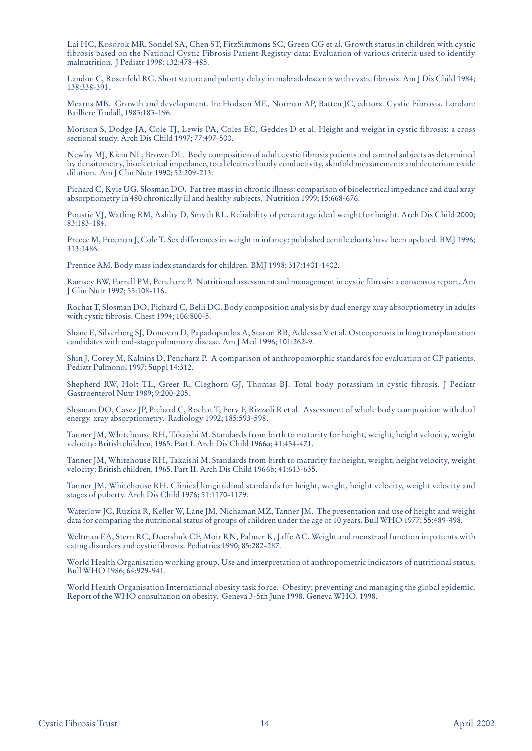Lai HC, Kosorok MR, Sondel SA, Chen ST, FitzSimmons SC, Green CG et al. Growth status in children with cystic fibrosis based on the National Cystic Fibrosis Patient Registry data: Evaluation of various criteria used to identify malnutrition. J Pediatr 1998: 132:478-485.

Landon C, Rosenfeld RG. Short stature and puberty delay in male adolescents with cystic fibrosis. Am J Dis Child 1984; 138:338-391.

Mearns MB. Growth and development. In: Hodson ME, Norman AP, Batten JC, editors. Cystic Fibrosis. London: Bailliere Tindall, 1983:183-196.

Morison S, Dodge JA, Cole TJ, Lewis PA, Coles EC, Geddes D et al. Height and weight in cystic fibrosis: a cross sectional study. Arch Dis Child 1997; 77:497-500.

Newby MJ, Kiem NL, Brown DL. Body composition of adult cystic fibrosis patients and control subjects as determined by densitometry, bioelectrical impedance, total electrical body conductivity, skinfold measurements and deuterium oxide dilution. Am J Clin Nutr 1990; 52:209-213.

Pichard C, Kyle UG, Slosman DO. Fat free mass in chronic illness: comparison of bioelectrical impedance and dual xray absorptiometry in 480 chronically ill and healthy subjects. Nutrition 1999; 15:668-676.

Poustie VJ, Watling RM, Ashby D, Smyth RL. Reliability of percentage ideal weight for height. Arch Dis Child 2000; 83:183-184.

Preece M, Freeman J, Cole T. Sex differences in weight in infancy: published centile charts have been updated. BMJ 1996; 313:1486.

Prentice AM. Body mass index standards for children. BMJ 1998; 317:1401-1402.

Ramsey BW, Farrell PM, Pencharz P. Nutritional assessment and management in cystic fibrosis: a consensus report. Am J Clin Nutr 1992; 55:108-116.

Rochat T, Slosman DO, Pichard C, Belli DC. Body composition analysis by dual energy xray absorptiometry in adults with cystic fibrosis. Chest 1994; 106:800-5.

Shane E, Silverberg SJ, Donovan D, Papadopoulos A, Staron RB, Addesso V et al. Osteoporosis in lung transplantation candidates with end-stage pulmonary disease. Am J Med 1996; 101:262-9.

Shin J, Corey M, Kalnins D, Pencharz P. A comparison of anthropomorphic standards for evaluation of CF patients. Pediatr Pulmonol 1997; Suppl 14:312.

Shepherd RW, Holt TL, Greer R, Cleghorn GJ, Thomas BJ. Total body potassium in cystic fibrosis. J Pediatr Gastroenterol Nutr 1989; 9:200-205.

Slosman DO, Casez JP, Pichard C, Rochat T, Fery F, Rizzoli R et al. Assessment of whole body composition with dual energy xray absorptiometry. Radiology 1992; 185:593-598.

Tanner JM, Whitehouse RH, Takaishi M. Standards from birth to maturity for height, weight, height velocity, weight velocity: British children, 1965. Part I. Arch Dis Child 1966a; 41:454-471.

Tanner JM, Whitehouse RH, Takaishi M. Standards from birth to maturity for height, weight, height velocity, weight velocity: British children, 1965. Part II. Arch Dis Child 1966b; 41:613-635.

Tanner JM, Whitehouse RH. Clinical longitudinal standards for height, weight, height velocity, weight velocity and stages of puberty. Arch Dis Child 1976; 51:1170-1179.

Waterlow JC, Ruzina R, Keller W, Lane JM, Nichaman MZ, Tanner JM. The presentation and use of height and weight data for comparing the nutritional status of groups of children under the age of 10 years. Bull WHO 1977; 55:489-498.

Weltman EA, Stern RC, Doershuk CF, Moir RN, Palmer K, Jaffe AC. Weight and menstrual function in patients with eating disorders and cystic fibrosis. Pediatrics 1990; 85:282-287.

World Health Organisation working group. Use and interpretation of anthropometric indicators of nutritional status. Bull WHO 1986; 64:929-941.

World Health Organisation International obesity task force. Obesity; preventing and managing the global epidemic. Report of the WHO consultation on obesity. Geneva 3-5th June 1998. Geneva WHO. 1998.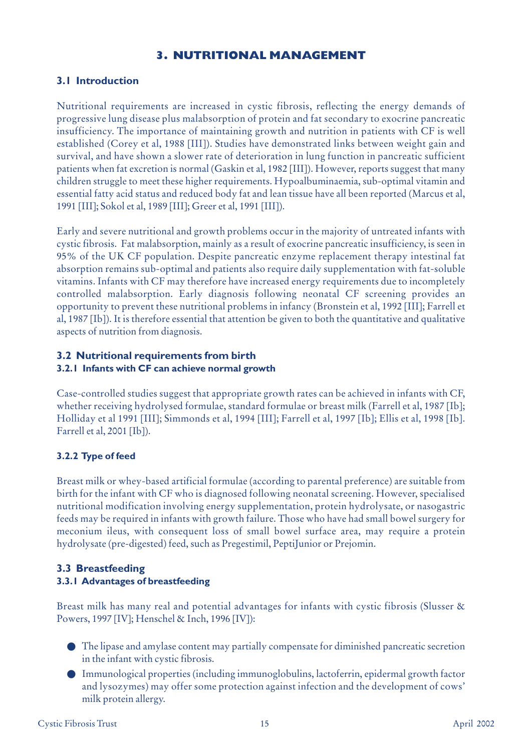## **3. NUTRITIONAL MANAGEMENT**

## **3.1 Introduction**

Nutritional requirements are increased in cystic fibrosis, reflecting the energy demands of progressive lung disease plus malabsorption of protein and fat secondary to exocrine pancreatic insufficiency. The importance of maintaining growth and nutrition in patients with CF is well established (Corey et al, 1988 [III]). Studies have demonstrated links between weight gain and survival, and have shown a slower rate of deterioration in lung function in pancreatic sufficient patients when fat excretion is normal (Gaskin et al, 1982 [III]). However, reports suggest that many children struggle to meet these higher requirements. Hypoalbuminaemia, sub-optimal vitamin and essential fatty acid status and reduced body fat and lean tissue have all been reported (Marcus et al, 1991 [III]; Sokol et al, 1989 [III]; Greer et al, 1991 [III]).

Early and severe nutritional and growth problems occur in the majority of untreated infants with cystic fibrosis. Fat malabsorption, mainly as a result of exocrine pancreatic insufficiency, is seen in 95% of the UK CF population. Despite pancreatic enzyme replacement therapy intestinal fat absorption remains sub-optimal and patients also require daily supplementation with fat-soluble vitamins. Infants with CF may therefore have increased energy requirements due to incompletely controlled malabsorption. Early diagnosis following neonatal CF screening provides an opportunity to prevent these nutritional problems in infancy (Bronstein et al, 1992 [III]; Farrell et al, 1987 [Ib]). It is therefore essential that attention be given to both the quantitative and qualitative aspects of nutrition from diagnosis.

#### **3.2 Nutritional requirements from birth 3.2.1 Infants with CF can achieve normal growth**

Case-controlled studies suggest that appropriate growth rates can be achieved in infants with CF, whether receiving hydrolysed formulae, standard formulae or breast milk (Farrell et al, 1987 [Ib]; Holliday et al 1991 [III]; Simmonds et al, 1994 [III]; Farrell et al, 1997 [Ib]; Ellis et al, 1998 [Ib]. Farrell et al, 2001 [Ib]).

## **3.2.2 Type of feed**

Breast milk or whey-based artificial formulae (according to parental preference) are suitable from birth for the infant with CF who is diagnosed following neonatal screening. However, specialised nutritional modification involving energy supplementation, protein hydrolysate, or nasogastric feeds may be required in infants with growth failure. Those who have had small bowel surgery for meconium ileus, with consequent loss of small bowel surface area, may require a protein hydrolysate (pre-digested) feed, such as Pregestimil, PeptiJunior or Prejomin.

## **3.3 Breastfeeding 3.3.1 Advantages of breastfeeding**

Breast milk has many real and potential advantages for infants with cystic fibrosis (Slusser & Powers, 1997 [IV]; Henschel & Inch, 1996 [IV]):

- The lipase and amylase content may partially compensate for diminished pancreatic secretion in the infant with cystic fibrosis.
- Immunological properties (including immunoglobulins, lactoferrin, epidermal growth factor and lysozymes) may offer some protection against infection and the development of cows' milk protein allergy.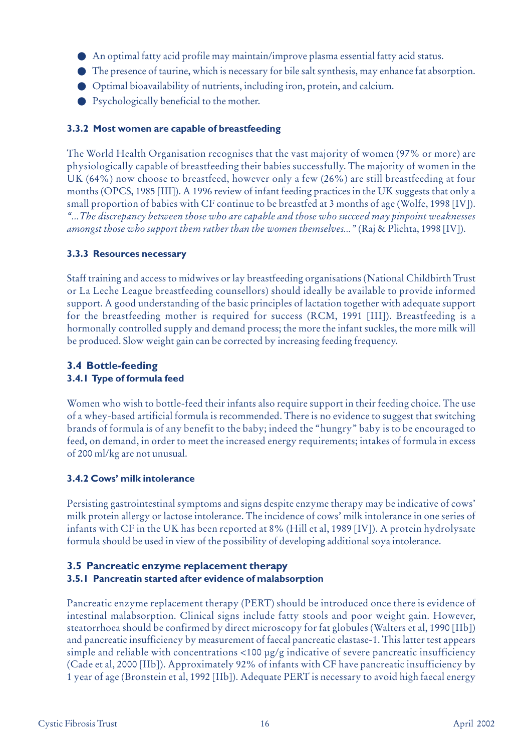- An optimal fatty acid profile may maintain/improve plasma essential fatty acid status.
- The presence of taurine, which is necessary for bile salt synthesis, may enhance fat absorption.
- Optimal bioavailability of nutrients, including iron, protein, and calcium.
- Psychologically beneficial to the mother.

## **3.3.2 Most women are capable of breastfeeding**

The World Health Organisation recognises that the vast majority of women (97% or more) are physiologically capable of breastfeeding their babies successfully. The majority of women in the UK (64%) now choose to breastfeed, however only a few (26%) are still breastfeeding at four months (OPCS, 1985 [III]). A 1996 review of infant feeding practices in the UK suggests that only a small proportion of babies with CF continue to be breastfed at 3 months of age (Wolfe, 1998 [IV]). *"...The discrepancy between those who are capable and those who succeed may pinpoint weaknesses amongst those who support them rather than the women themselves..."* (Raj & Plichta, 1998 [IV]).

## **3.3.3 Resources necessary**

Staff training and access to midwives or lay breastfeeding organisations (National Childbirth Trust or La Leche League breastfeeding counsellors) should ideally be available to provide informed support. A good understanding of the basic principles of lactation together with adequate support for the breastfeeding mother is required for success (RCM, 1991 [III]). Breastfeeding is a hormonally controlled supply and demand process; the more the infant suckles, the more milk will be produced. Slow weight gain can be corrected by increasing feeding frequency.

## **3.4 Bottle-feeding 3.4.1 Type of formula feed**

Women who wish to bottle-feed their infants also require support in their feeding choice. The use of a whey-based artificial formula is recommended. There is no evidence to suggest that switching brands of formula is of any benefit to the baby; indeed the "hungry" baby is to be encouraged to feed, on demand, in order to meet the increased energy requirements; intakes of formula in excess of 200 ml/kg are not unusual.

## **3.4.2 Cows' milk intolerance**

Persisting gastrointestinal symptoms and signs despite enzyme therapy may be indicative of cows' milk protein allergy or lactose intolerance. The incidence of cows' milk intolerance in one series of infants with CF in the UK has been reported at 8% (Hill et al, 1989 [IV]). A protein hydrolysate formula should be used in view of the possibility of developing additional soya intolerance.

## **3.5 Pancreatic enzyme replacement therapy 3.5.1 Pancreatin started after evidence of malabsorption**

Pancreatic enzyme replacement therapy (PERT) should be introduced once there is evidence of intestinal malabsorption. Clinical signs include fatty stools and poor weight gain. However, steatorrhoea should be confirmed by direct microscopy for fat globules (Walters et al, 1990 [IIb]) and pancreatic insufficiency by measurement of faecal pancreatic elastase-1. This latter test appears simple and reliable with concentrations <100 µg/g indicative of severe pancreatic insufficiency (Cade et al, 2000 [IIb]). Approximately 92% of infants with CF have pancreatic insufficiency by 1 year of age (Bronstein et al, 1992 [IIb]). Adequate PERT is necessary to avoid high faecal energy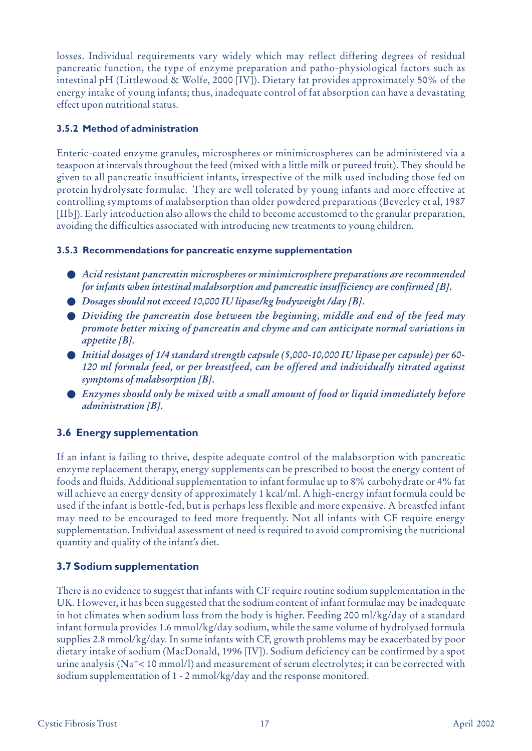losses. Individual requirements vary widely which may reflect differing degrees of residual pancreatic function, the type of enzyme preparation and patho-physiological factors such as intestinal pH (Littlewood & Wolfe, 2000 [IV]). Dietary fat provides approximately 50% of the energy intake of young infants; thus, inadequate control of fat absorption can have a devastating effect upon nutritional status.

## **3.5.2 Method of administration**

Enteric-coated enzyme granules, microspheres or minimicrospheres can be administered via a teaspoon at intervals throughout the feed (mixed with a little milk or pureed fruit). They should be given to all pancreatic insufficient infants, irrespective of the milk used including those fed on protein hydrolysate formulae. They are well tolerated by young infants and more effective at controlling symptoms of malabsorption than older powdered preparations (Beverley et al, 1987 [IIb]). Early introduction also allows the child to become accustomed to the granular preparation, avoiding the difficulties associated with introducing new treatments to young children.

## **3.5.3 Recommendations for pancreatic enzyme supplementation**

- *Acid resistant pancreatin microspheres or minimicrosphere preparations are recommended for infants when intestinal malabsorption and pancreatic insufficiency are confirmed [B].*
- *Dosages should not exceed 10,000 IU lipase/kg bodyweight /day [B].*
- *Dividing the pancreatin dose between the beginning, middle and end of the feed may promote better mixing of pancreatin and chyme and can anticipate normal variations in appetite [B].*
- *Initial dosages of 1/4 standard strength capsule (5,000-10,000 IU lipase per capsule) per 60- 120 ml formula feed, or per breastfeed, can be offered and individually titrated against symptoms of malabsorption [B].*
- *Enzymes should only be mixed with a small amount of food or liquid immediately before administration [B].*

## **3.6 Energy supplementation**

If an infant is failing to thrive, despite adequate control of the malabsorption with pancreatic enzyme replacement therapy, energy supplements can be prescribed to boost the energy content of foods and fluids. Additional supplementation to infant formulae up to 8% carbohydrate or 4% fat will achieve an energy density of approximately 1 kcal/ml. A high-energy infant formula could be used if the infant is bottle-fed, but is perhaps less flexible and more expensive. A breastfed infant may need to be encouraged to feed more frequently. Not all infants with CF require energy supplementation. Individual assessment of need is required to avoid compromising the nutritional quantity and quality of the infant's diet.

## **3.7 Sodium supplementation**

There is no evidence to suggest that infants with CF require routine sodium supplementation in the UK. However, it has been suggested that the sodium content of infant formulae may be inadequate in hot climates when sodium loss from the body is higher. Feeding 200 ml/kg/day of a standard infant formula provides 1.6 mmol/kg/day sodium, while the same volume of hydrolysed formula supplies 2.8 mmol/kg/day. In some infants with CF, growth problems may be exacerbated by poor dietary intake of sodium (MacDonald, 1996 [IV]). Sodium deficiency can be confirmed by a spot urine analysis (Na+< 10 mmol/l) and measurement of serum electrolytes; it can be corrected with sodium supplementation of 1 - 2 mmol/kg/day and the response monitored.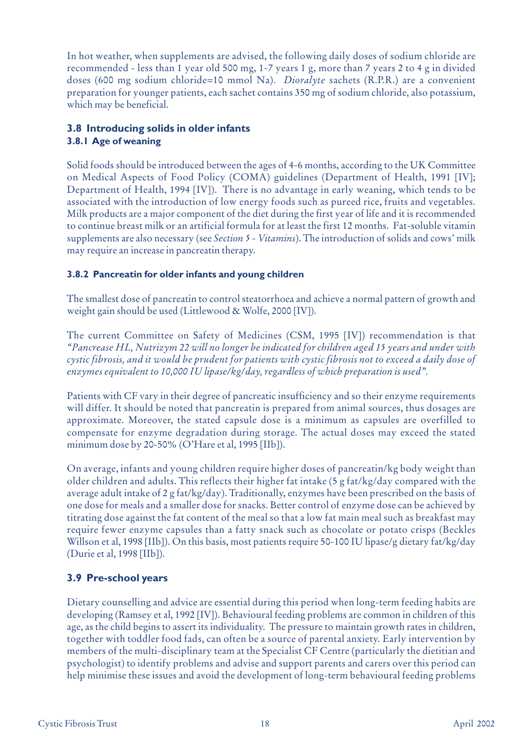In hot weather, when supplements are advised, the following daily doses of sodium chloride are recommended - less than 1 year old 500 mg, 1-7 years 1 g, more than 7 years 2 to 4 g in divided doses (600 mg sodium chloride=10 mmol Na). *Dioralyte* sachets (R.P.R.) are a convenient preparation for younger patients, each sachet contains 350 mg of sodium chloride, also potassium, which may be beneficial.

## **3.8 Introducing solids in older infants 3.8.1 Age of weaning**

Solid foods should be introduced between the ages of 4-6 months, according to the UK Committee on Medical Aspects of Food Policy (COMA) guidelines (Department of Health, 1991 [IV]; Department of Health, 1994 [IV]). There is no advantage in early weaning, which tends to be associated with the introduction of low energy foods such as pureed rice, fruits and vegetables. Milk products are a major component of the diet during the first year of life and it is recommended to continue breast milk or an artificial formula for at least the first 12 months. Fat-soluble vitamin supplements are also necessary (see *Section 5 - Vitamins*). The introduction of solids and cows' milk may require an increase in pancreatin therapy.

## **3.8.2 Pancreatin for older infants and young children**

The smallest dose of pancreatin to control steatorrhoea and achieve a normal pattern of growth and weight gain should be used (Littlewood & Wolfe, 2000 [IV]).

The current Committee on Safety of Medicines (CSM, 1995 [IV]) recommendation is that *"Pancrease HL, Nutrizym 22 will no longer be indicated for children aged 15 years and under with cystic fibrosis, and it would be prudent for patients with cystic fibrosis not to exceed a daily dose of enzymes equivalent to 10,000 IU lipase/kg/day, regardless of which preparation is used".*

Patients with CF vary in their degree of pancreatic insufficiency and so their enzyme requirements will differ. It should be noted that pancreatin is prepared from animal sources, thus dosages are approximate. Moreover, the stated capsule dose is a minimum as capsules are overfilled to compensate for enzyme degradation during storage. The actual doses may exceed the stated minimum dose by 20-50% (O'Hare et al, 1995 [IIb]).

On average, infants and young children require higher doses of pancreatin/kg body weight than older children and adults. This reflects their higher fat intake (5 g fat/kg/day compared with the average adult intake of 2 g fat/kg/day). Traditionally, enzymes have been prescribed on the basis of one dose for meals and a smaller dose for snacks. Better control of enzyme dose can be achieved by titrating dose against the fat content of the meal so that a low fat main meal such as breakfast may require fewer enzyme capsules than a fatty snack such as chocolate or potato crisps (Beckles Willson et al, 1998 [IIb]). On this basis, most patients require 50-100 IU lipase/g dietary fat/kg/day (Durie et al, 1998 [IIb]).

## **3.9 Pre-school years**

Dietary counselling and advice are essential during this period when long-term feeding habits are developing (Ramsey et al, 1992 [IV]). Behavioural feeding problems are common in children of this age, as the child begins to assert its individuality. The pressure to maintain growth rates in children, together with toddler food fads, can often be a source of parental anxiety. Early intervention by members of the multi-disciplinary team at the Specialist CF Centre (particularly the dietitian and psychologist) to identify problems and advise and support parents and carers over this period can help minimise these issues and avoid the development of long-term behavioural feeding problems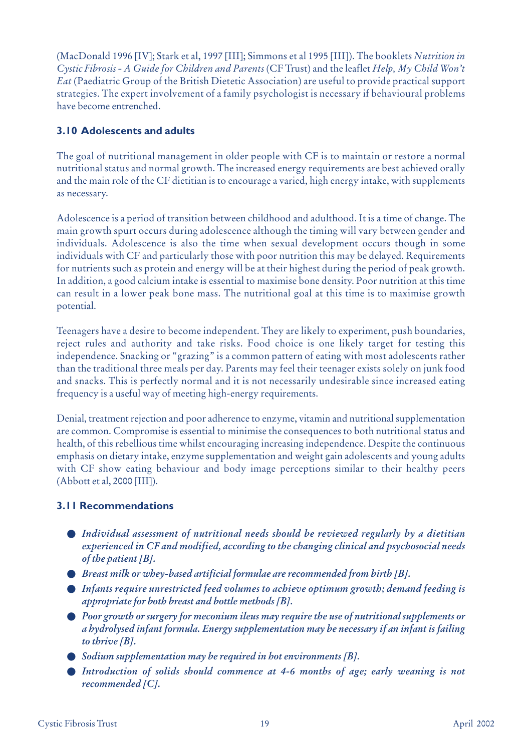(MacDonald 1996 [IV]; Stark et al, 1997 [III]; Simmons et al 1995 [III]). The booklets *Nutrition in Cystic Fibrosis - A Guide for Children and Parents* (CF Trust) and the leaflet *Help, My Child Won't Eat* (Paediatric Group of the British Dietetic Association) are useful to provide practical support strategies. The expert involvement of a family psychologist is necessary if behavioural problems have become entrenched.

## **3.10 Adolescents and adults**

The goal of nutritional management in older people with CF is to maintain or restore a normal nutritional status and normal growth. The increased energy requirements are best achieved orally and the main role of the CF dietitian is to encourage a varied, high energy intake, with supplements as necessary.

Adolescence is a period of transition between childhood and adulthood. It is a time of change. The main growth spurt occurs during adolescence although the timing will vary between gender and individuals. Adolescence is also the time when sexual development occurs though in some individuals with CF and particularly those with poor nutrition this may be delayed. Requirements for nutrients such as protein and energy will be at their highest during the period of peak growth. In addition, a good calcium intake is essential to maximise bone density. Poor nutrition at this time can result in a lower peak bone mass. The nutritional goal at this time is to maximise growth potential.

Teenagers have a desire to become independent. They are likely to experiment, push boundaries, reject rules and authority and take risks. Food choice is one likely target for testing this independence. Snacking or "grazing" is a common pattern of eating with most adolescents rather than the traditional three meals per day. Parents may feel their teenager exists solely on junk food and snacks. This is perfectly normal and it is not necessarily undesirable since increased eating frequency is a useful way of meeting high-energy requirements.

Denial, treatment rejection and poor adherence to enzyme, vitamin and nutritional supplementation are common. Compromise is essential to minimise the consequences to both nutritional status and health, of this rebellious time whilst encouraging increasing independence. Despite the continuous emphasis on dietary intake, enzyme supplementation and weight gain adolescents and young adults with CF show eating behaviour and body image perceptions similar to their healthy peers (Abbott et al, 2000 [III]).

## **3.11 Recommendations**

- *Individual assessment of nutritional needs should be reviewed regularly by a dietitian experienced in CF and modified, according to the changing clinical and psychosocial needs of the patient [B].*
- *Breast milk or whey-based artificial formulae are recommended from birth [B].*
- *Infants require unrestricted feed volumes to achieve optimum growth; demand feeding is appropriate for both breast and bottle methods [B].*
- *Poor growth or surgery for meconium ileus may require the use of nutritional supplements or a hydrolysed infant formula. Energy supplementation may be necessary if an infant is failing to thrive [B].*
- *Sodium supplementation may be required in hot environments* [*B*].
- *Introduction of solids should commence at 4-6 months of age; early weaning is not recommended [C].*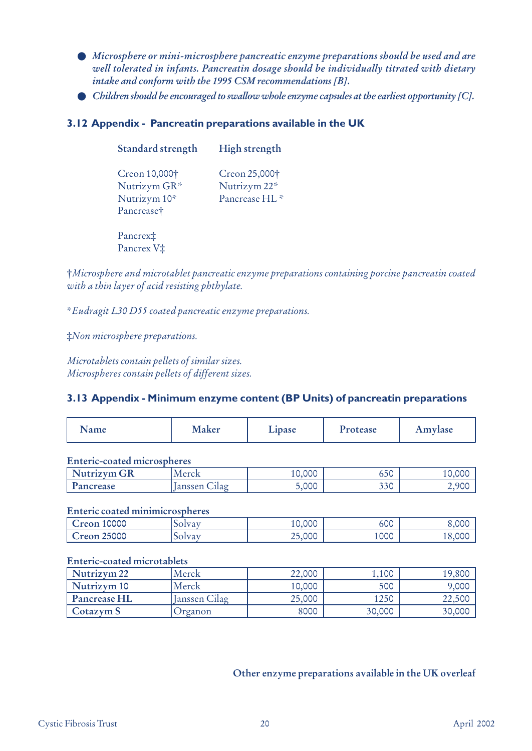- *Microsphere or mini-microsphere pancreatic enzyme preparations should be used and are well tolerated in infants. Pancreatin dosage should be individually titrated with dietary intake and conform with the 1995 CSM recommendations [B].*
- *Children should be encouraged to swallow whole enzyme capsules at the earliest opportunity [C]*.

## **3.12 Appendix - Pancreatin preparations available in the UK**

| <b>Standard strength</b>                                    | High strength                                              |
|-------------------------------------------------------------|------------------------------------------------------------|
| Creon 10,000†<br>Nutrizym GR*<br>Nutrizym 10*<br>Pancrease† | Creon 25,000†<br>Nutrizym 22*<br>Pancrease HL <sup>*</sup> |

Pancrex‡ Pancrex V‡

†*Microsphere and microtablet pancreatic enzyme preparations containing porcine pancreatin coated with a thin layer of acid resisting phthylate.* 

\**Eudragit L30 D55 coated pancreatic enzyme preparations.*

‡*Non microsphere preparations.*

*Microtablets contain pellets of similar sizes. Microspheres contain pellets of different sizes.*

#### **3.13 Appendix - Minimum enzyme content (BP Units) of pancreatin preparations**

| Name | <b>Maker</b> | L <sub>1</sub> pase | 'rotease | Amylase |
|------|--------------|---------------------|----------|---------|
|------|--------------|---------------------|----------|---------|

#### **Enteric-coated microspheres**

| Ωn<br>Jutrizym<br>GK | Merck                  | $\sim$<br>$\sim$<br>10,000 | $\sim$ $\sim$<br>りつし |    |
|----------------------|------------------------|----------------------------|----------------------|----|
| Pancrease            | $\cup$ llag<br>noncomm | 5,000                      | 220<br>JJ V          | 9C |

#### **Enteric coated minimicrospheres**

| 10000<br>reon | $\mathbf{I}$<br>UU | 10,000 | 600  | .000 |
|---------------|--------------------|--------|------|------|
| 25000<br>reon | تدويدا<br>UU       | 25,000 | 1000 |      |

#### **Enteric-coated microtablets**

| Nutrizym 22  | Merck         | 22,000 | 1,100  | 19,800 |
|--------------|---------------|--------|--------|--------|
| Nutrizym 10  | Merck         | 10,000 | 500    | 9,000  |
| Pancrease HL | Janssen Cilag | 25,000 | 1250   | 22,500 |
| Cotazym S    | Jrganon       | 8000   | 30,000 | 30,000 |

## **Other enzyme preparations available in the UK overleaf**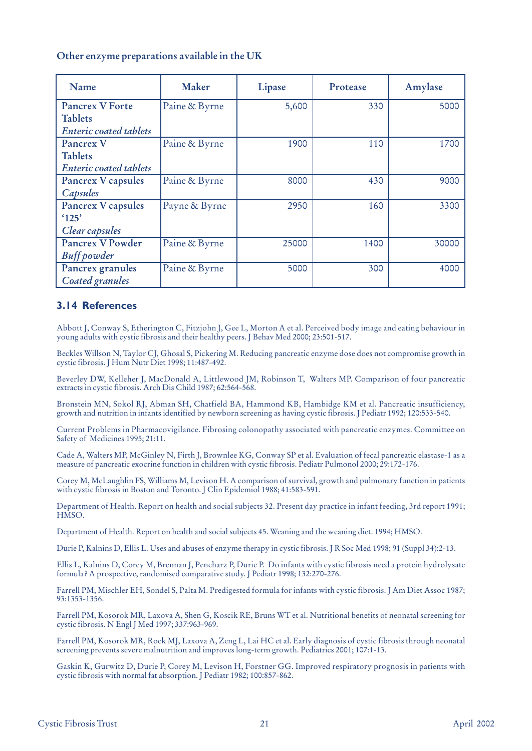#### **Other enzyme preparations available in the UK**

| Name                          | Maker         | Lipase | Protease | Amylase |
|-------------------------------|---------------|--------|----------|---------|
| <b>Pancrex V Forte</b>        | Paine & Byrne | 5,600  | 330      | 5000    |
| <b>Tablets</b>                |               |        |          |         |
| <b>Enteric coated tablets</b> |               |        |          |         |
| Pancrex V                     | Paine & Byrne | 1900   | 110      | 1700    |
| <b>Tablets</b>                |               |        |          |         |
| <b>Enteric coated tablets</b> |               |        |          |         |
| <b>Pancrex V capsules</b>     | Paine & Byrne | 8000   | 430      | 9000    |
| Capsules                      |               |        |          |         |
| Pancrex V capsules            | Payne & Byrne | 2950   | 160      | 3300    |
| $^{\circ}125'$                |               |        |          |         |
| Clear capsules                |               |        |          |         |
| Pancrex V Powder              | Paine & Byrne | 25000  | 1400     | 30000   |
| <b>Buff</b> powder            |               |        |          |         |
| Pancrex granules              | Paine & Byrne | 5000   | 300      | 4000    |
| <b>Coated granules</b>        |               |        |          |         |

#### **3.14 References**

Abbott J, Conway S, Etherington C, Fitzjohn J, Gee L, Morton A et al. Perceived body image and eating behaviour in young adults with cystic fibrosis and their healthy peers. J Behav Med 2000; 23:501-517.

Beckles Willson N, Taylor CJ, Ghosal S, Pickering M. Reducing pancreatic enzyme dose does not compromise growth in cystic fibrosis. J Hum Nutr Diet 1998; 11:487-492.

Beverley DW, Kelleher J, MacDonald A, Littlewood JM, Robinson T, Walters MP. Comparison of four pancreatic extracts in cystic fibrosis. Arch Dis Child 1987; 62:564-568.

Bronstein MN, Sokol RJ, Abman SH, Chatfield BA, Hammond KB, Hambidge KM et al. Pancreatic insufficiency, growth and nutrition in infants identified by newborn screening as having cystic fibrosis. J Pediatr 1992; 120:533-540.

Current Problems in Pharmacovigilance. Fibrosing colonopathy associated with pancreatic enzymes. Committee on Safety of Medicines 1995; 21:11.

Cade A, Walters MP, McGinley N, Firth J, Brownlee KG, Conway SP et al. Evaluation of fecal pancreatic elastase-1 as a measure of pancreatic exocrine function in children with cystic fibrosis. Pediatr Pulmonol 2000; 29:172-176.

Corey M, McLaughlin FS, Williams M, Levison H. A comparison of survival, growth and pulmonary function in patients with cystic fibrosis in Boston and Toronto. J Clin Epidemiol 1988; 41:583-591.

Department of Health. Report on health and social subjects 32. Present day practice in infant feeding, 3rd report 1991; HMSO.

Department of Health. Report on health and social subjects 45. Weaning and the weaning diet. 1994; HMSO.

Durie P, Kalnins D, Ellis L. Uses and abuses of enzyme therapy in cystic fibrosis. J R Soc Med 1998; 91 (Suppl 34):2-13.

Ellis L, Kalnins D, Corey M, Brennan J, Pencharz P, Durie P. Do infants with cystic fibrosis need a protein hydrolysate formula? A prospective, randomised comparative study. J Pediatr 1998; 132:270-276.

Farrell PM, Mischler EH, Sondel S, Palta M. Predigested formula for infants with cystic fibrosis. J Am Diet Assoc 1987; 93:1353-1356.

Farrell PM, Kosorok MR, Laxova A, Shen G, Koscik RE, Bruns WT et al. Nutritional benefits of neonatal screening for cystic fibrosis. N Engl J Med 1997; 337:963-969.

Farrell PM, Kosorok MR, Rock MJ, Laxova A, Zeng L, Lai HC et al. Early diagnosis of cystic fibrosis through neonatal screening prevents severe malnutrition and improves long-term growth. Pediatrics 2001; 107:1-13.

Gaskin K, Gurwitz D, Durie P, Corey M, Levison H, Forstner GG. Improved respiratory prognosis in patients with cystic fibrosis with normal fat absorption. J Pediatr 1982; 100:857-862.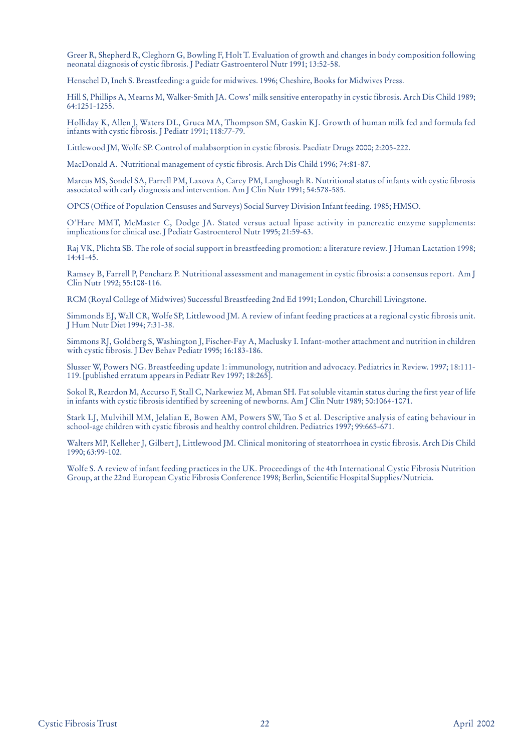Greer R, Shepherd R, Cleghorn G, Bowling F, Holt T. Evaluation of growth and changes in body composition following neonatal diagnosis of cystic fibrosis. J Pediatr Gastroenterol Nutr 1991; 13:52-58.

Henschel D, Inch S. Breastfeeding: a guide for midwives. 1996; Cheshire, Books for Midwives Press.

Hill S, Phillips A, Mearns M, Walker-Smith JA. Cows' milk sensitive enteropathy in cystic fibrosis. Arch Dis Child 1989; 64:1251-1255.

Holliday K, Allen J, Waters DL, Gruca MA, Thompson SM, Gaskin KJ. Growth of human milk fed and formula fed infants with cystic fibrosis. J Pediatr 1991; 118:77-79.

Littlewood JM, Wolfe SP. Control of malabsorption in cystic fibrosis. Paediatr Drugs 2000; 2:205-222.

MacDonald A. Nutritional management of cystic fibrosis. Arch Dis Child 1996; 74:81-87.

Marcus MS, Sondel SA, Farrell PM, Laxova A, Carey PM, Langhough R. Nutritional status of infants with cystic fibrosis associated with early diagnosis and intervention. Am J Clin Nutr 1991; 54:578-585.

OPCS (Office of Population Censuses and Surveys) Social Survey Division Infant feeding. 1985; HMSO.

O'Hare MMT, McMaster C, Dodge JA. Stated versus actual lipase activity in pancreatic enzyme supplements: implications for clinical use. J Pediatr Gastroenterol Nutr 1995; 21:59-63.

Raj VK, Plichta SB. The role of social support in breastfeeding promotion: a literature review. J Human Lactation 1998; 14:41-45.

Ramsey B, Farrell P, Pencharz P. Nutritional assessment and management in cystic fibrosis: a consensus report. Am J Clin Nutr 1992; 55:108-116.

RCM (Royal College of Midwives) Successful Breastfeeding 2nd Ed 1991; London, Churchill Livingstone.

Simmonds EJ, Wall CR, Wolfe SP, Littlewood JM. A review of infant feeding practices at a regional cystic fibrosis unit. J Hum Nutr Diet 1994; 7:31-38.

Simmons RJ, Goldberg S, Washington J, Fischer-Fay A, Maclusky I. Infant-mother attachment and nutrition in children with cystic fibrosis. J Dev Behav Pediatr 1995; 16:183-186.

Slusser W, Powers NG. Breastfeeding update 1: immunology, nutrition and advocacy. Pediatrics in Review. 1997; 18:111- 119. [published erratum appears in Pediatr Rev 1997; 18:265].

Sokol R, Reardon M, Accurso F, Stall C, Narkewiez M, Abman SH. Fat soluble vitamin status during the first year of life in infants with cystic fibrosis identified by screening of newborns. Am J Clin Nutr 1989; 50:1064-1071.

Stark LJ, Mulvihill MM, Jelalian E, Bowen AM, Powers SW, Tao S et al. Descriptive analysis of eating behaviour in school-age children with cystic fibrosis and healthy control children. Pediatrics 1997; 99:665-671.

Walters MP, Kelleher J, Gilbert J, Littlewood JM. Clinical monitoring of steatorrhoea in cystic fibrosis. Arch Dis Child 1990; 63:99-102.

Wolfe S. A review of infant feeding practices in the UK. Proceedings of the 4th International Cystic Fibrosis Nutrition Group, at the 22nd European Cystic Fibrosis Conference 1998; Berlin, Scientific Hospital Supplies/Nutricia.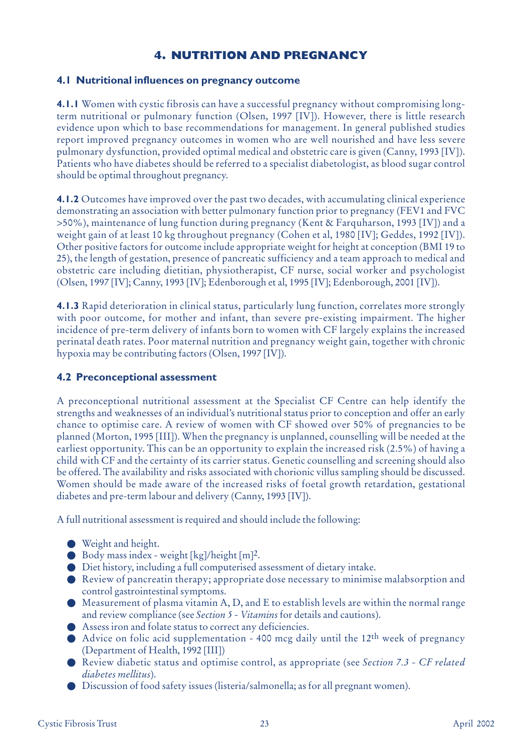## **4. NUTRITION AND PREGNANCY**

## **4.1 Nutritional influences on pregnancy outcome**

**4.1.1** Women with cystic fibrosis can have a successful pregnancy without compromising longterm nutritional or pulmonary function (Olsen, 1997 [IV]). However, there is little research evidence upon which to base recommendations for management. In general published studies report improved pregnancy outcomes in women who are well nourished and have less severe pulmonary dysfunction, provided optimal medical and obstetric care is given (Canny, 1993 [IV]). Patients who have diabetes should be referred to a specialist diabetologist, as blood sugar control should be optimal throughout pregnancy.

**4.1.2** Outcomes have improved over the past two decades, with accumulating clinical experience demonstrating an association with better pulmonary function prior to pregnancy (FEV1 and FVC >50%), maintenance of lung function during pregnancy (Kent & Farquharson, 1993 [IV]) and a weight gain of at least 10 kg throughout pregnancy (Cohen et al, 1980 [IV]; Geddes, 1992 [IV]). Other positive factors for outcome include appropriate weight for height at conception (BMI 19 to 25), the length of gestation, presence of pancreatic sufficiency and a team approach to medical and obstetric care including dietitian, physiotherapist, CF nurse, social worker and psychologist (Olsen, 1997 [IV]; Canny, 1993 [IV]; Edenborough et al, 1995 [IV]; Edenborough, 2001 [IV]).

**4.1.3** Rapid deterioration in clinical status, particularly lung function, correlates more strongly with poor outcome, for mother and infant, than severe pre-existing impairment. The higher incidence of pre-term delivery of infants born to women with CF largely explains the increased perinatal death rates. Poor maternal nutrition and pregnancy weight gain, together with chronic hypoxia may be contributing factors (Olsen, 1997 [IV]).

## **4.2 Preconceptional assessment**

A preconceptional nutritional assessment at the Specialist CF Centre can help identify the strengths and weaknesses of an individual's nutritional status prior to conception and offer an early chance to optimise care. A review of women with CF showed over 50% of pregnancies to be planned (Morton, 1995 [III]). When the pregnancy is unplanned, counselling will be needed at the earliest opportunity. This can be an opportunity to explain the increased risk (2.5%) of having a child with CF and the certainty of its carrier status. Genetic counselling and screening should also be offered. The availability and risks associated with chorionic villus sampling should be discussed. Women should be made aware of the increased risks of foetal growth retardation, gestational diabetes and pre-term labour and delivery (Canny, 1993 [IV]).

A full nutritional assessment is required and should include the following:

- Weight and height.
- $\bullet$  Body mass index weight [kg]/height [m]<sup>2</sup>.
- Diet history, including a full computerised assessment of dietary intake.
- Review of pancreatin therapy; appropriate dose necessary to minimise malabsorption and control gastrointestinal symptoms.
- Measurement of plasma vitamin A, D, and E to establish levels are within the normal range and review compliance (see *Section 5 - Vitamins* for details and cautions).
- Assess iron and folate status to correct any deficiencies.
- Advice on folic acid supplementation 400 mcg daily until the 12<sup>th</sup> week of pregnancy (Department of Health, 1992 [III])
- Review diabetic status and optimise control, as appropriate (see *Section 7.3 CF related diabetes mellitus*).
- Discussion of food safety issues (listeria/salmonella; as for all pregnant women).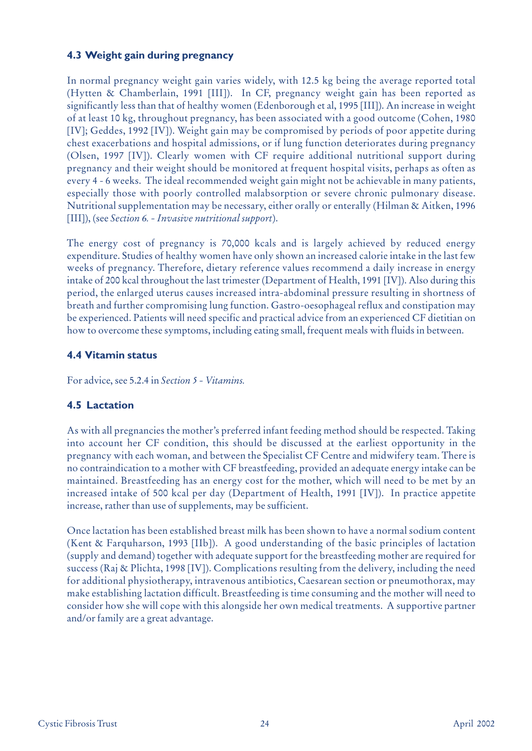## **4.3 Weight gain during pregnancy**

In normal pregnancy weight gain varies widely, with 12.5 kg being the average reported total (Hytten & Chamberlain, 1991 [III]). In CF, pregnancy weight gain has been reported as significantly less than that of healthy women (Edenborough et al, 1995 [III]). An increase in weight of at least 10 kg, throughout pregnancy, has been associated with a good outcome (Cohen, 1980 [IV]; Geddes, 1992 [IV]). Weight gain may be compromised by periods of poor appetite during chest exacerbations and hospital admissions, or if lung function deteriorates during pregnancy (Olsen, 1997 [IV]). Clearly women with CF require additional nutritional support during pregnancy and their weight should be monitored at frequent hospital visits, perhaps as often as every 4 - 6 weeks. The ideal recommended weight gain might not be achievable in many patients, especially those with poorly controlled malabsorption or severe chronic pulmonary disease. Nutritional supplementation may be necessary, either orally or enterally (Hilman & Aitken, 1996 [III]), (see *Section 6. - Invasive nutritional support*).

The energy cost of pregnancy is 70,000 kcals and is largely achieved by reduced energy expenditure. Studies of healthy women have only shown an increased calorie intake in the last few weeks of pregnancy. Therefore, dietary reference values recommend a daily increase in energy intake of 200 kcal throughout the last trimester (Department of Health, 1991 [IV]). Also during this period, the enlarged uterus causes increased intra-abdominal pressure resulting in shortness of breath and further compromising lung function. Gastro-oesophageal reflux and constipation may be experienced. Patients will need specific and practical advice from an experienced CF dietitian on how to overcome these symptoms, including eating small, frequent meals with fluids in between.

## **4.4 Vitamin status**

For advice, see 5.2.4 in *Section 5 - Vitamins.*

## **4.5 Lactation**

As with all pregnancies the mother's preferred infant feeding method should be respected. Taking into account her CF condition, this should be discussed at the earliest opportunity in the pregnancy with each woman, and between the Specialist CF Centre and midwifery team. There is no contraindication to a mother with CF breastfeeding, provided an adequate energy intake can be maintained. Breastfeeding has an energy cost for the mother, which will need to be met by an increased intake of 500 kcal per day (Department of Health, 1991 [IV]). In practice appetite increase, rather than use of supplements, may be sufficient.

Once lactation has been established breast milk has been shown to have a normal sodium content (Kent & Farquharson, 1993 [IIb]). A good understanding of the basic principles of lactation (supply and demand) together with adequate support for the breastfeeding mother are required for success (Raj & Plichta, 1998 [IV]). Complications resulting from the delivery, including the need for additional physiotherapy, intravenous antibiotics, Caesarean section or pneumothorax, may make establishing lactation difficult. Breastfeeding is time consuming and the mother will need to consider how she will cope with this alongside her own medical treatments. A supportive partner and/or family are a great advantage.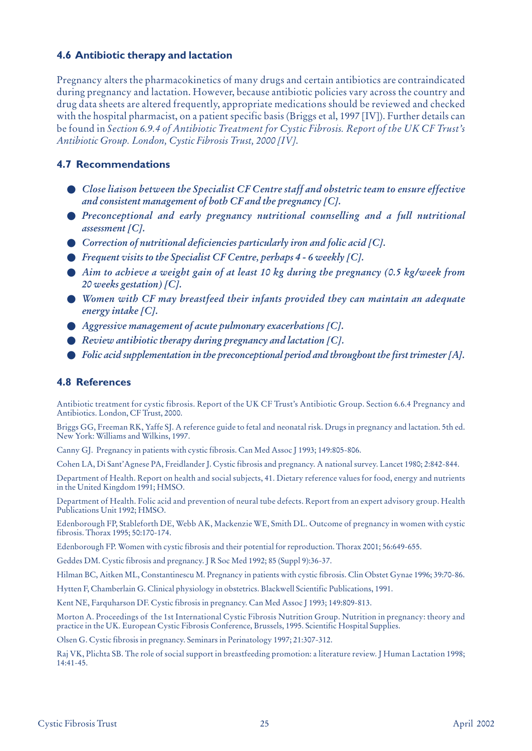## **4.6 Antibiotic therapy and lactation**

Pregnancy alters the pharmacokinetics of many drugs and certain antibiotics are contraindicated during pregnancy and lactation. However, because antibiotic policies vary across the country and drug data sheets are altered frequently, appropriate medications should be reviewed and checked with the hospital pharmacist, on a patient specific basis (Briggs et al, 1997 [IV]). Further details can be found in *Section 6.9.4 of Antibiotic Treatment for Cystic Fibrosis. Report of the UK CF Trust's Antibiotic Group. London, Cystic Fibrosis Trust, 2000 [IV]*.

## **4.7 Recommendations**

- *Close liaison between the Specialist CF Centre staff and obstetric team to ensure effective and consistent management of both CF and the pregnancy [C].*
- *Preconceptional and early pregnancy nutritional counselling and a full nutritional assessment [C].*
- *Correction of nutritional deficiencies particularly iron and folic acid [C]*.
- *Frequent visits to the Specialist CF Centre, perhaps 4 6 weekly [C].*
- *Aim to achieve a weight gain of at least 10 kg during the pregnancy (0.5 kg/week from 20 weeks gestation) [C].*
- *Women with CF may breastfeed their infants provided they can maintain an adequate energy intake [C].*
- *Aggressive management of acute pulmonary exacerbations [C].*
- *Review antibiotic therapy during pregnancy and lactation [C].*
- *Folic acid supplementation in the preconceptional period and throughout the first trimester [A]*.

## **4.8 References**

Antibiotic treatment for cystic fibrosis. Report of the UK CF Trust's Antibiotic Group. Section 6.6.4 Pregnancy and Antibiotics. London, CF Trust, 2000.

Briggs GG, Freeman RK, Yaffe SJ. A reference guide to fetal and neonatal risk. Drugs in pregnancy and lactation. 5th ed. New York: Williams and Wilkins, 1997.

Canny GJ. Pregnancy in patients with cystic fibrosis. Can Med Assoc J 1993; 149:805-806.

Cohen LA, Di Sant'Agnese PA, Freidlander J. Cystic fibrosis and pregnancy. A national survey. Lancet 1980; 2:842-844.

Department of Health. Report on health and social subjects, 41. Dietary reference values for food, energy and nutrients in the United Kingdom 1991; HMSO.

Department of Health. Folic acid and prevention of neural tube defects. Report from an expert advisory group. Health Publications Unit 1992; HMSO.

Edenborough FP, Stableforth DE, Webb AK, Mackenzie WE, Smith DL. Outcome of pregnancy in women with cystic fibrosis. Thorax 1995; 50:170-174.

Edenborough FP. Women with cystic fibrosis and their potential for reproduction. Thorax 2001; 56:649-655.

Geddes DM. Cystic fibrosis and pregnancy. J R Soc Med 1992; 85 (Suppl 9):36-37.

Hilman BC, Aitken ML, Constantinescu M. Pregnancy in patients with cystic fibrosis. Clin Obstet Gynae 1996; 39:70-86.

Hytten F, Chamberlain G. Clinical physiology in obstetrics. Blackwell Scientific Publications, 1991.

Kent NE, Farquharson DF. Cystic fibrosis in pregnancy. Can Med Assoc J 1993; 149:809-813.

Morton A. Proceedings of the 1st International Cystic Fibrosis Nutrition Group. Nutrition in pregnancy: theory and practice in the UK. European Cystic Fibrosis Conference, Brussels, 1995. Scientific Hospital Supplies.

Olsen G. Cystic fibrosis in pregnancy. Seminars in Perinatology 1997; 21:307-312.

Raj VK, Plichta SB. The role of social support in breastfeeding promotion: a literature review. J Human Lactation 1998; 14:41-45.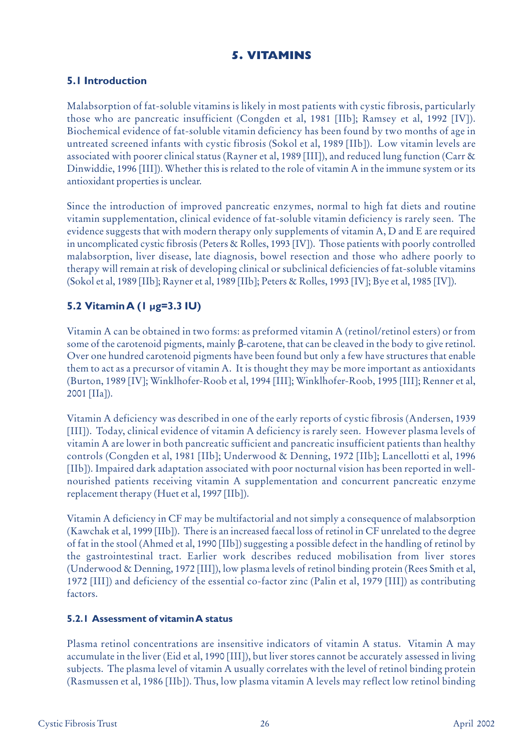## **5. VITAMINS**

## **5.1 Introduction**

Malabsorption of fat-soluble vitamins is likely in most patients with cystic fibrosis, particularly those who are pancreatic insufficient (Congden et al, 1981 [IIb]; Ramsey et al, 1992 [IV]). Biochemical evidence of fat-soluble vitamin deficiency has been found by two months of age in untreated screened infants with cystic fibrosis (Sokol et al, 1989 [IIb]). Low vitamin levels are associated with poorer clinical status (Rayner et al, 1989 [III]), and reduced lung function (Carr & Dinwiddie, 1996 [III]). Whether this is related to the role of vitamin A in the immune system or its antioxidant properties is unclear.

Since the introduction of improved pancreatic enzymes, normal to high fat diets and routine vitamin supplementation, clinical evidence of fat-soluble vitamin deficiency is rarely seen. The evidence suggests that with modern therapy only supplements of vitamin A, D and E are required in uncomplicated cystic fibrosis (Peters & Rolles, 1993 [IV]). Those patients with poorly controlled malabsorption, liver disease, late diagnosis, bowel resection and those who adhere poorly to therapy will remain at risk of developing clinical or subclinical deficiencies of fat-soluble vitamins (Sokol et al, 1989 [IIb]; Rayner et al, 1989 [IIb]; Peters & Rolles, 1993 [IV]; Bye et al, 1985 [IV]).

## **5.2 Vitamin A (1 µg=3.3 IU)**

Vitamin A can be obtained in two forms: as preformed vitamin A (retinol/retinol esters) or from some of the carotenoid pigments, mainly β-carotene, that can be cleaved in the body to give retinol. Over one hundred carotenoid pigments have been found but only a few have structures that enable them to act as a precursor of vitamin A. It is thought they may be more important as antioxidants (Burton, 1989 [IV]; Winklhofer-Roob et al, 1994 [III]; Winklhofer-Roob, 1995 [III]; Renner et al, 2001 [IIa]).

Vitamin A deficiency was described in one of the early reports of cystic fibrosis (Andersen, 1939 [III]). Today, clinical evidence of vitamin A deficiency is rarely seen. However plasma levels of vitamin A are lower in both pancreatic sufficient and pancreatic insufficient patients than healthy controls (Congden et al, 1981 [IIb]; Underwood & Denning, 1972 [IIb]; Lancellotti et al, 1996 [IIb]). Impaired dark adaptation associated with poor nocturnal vision has been reported in wellnourished patients receiving vitamin A supplementation and concurrent pancreatic enzyme replacement therapy (Huet et al, 1997 [IIb]).

Vitamin A deficiency in CF may be multifactorial and not simply a consequence of malabsorption (Kawchak et al, 1999 [IIb]). There is an increased faecal loss of retinol in CF unrelated to the degree of fat in the stool (Ahmed et al, 1990 [IIb]) suggesting a possible defect in the handling of retinol by the gastrointestinal tract. Earlier work describes reduced mobilisation from liver stores (Underwood & Denning, 1972 [III]), low plasma levels of retinol binding protein (Rees Smith et al, 1972 [III]) and deficiency of the essential co-factor zinc (Palin et al, 1979 [III]) as contributing factors.

#### **5.2.1 Assessment of vitamin A status**

Plasma retinol concentrations are insensitive indicators of vitamin A status. Vitamin A may accumulate in the liver (Eid et al, 1990 [III]), but liver stores cannot be accurately assessed in living subjects. The plasma level of vitamin A usually correlates with the level of retinol binding protein (Rasmussen et al, 1986 [IIb]). Thus, low plasma vitamin A levels may reflect low retinol binding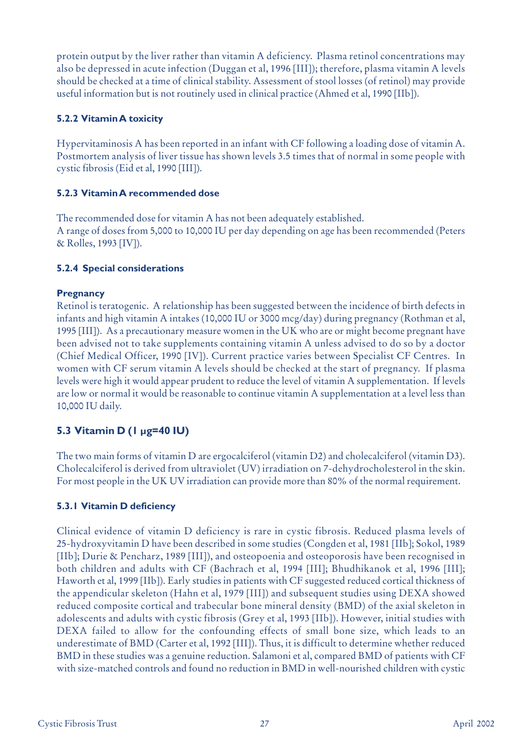protein output by the liver rather than vitamin A deficiency. Plasma retinol concentrations may also be depressed in acute infection (Duggan et al, 1996 [III]); therefore, plasma vitamin A levels should be checked at a time of clinical stability. Assessment of stool losses (of retinol) may provide useful information but is not routinely used in clinical practice (Ahmed et al, 1990 [IIb]).

## **5.2.2 Vitamin A toxicity**

Hypervitaminosis A has been reported in an infant with CF following a loading dose of vitamin A. Postmortem analysis of liver tissue has shown levels 3.5 times that of normal in some people with cystic fibrosis (Eid et al, 1990 [III]).

## **5.2.3 Vitamin A recommended dose**

The recommended dose for vitamin A has not been adequately established. A range of doses from 5,000 to 10,000 IU per day depending on age has been recommended (Peters & Rolles, 1993 [IV]).

## **5.2.4 Special considerations**

## **Pregnancy**

Retinol is teratogenic. A relationship has been suggested between the incidence of birth defects in infants and high vitamin A intakes (10,000 IU or 3000 mcg/day) during pregnancy (Rothman et al, 1995 [III]). As a precautionary measure women in the UK who are or might become pregnant have been advised not to take supplements containing vitamin A unless advised to do so by a doctor (Chief Medical Officer, 1990 [IV]). Current practice varies between Specialist CF Centres. In women with CF serum vitamin A levels should be checked at the start of pregnancy. If plasma levels were high it would appear prudent to reduce the level of vitamin A supplementation. If levels are low or normal it would be reasonable to continue vitamin A supplementation at a level less than 10,000 IU daily.

## **5.3 Vitamin D (1 µg=40 IU)**

The two main forms of vitamin D are ergocalciferol (vitamin D2) and cholecalciferol (vitamin D3). Cholecalciferol is derived from ultraviolet (UV) irradiation on 7-dehydrocholesterol in the skin. For most people in the UK UV irradiation can provide more than 80% of the normal requirement.

## **5.3.1 Vitamin D deficiency**

Clinical evidence of vitamin D deficiency is rare in cystic fibrosis. Reduced plasma levels of 25-hydroxyvitamin D have been described in some studies (Congden et al, 1981 [IIb]; Sokol, 1989 [IIb]; Durie & Pencharz, 1989 [III]), and osteopoenia and osteoporosis have been recognised in both children and adults with CF (Bachrach et al, 1994 [III]; Bhudhikanok et al, 1996 [III]; Haworth et al, 1999 [IIb]). Early studies in patients with CF suggested reduced cortical thickness of the appendicular skeleton (Hahn et al, 1979 [III]) and subsequent studies using DEXA showed reduced composite cortical and trabecular bone mineral density (BMD) of the axial skeleton in adolescents and adults with cystic fibrosis (Grey et al, 1993 [IIb]). However, initial studies with DEXA failed to allow for the confounding effects of small bone size, which leads to an underestimate of BMD (Carter et al, 1992 [III]). Thus, it is difficult to determine whether reduced BMD in these studies was a genuine reduction. Salamoni et al, compared BMD of patients with CF with size-matched controls and found no reduction in BMD in well-nourished children with cystic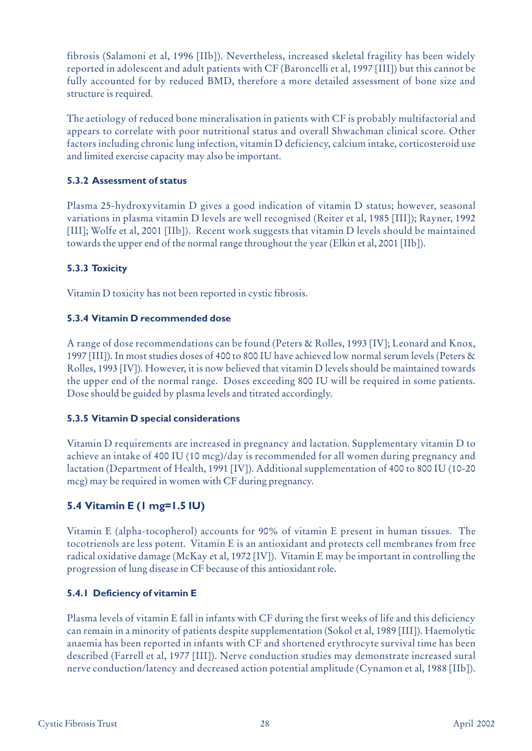fibrosis (Salamoni et al, 1996 [IIb]). Nevertheless, increased skeletal fragility has been widely reported in adolescent and adult patients with CF (Baroncelli et al, 1997 [III]) but this cannot be fully accounted for by reduced BMD, therefore a more detailed assessment of bone size and structure is required.

The aetiology of reduced bone mineralisation in patients with CF is probably multifactorial and appears to correlate with poor nutritional status and overall Shwachman clinical score. Other factors including chronic lung infection, vitamin D deficiency, calcium intake, corticosteroid use and limited exercise capacity may also be important.

## **5.3.2 Assessment of status**

Plasma 25-hydroxyvitamin D gives a good indication of vitamin D status; however, seasonal variations in plasma vitamin D levels are well recognised (Reiter et al, 1985 [III]); Rayner, 1992 [III]; Wolfe et al, 2001 [IIb]). Recent work suggests that vitamin D levels should be maintained towards the upper end of the normal range throughout the year (Elkin et al, 2001 [IIb]).

## **5.3.3 Toxicity**

Vitamin D toxicity has not been reported in cystic fibrosis.

## **5.3.4 Vitamin D recommended dose**

A range of dose recommendations can be found (Peters & Rolles, 1993 [IV]; Leonard and Knox, 1997 [III]). In most studies doses of 400 to 800 IU have achieved low normal serum levels (Peters & Rolles, 1993 [IV]). However, it is now believed that vitamin D levels should be maintained towards the upper end of the normal range. Doses exceeding 800 IU will be required in some patients. Dose should be guided by plasma levels and titrated accordingly.

## **5.3.5 Vitamin D special considerations**

Vitamin D requirements are increased in pregnancy and lactation. Supplementary vitamin D to achieve an intake of 400 IU (10 mcg)/day is recommended for all women during pregnancy and lactation (Department of Health, 1991 [IV]). Additional supplementation of 400 to 800 IU (10-20 mcg) may be required in women with CF during pregnancy.

## **5.4 Vitamin E (1 mg=1.5 IU)**

Vitamin E (alpha-tocopherol) accounts for 90% of vitamin E present in human tissues. The tocotrienols are less potent. Vitamin E is an antioxidant and protects cell membranes from free radical oxidative damage (McKay et al, 1972 [IV]). Vitamin E may be important in controlling the progression of lung disease in CF because of this antioxidant role.

## **5.4.1 Deficiency of vitamin E**

Plasma levels of vitamin E fall in infants with CF during the first weeks of life and this deficiency can remain in a minority of patients despite supplementation (Sokol et al, 1989 [III]). Haemolytic anaemia has been reported in infants with CF and shortened erythrocyte survival time has been described (Farrell et al, 1977 [III]). Nerve conduction studies may demonstrate increased sural nerve conduction/latency and decreased action potential amplitude (Cynamon et al, 1988 [IIb]).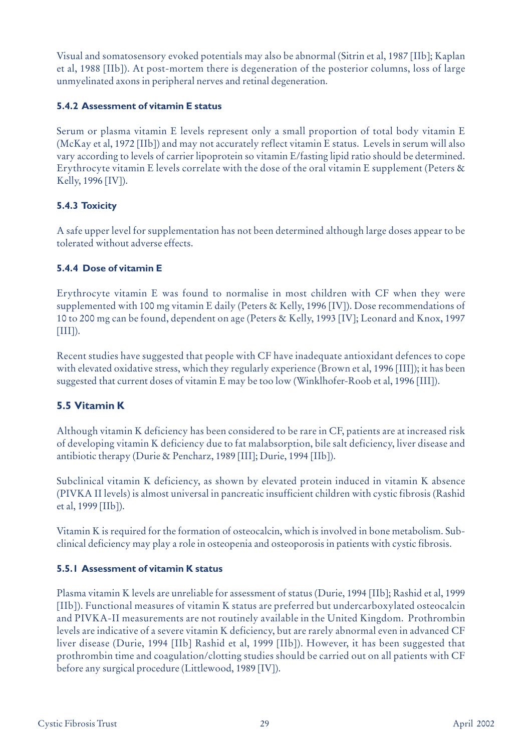Visual and somatosensory evoked potentials may also be abnormal (Sitrin et al, 1987 [IIb]; Kaplan et al, 1988 [IIb]). At post-mortem there is degeneration of the posterior columns, loss of large unmyelinated axons in peripheral nerves and retinal degeneration.

## **5.4.2 Assessment of vitamin E status**

Serum or plasma vitamin E levels represent only a small proportion of total body vitamin E (McKay et al, 1972 [IIb]) and may not accurately reflect vitamin E status. Levels in serum will also vary according to levels of carrier lipoprotein so vitamin E/fasting lipid ratio should be determined. Erythrocyte vitamin E levels correlate with the dose of the oral vitamin E supplement (Peters & Kelly, 1996 [IV]).

## **5.4.3 Toxicity**

A safe upper level for supplementation has not been determined although large doses appear to be tolerated without adverse effects.

## **5.4.4 Dose of vitamin E**

Erythrocyte vitamin E was found to normalise in most children with CF when they were supplemented with 100 mg vitamin E daily (Peters & Kelly, 1996 [IV]). Dose recommendations of 10 to 200 mg can be found, dependent on age (Peters & Kelly, 1993 [IV]; Leonard and Knox, 1997  $[III]$ ).

Recent studies have suggested that people with CF have inadequate antioxidant defences to cope with elevated oxidative stress, which they regularly experience (Brown et al, 1996 [III]); it has been suggested that current doses of vitamin E may be too low (Winklhofer-Roob et al, 1996 [III]).

## **5.5 Vitamin K**

Although vitamin K deficiency has been considered to be rare in CF, patients are at increased risk of developing vitamin K deficiency due to fat malabsorption, bile salt deficiency, liver disease and antibiotic therapy (Durie & Pencharz, 1989 [III]; Durie, 1994 [IIb]).

Subclinical vitamin K deficiency, as shown by elevated protein induced in vitamin K absence (PIVKA II levels) is almost universal in pancreatic insufficient children with cystic fibrosis (Rashid et al, 1999 [IIb]).

Vitamin K is required for the formation of osteocalcin, which is involved in bone metabolism. Subclinical deficiency may play a role in osteopenia and osteoporosis in patients with cystic fibrosis.

## **5.5.1 Assessment of vitamin K status**

Plasma vitamin K levels are unreliable for assessment of status (Durie, 1994 [IIb]; Rashid et al, 1999 [IIb]). Functional measures of vitamin K status are preferred but undercarboxylated osteocalcin and PIVKA-II measurements are not routinely available in the United Kingdom. Prothrombin levels are indicative of a severe vitamin K deficiency, but are rarely abnormal even in advanced CF liver disease (Durie, 1994 [IIb] Rashid et al, 1999 [IIb]). However, it has been suggested that prothrombin time and coagulation/clotting studies should be carried out on all patients with CF before any surgical procedure (Littlewood, 1989 [IV]).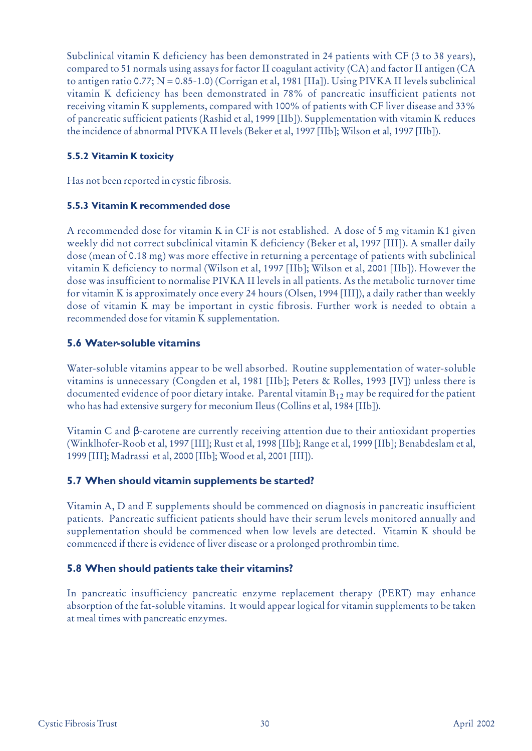Subclinical vitamin K deficiency has been demonstrated in 24 patients with CF (3 to 38 years), compared to 51 normals using assays for factor II coagulant activity (CA) and factor II antigen (CA to antigen ratio 0.77; N = 0.85-1.0) (Corrigan et al, 1981 [IIa]). Using PIVKA II levels subclinical vitamin K deficiency has been demonstrated in 78% of pancreatic insufficient patients not receiving vitamin K supplements, compared with 100% of patients with CF liver disease and 33% of pancreatic sufficient patients (Rashid et al, 1999 [IIb]). Supplementation with vitamin K reduces the incidence of abnormal PIVKA II levels (Beker et al, 1997 [IIb]; Wilson et al, 1997 [IIb]).

## **5.5.2 Vitamin K toxicity**

Has not been reported in cystic fibrosis.

## **5.5.3 Vitamin K recommended dose**

A recommended dose for vitamin K in CF is not established. A dose of 5 mg vitamin K1 given weekly did not correct subclinical vitamin K deficiency (Beker et al, 1997 [III]). A smaller daily dose (mean of 0.18 mg) was more effective in returning a percentage of patients with subclinical vitamin K deficiency to normal (Wilson et al, 1997 [IIb]; Wilson et al, 2001 [IIb]). However the dose was insufficient to normalise PIVKA II levels in all patients. As the metabolic turnover time for vitamin K is approximately once every 24 hours (Olsen, 1994 [III]), a daily rather than weekly dose of vitamin K may be important in cystic fibrosis. Further work is needed to obtain a recommended dose for vitamin K supplementation.

## **5.6 Water-soluble vitamins**

Water-soluble vitamins appear to be well absorbed. Routine supplementation of water-soluble vitamins is unnecessary (Congden et al, 1981 [IIb]; Peters & Rolles, 1993 [IV]) unless there is documented evidence of poor dietary intake. Parental vitamin  $B_{12}$  may be required for the patient who has had extensive surgery for meconium Ileus (Collins et al, 1984 [IIb]).

Vitamin C and β-carotene are currently receiving attention due to their antioxidant properties (Winklhofer-Roob et al, 1997 [III]; Rust et al, 1998 [IIb]; Range et al, 1999 [IIb]; Benabdeslam et al, 1999 [III]; Madrassi et al, 2000 [IIb]; Wood et al, 2001 [III]).

## **5.7 When should vitamin supplements be started?**

Vitamin A, D and E supplements should be commenced on diagnosis in pancreatic insufficient patients. Pancreatic sufficient patients should have their serum levels monitored annually and supplementation should be commenced when low levels are detected. Vitamin K should be commenced if there is evidence of liver disease or a prolonged prothrombin time.

## **5.8 When should patients take their vitamins?**

In pancreatic insufficiency pancreatic enzyme replacement therapy (PERT) may enhance absorption of the fat-soluble vitamins. It would appear logical for vitamin supplements to be taken at meal times with pancreatic enzymes.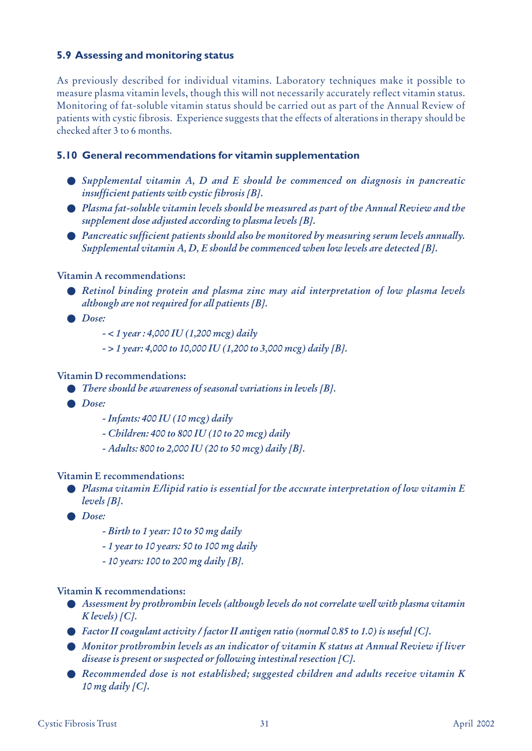## **5.9 Assessing and monitoring status**

As previously described for individual vitamins. Laboratory techniques make it possible to measure plasma vitamin levels, though this will not necessarily accurately reflect vitamin status. Monitoring of fat-soluble vitamin status should be carried out as part of the Annual Review of patients with cystic fibrosis. Experience suggests that the effects of alterations in therapy should be checked after 3 to 6 months.

## **5.10 General recommendations for vitamin supplementation**

- *Supplemental vitamin A, D and E should be commenced on diagnosis in pancreatic insufficient patients with cystic fibrosis [B].*
- *Plasma fat-soluble vitamin levels should be measured as part of the Annual Review and the supplement dose adjusted according to plasma levels [B].*
- *Pancreatic sufficient patients should also be monitored by measuring serum levels annually. Supplemental vitamin A, D, E should be commenced when low levels are detected [B].*

#### **Vitamin A recommendations:**

- *Retinol binding protein and plasma zinc may aid interpretation of low plasma levels although are not required for all patients [B].*
- *Dose:*
	- *< 1 year : 4,000 IU (1,200 mcg) daily*
	- *> 1 year: 4,000 to 10,000 IU (1,200 to 3,000 mcg) daily [B].*

#### **Vitamin D recommendations:**

- *There should be awareness of seasonal variations in levels [B].*
- *Dose:*
	- *Infants: 400 IU (10 mcg) daily*
	- *Children: 400 to 800 IU (10 to 20 mcg) daily*
	- *Adults: 800 to 2,000 IU (20 to 50 mcg) daily [B].*

#### **Vitamin E recommendations:**

- *Plasma vitamin E/lipid ratio is essential for the accurate interpretation of low vitamin E levels [B].*
- *Dose:*
	- *Birth to 1 year: 10 to 50 mg daily*
	- *1 year to 10 years: 50 to 100 mg daily*
	- *10 years: 100 to 200 mg daily [B].*

#### **Vitamin K recommendations:**

- *Assessment by prothrombin levels (although levels do not correlate well with plasma vitamin K levels) [C].*
- *Factor II coagulant activity / factor II antigen ratio (normal 0.85 to 1.0) is useful [C].*
- *Monitor prothrombin levels as an indicator of vitamin K status at Annual Review if liver disease is present or suspected or following intestinal resection [C].*
- *Recommended dose is not established; suggested children and adults receive vitamin K 10 mg daily [C].*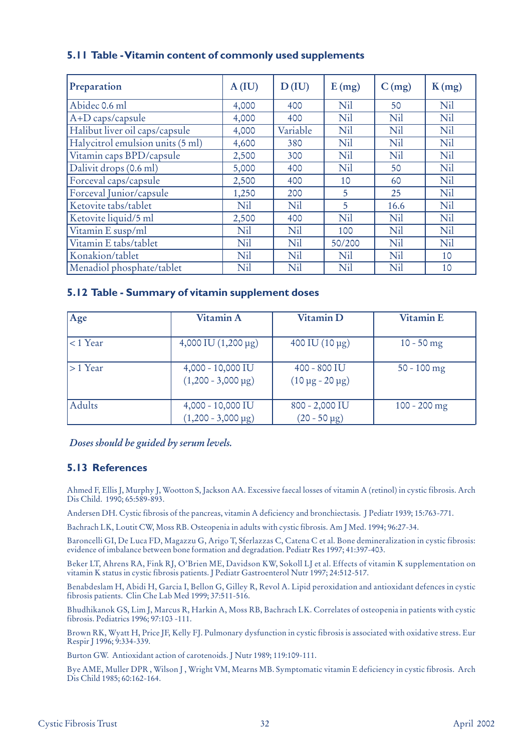|  |  | 5.11 Table - Vitamin content of commonly used supplements |  |  |
|--|--|-----------------------------------------------------------|--|--|
|  |  |                                                           |  |  |

| Preparation                      | A(IU) | D(IU)    | E(mg)  | C(mg) | K(mg) |
|----------------------------------|-------|----------|--------|-------|-------|
| Abidec 0.6 ml                    | 4,000 | 400      | Nil    | 50    | Nil   |
| A+D caps/capsule                 | 4,000 | 400      | Nil    | Nil   | Nil   |
| Halibut liver oil caps/capsule   | 4,000 | Variable | Nil    | Nil   | Nil   |
| Halycitrol emulsion units (5 ml) | 4,600 | 380      | Nil    | Nil   | Nil   |
| Vitamin caps BPD/capsule         | 2,500 | 300      | Nil    | Nil   | Nil   |
| Dalivit drops (0.6 ml)           | 5,000 | 400      | Nil    | 50    | Nil   |
| Forceval caps/capsule            | 2,500 | 400      | 10     | 60    | Nil   |
| Forceval Junior/capsule          | 1,250 | 200      | 5      | 25    | Nil   |
| Ketovite tabs/tablet             | Nil   | Nil      | 5      | 16.6  | Nil   |
| Ketovite liquid/5 ml             | 2,500 | 400      | Nil    | Nil   | Nil   |
| Vitamin E susp/ml                | Nil   | Nil      | 100    | Nil   | Nil   |
| Vitamin E tabs/tablet            | Nil   | Nil      | 50/200 | Nil   | Nil   |
| Konakion/tablet                  | Nil   | Nil      | Nil    | Nil   | 10    |
| Menadiol phosphate/tablet        | Nil   | Nil      | Nil    | Nil   | 10    |

#### **5.12 Table - Summary of vitamin supplement doses**

| Age        | Vitamin A                                      | Vitamin D                                     | <b>Vitamin E</b> |
|------------|------------------------------------------------|-----------------------------------------------|------------------|
| $<$ 1 Year | 4,000 IU $(1,200 \,\mu g)$                     | $400$ IU $(10 \,\mu g)$                       | $10 - 50$ mg     |
| $>1$ Year  | 4,000 - 10,000 IU<br>$(1,200 - 3,000 \,\mu g)$ | $400 - 800$ IU<br>$(10 \,\mu g - 20 \,\mu g)$ | $50 - 100$ mg    |
| Adults     | 4,000 - 10,000 IU<br>$(1,200 - 3,000 \,\mu g)$ | 800 - 2,000 IU<br>$(20 - 50 \,\mu g)$         | $100 - 200$ mg   |

#### *Doses should be guided by serum levels.*

## **5.13 References**

Ahmed F, Ellis J, Murphy J, Wootton S, Jackson AA. Excessive faecal losses of vitamin A (retinol) in cystic fibrosis. Arch Dis Child. 1990; 65:589-893.

Andersen DH. Cystic fibrosis of the pancreas, vitamin A deficiency and bronchiectasis. J Pediatr 1939; 15:763-771.

Bachrach LK, Loutit CW, Moss RB. Osteopenia in adults with cystic fibrosis. Am J Med. 1994; 96:27-34.

Baroncelli GI, De Luca FD, Magazzu G, Arigo T, Sferlazzas C, Catena C et al. Bone demineralization in cystic fibrosis: evidence of imbalance between bone formation and degradation. Pediatr Res 1997; 41:397-403.

Beker LT, Ahrens RA, Fink RJ, O'Brien ME, Davidson KW, Sokoll LJ et al. Effects of vitamin K supplementation on vitamin K status in cystic fibrosis patients. J Pediatr Gastroenterol Nutr 1997; 24:512-517.

Benabdeslam H, Abidi H, Garcia I, Bellon G, Gilley R, Revol A. Lipid peroxidation and antioxidant defences in cystic fibrosis patients. Clin Che Lab Med 1999; 37:511-516.

Bhudhikanok GS, Lim J, Marcus R, Harkin A, Moss RB, Bachrach LK. Correlates of osteopenia in patients with cystic fibrosis. Pediatrics 1996; 97:103 -111.

Brown RK, Wyatt H, Price JF, Kelly FJ. Pulmonary dysfunction in cystic fibrosis is associated with oxidative stress. Eur Respir J 1996; 9:334-339.

Burton GW. Antioxidant action of carotenoids. J Nutr 1989; 119:109-111.

Bye AME, Muller DPR , Wilson J , Wright VM, Mearns MB. Symptomatic vitamin E deficiency in cystic fibrosis. Arch Dis Child 1985; 60:162-164.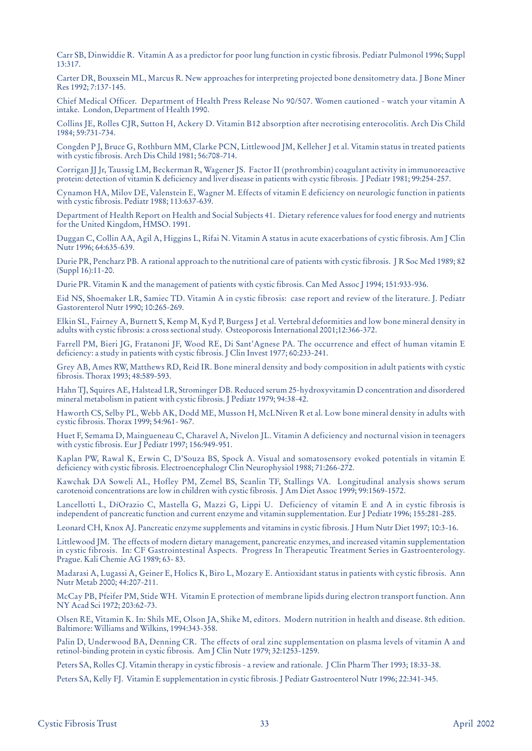Carr SB, Dinwiddie R. Vitamin A as a predictor for poor lung function in cystic fibrosis. Pediatr Pulmonol 1996; Suppl 13:317.

Carter DR, Bouxsein ML, Marcus R. New approaches for interpreting projected bone densitometry data. J Bone Miner Res 1992; 7:137-145.

Chief Medical Officer. Department of Health Press Release No 90/507. Women cautioned - watch your vitamin A intake. London, Department of Health 1990.

Collins JE, Rolles CJR, Sutton H, Ackery D. Vitamin B12 absorption after necrotising enterocolitis. Arch Dis Child 1984; 59:731-734.

Congden P J, Bruce G, Rothburn MM, Clarke PCN, Littlewood JM, Kelleher J et al. Vitamin status in treated patients with cystic fibrosis. Arch Dis Child 1981; 56:708-714.

Corrigan JJ Jr, Taussig LM, Beckerman R, Wagener JS. Factor II (prothrombin) coagulant activity in immunoreactive protein: detection of vitamin K deficiency and liver disease in patients with cystic fibrosis. J Pediatr 1981; 99:254-257.

Cynamon HA, Milov DE, Valenstein E, Wagner M. Effects of vitamin E deficiency on neurologic function in patients with cystic fibrosis. Pediatr 1988; 113:637-639.

Department of Health Report on Health and Social Subjects 41. Dietary reference values for food energy and nutrients for the United Kingdom, HMSO. 1991.

Duggan C, Collin AA, Agil A, Higgins L, Rifai N. Vitamin A status in acute exacerbations of cystic fibrosis. Am J Clin Nutr 1996; 64:635-639.

Durie PR, Pencharz PB. A rational approach to the nutritional care of patients with cystic fibrosis. J R Soc Med 1989; 82 (Suppl 16):11-20.

Durie PR. Vitamin K and the management of patients with cystic fibrosis. Can Med Assoc J 1994; 151:933-936.

Eid NS, Shoemaker LR, Samiec TD. Vitamin A in cystic fibrosis: case report and review of the literature. J. Pediatr Gastorenterol Nutr 1990; 10:265-269.

Elkin SL, Fairney A, Burnett S, Kemp M, Kyd P, Burgess J et al. Vertebral deformities and low bone mineral density in adults with cystic fibrosis: a cross sectional study. Osteoporosis International 2001;12:366-372.

Farrell PM, Bieri JG, Fratanoni JF, Wood RE, Di Sant'Agnese PA. The occurrence and effect of human vitamin E deficiency: a study in patients with cystic fibrosis. J Clin Invest 1977; 60:233-241.

Grey AB, Ames RW, Matthews RD, Reid IR. Bone mineral density and body composition in adult patients with cystic fibrosis. Thorax 1993; 48:589-593.

Hahn TJ, Squires AE, Halstead LR, Strominger DB. Reduced serum 25-hydroxyvitamin D concentration and disordered mineral metabolism in patient with cystic fibrosis. J Pediatr 1979; 94:38-42.

Haworth CS, Selby PL, Webb AK, Dodd ME, Musson H, McLNiven R et al. Low bone mineral density in adults with cystic fibrosis. Thorax 1999; 54:961- 967.

Huet F, Semama D, Maingueneau C, Charavel A, Nivelon JL. Vitamin A deficiency and nocturnal vision in teenagers with cystic fibrosis. Eur J Pediatr 1997; 156:949-951.

Kaplan PW, Rawal K, Erwin C, D'Souza BS, Spock A. Visual and somatosensory evoked potentials in vitamin E deficiency with cystic fibrosis. Electroencephalogr Clin Neurophysiol 1988; 71:266-272.

Kawchak DA Soweli AL, Hofley PM, Zemel BS, Scanlin TF, Stallings VA. Longitudinal analysis shows serum carotenoid concentrations are low in children with cystic fibrosis. J Am Diet Assoc 1999; 99:1569-1572.

Lancellotti L, DíOrazio C, Mastella G, Mazzi G, Lippi U. Deficiency of vitamin E and A in cystic fibrosis is independent of pancreatic function and current enzyme and vitamin supplementation. Eur J Pediatr 1996; 155:281-285.

Leonard CH, Knox AJ. Pancreatic enzyme supplements and vitamins in cystic fibrosis. J Hum Nutr Diet 1997; 10:3-16.

Littlewood JM. The effects of modern dietary management, pancreatic enzymes, and increased vitamin supplementation in cystic fibrosis. In: CF Gastrointestinal Aspects. Progress In Therapeutic Treatment Series in Gastroenterology. Prague. Kali Chemie AG 1989; 63- 83.

Madarasi A, Lugassi A, Geiner E, Holics K, Biro L, Mozary E. Antioxidant status in patients with cystic fibrosis. Ann Nutr Metab 2000; 44:207-211.

McCay PB, Pfeifer PM, Stide WH. Vitamin E protection of membrane lipids during electron transport function. Ann NY Acad Sci 1972; 203:62-73.

Olsen RE, Vitamin K. In: Shils ME, Olson JA, Shike M, editors. Modern nutrition in health and disease. 8th edition. Baltimore: Williams and Wilkins, 1994:343-358.

Palin D, Underwood BA, Denning CR. The effects of oral zinc supplementation on plasma levels of vitamin A and retinol-binding protein in cystic fibrosis. Am J Clin Nutr 1979; 32:1253-1259.

Peters SA, Rolles CJ. Vitamin therapy in cystic fibrosis - a review and rationale. J Clin Pharm Ther 1993; 18:33-38.

Peters SA, Kelly FJ. Vitamin E supplementation in cystic fibrosis. J Pediatr Gastroenterol Nutr 1996; 22:341-345.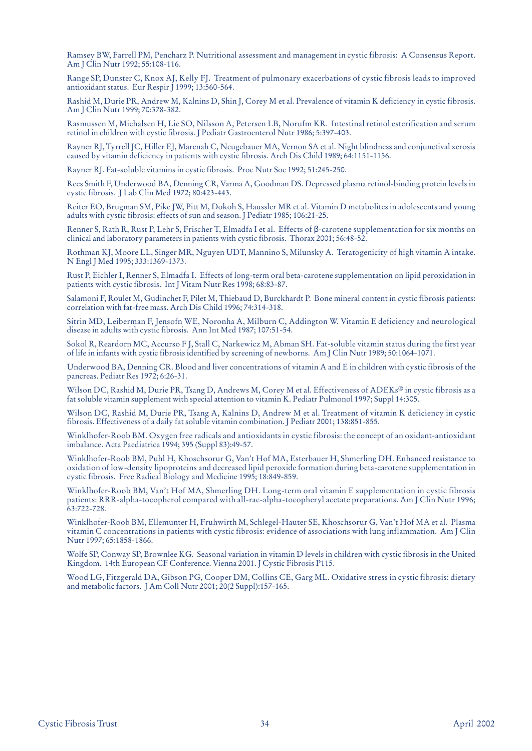Ramsey BW, Farrell PM, Pencharz P. Nutritional assessment and management in cystic fibrosis: A Consensus Report. Am J Clin Nutr 1992; 55:108-116.

Range SP, Dunster C, Knox AJ, Kelly FJ. Treatment of pulmonary exacerbations of cystic fibrosis leads to improved antioxidant status. Eur Respir J 1999; 13:560-564.

Rashid M, Durie PR, Andrew M, Kalnins D, Shin J, Corey M et al. Prevalence of vitamin K deficiency in cystic fibrosis. Am J Clin Nutr 1999; 70:378-382.

Rasmussen M, Michalsen H, Lie SO, Nilsson A, Petersen LB, Norufm KR. Intestinal retinol esterification and serum retinol in children with cystic fibrosis. J Pediatr Gastroenterol Nutr 1986; 5:397-403.

Rayner RJ, Tyrrell JC, Hiller EJ, Marenah C, Neugebauer MA, Vernon SA et al. Night blindness and conjunctival xerosis caused by vitamin deficiency in patients with cystic fibrosis. Arch Dis Child 1989; 64:1151-1156.

Rayner RJ. Fat-soluble vitamins in cystic fibrosis. Proc Nutr Soc 1992; 51:245-250.

Rees Smith F, Underwood BA, Denning CR, Varma A, Goodman DS. Depressed plasma retinol-binding protein levels in cystic fibrosis. J Lab Clin Med 1972; 80:423-443.

Reiter EO, Brugman SM, Pike JW, Pitt M, Dokoh S, Haussler MR et al. Vitamin D metabolites in adolescents and young adults with cystic fibrosis: effects of sun and season. J Pediatr 1985; 106:21-25.

Renner S, Rath R, Rust P, Lehr S, Frischer T, Elmadfa I et al. Effects of β-carotene supplementation for six months on clinical and laboratory parameters in patients with cystic fibrosis. Thorax 2001; 56:48-52.

Rothman KJ, Moore LL, Singer MR, Nguyen UDT, Mannino S, Milunsky A. Teratogenicity of high vitamin A intake. N Engl J Med 1995; 333:1369-1373.

Rust P, Eichler I, Renner S, Elmadfa I. Effects of long-term oral beta-carotene supplementation on lipid peroxidation in patients with cystic fibrosis. Int J Vitam Nutr Res 1998; 68:83-87.

Salamoni F, Roulet M, Gudinchet F, Pilet M, Thiebaud D, Burckhardt P. Bone mineral content in cystic fibrosis patients: correlation with fat-free mass. Arch Dis Child 1996; 74:314-318.

Sitrin MD, Leiberman F, Jensofn WE, Noronha A, Milburn C, Addington W. Vitamin E deficiency and neurological disease in adults with cystic fibrosis. Ann Int Med 1987; 107:51-54.

Sokol R, Reardorn MC, Accurso F J, Stall C, Narkewicz M, Abman SH. Fat-soluble vitamin status during the first year of life in infants with cystic fibrosis identified by screening of newborns. Am J Clin Nutr 1989; 50:1064-1071.

Underwood BA, Denning CR. Blood and liver concentrations of vitamin A and E in children with cystic fibrosis of the pancreas. Pediatr Res 1972; 6:26-31.

Wilson DC, Rashid M, Durie PR, Tsang D, Andrews M, Corey M et al. Effectiveness of ADEKs® in cystic fibrosis as a fat soluble vitamin supplement with special attention to vitamin K. Pediatr Pulmonol 1997; Suppl 14:305.

Wilson DC, Rashid M, Durie PR, Tsang A, Kalnins D, Andrew M et al. Treatment of vitamin K deficiency in cystic fibrosis. Effectiveness of a daily fat soluble vitamin combination. J Pediatr 2001; 138:851-855.

Winklhofer-Roob BM. Oxygen free radicals and antioxidants in cystic fibrosis: the concept of an oxidant-antioxidant imbalance. Acta Paediatrica 1994; 395 (Suppl 83):49-57.

Winklhofer-Roob BM, Puhl H, Khoschsorur G, Van't Hof MA, Esterbauer H, Shmerling DH. Enhanced resistance to oxidation of low-density lipoproteins and decreased lipid peroxide formation during beta-carotene supplementation in cystic fibrosis. Free Radical Biology and Medicine 1995; 18:849-859.

Winklhofer-Roob BM, Van't Hof MA, Shmerling DH. Long-term oral vitamin E supplementation in cystic fibrosis patients: RRR-alpha-tocopherol compared with all-rac-alpha-tocopheryl acetate preparations. Am J Clin Nutr 1996; 63:722-728.

Winklhofer-Roob BM, Ellemunter H, Fruhwirth M, Schlegel-Hauter SE, Khoschsorur G, Van't Hof MA et al. Plasma vitamin C concentrations in patients with cystic fibrosis: evidence of associations with lung inflammation. Am J Clin Nutr 1997; 65:1858-1866.

Wolfe SP, Conway SP, Brownlee KG. Seasonal variation in vitamin D levels in children with cystic fibrosis in the United Kingdom. 14th European CF Conference. Vienna 2001. J Cystic Fibrosis P115.

Wood LG, Fitzgerald DA, Gibson PG, Cooper DM, Collins CE, Garg ML. Oxidative stress in cystic fibrosis: dietary and metabolic factors. J Am Coll Nutr 2001; 20(2 Suppl):157-165.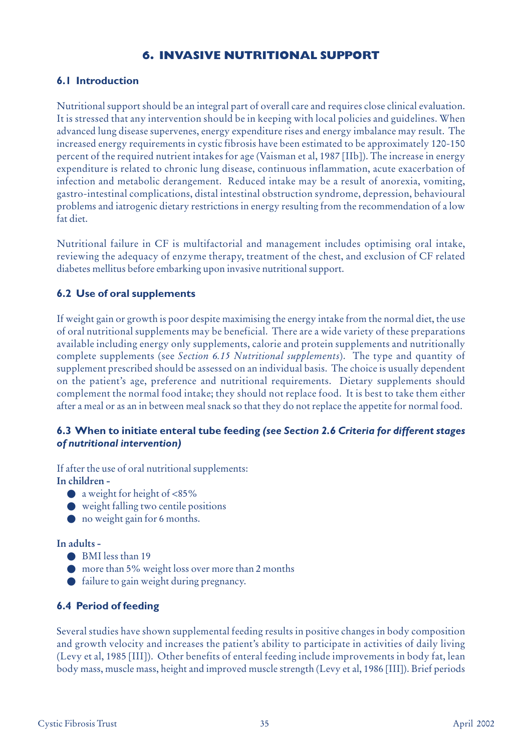## **6. INVASIVE NUTRITIONAL SUPPORT**

## **6.1 Introduction**

Nutritional support should be an integral part of overall care and requires close clinical evaluation. It is stressed that any intervention should be in keeping with local policies and guidelines. When advanced lung disease supervenes, energy expenditure rises and energy imbalance may result. The increased energy requirements in cystic fibrosis have been estimated to be approximately 120-150 percent of the required nutrient intakes for age (Vaisman et al, 1987 [IIb]). The increase in energy expenditure is related to chronic lung disease, continuous inflammation, acute exacerbation of infection and metabolic derangement. Reduced intake may be a result of anorexia, vomiting, gastro-intestinal complications, distal intestinal obstruction syndrome, depression, behavioural problems and iatrogenic dietary restrictions in energy resulting from the recommendation of a low fat diet.

Nutritional failure in CF is multifactorial and management includes optimising oral intake, reviewing the adequacy of enzyme therapy, treatment of the chest, and exclusion of CF related diabetes mellitus before embarking upon invasive nutritional support.

## **6.2 Use of oral supplements**

If weight gain or growth is poor despite maximising the energy intake from the normal diet, the use of oral nutritional supplements may be beneficial. There are a wide variety of these preparations available including energy only supplements, calorie and protein supplements and nutritionally complete supplements (see *Section 6.15 Nutritional supplements*). The type and quantity of supplement prescribed should be assessed on an individual basis. The choice is usually dependent on the patient's age, preference and nutritional requirements. Dietary supplements should complement the normal food intake; they should not replace food. It is best to take them either after a meal or as an in between meal snack so that they do not replace the appetite for normal food.

## **6.3 When to initiate enteral tube feeding** *(see Section 2.6 Criteria for different stages of nutritional intervention)*

If after the use of oral nutritional supplements: **In children -**

- a weight for height of  $<85\%$
- weight falling two centile positions
- no weight gain for 6 months.

#### **In adults -**

- BMI less than 19
- more than 5% weight loss over more than 2 months
- failure to gain weight during pregnancy.

## **6.4 Period of feeding**

Several studies have shown supplemental feeding results in positive changes in body composition and growth velocity and increases the patient's ability to participate in activities of daily living (Levy et al, 1985 [III]). Other benefits of enteral feeding include improvements in body fat, lean body mass, muscle mass, height and improved muscle strength (Levy et al, 1986 [III]). Brief periods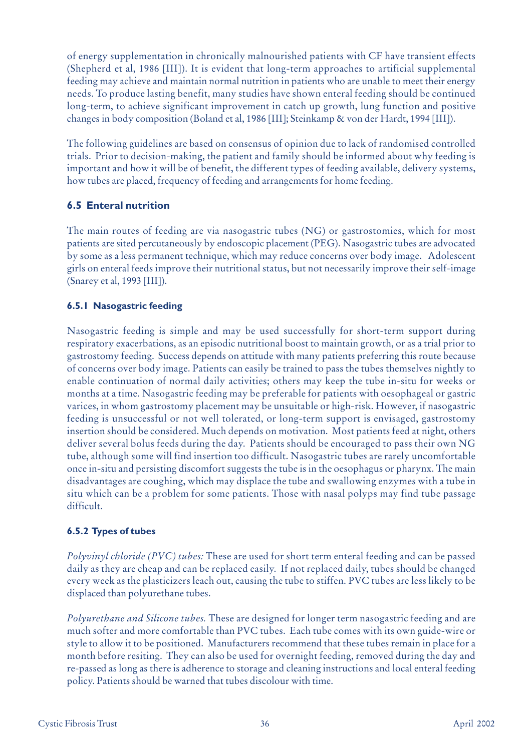of energy supplementation in chronically malnourished patients with CF have transient effects (Shepherd et al, 1986 [III]). It is evident that long-term approaches to artificial supplemental feeding may achieve and maintain normal nutrition in patients who are unable to meet their energy needs. To produce lasting benefit, many studies have shown enteral feeding should be continued long-term, to achieve significant improvement in catch up growth, lung function and positive changes in body composition (Boland et al, 1986 [III]; Steinkamp & von der Hardt, 1994 [III]).

The following guidelines are based on consensus of opinion due to lack of randomised controlled trials. Prior to decision-making, the patient and family should be informed about why feeding is important and how it will be of benefit, the different types of feeding available, delivery systems, how tubes are placed, frequency of feeding and arrangements for home feeding.

## **6.5 Enteral nutrition**

The main routes of feeding are via nasogastric tubes (NG) or gastrostomies, which for most patients are sited percutaneously by endoscopic placement (PEG). Nasogastric tubes are advocated by some as a less permanent technique, which may reduce concerns over body image. Adolescent girls on enteral feeds improve their nutritional status, but not necessarily improve their self-image (Snarey et al, 1993 [III]).

## **6.5.1 Nasogastric feeding**

Nasogastric feeding is simple and may be used successfully for short-term support during respiratory exacerbations, as an episodic nutritional boost to maintain growth, or as a trial prior to gastrostomy feeding. Success depends on attitude with many patients preferring this route because of concerns over body image. Patients can easily be trained to pass the tubes themselves nightly to enable continuation of normal daily activities; others may keep the tube in-situ for weeks or months at a time. Nasogastric feeding may be preferable for patients with oesophageal or gastric varices, in whom gastrostomy placement may be unsuitable or high-risk. However, if nasogastric feeding is unsuccessful or not well tolerated, or long-term support is envisaged, gastrostomy insertion should be considered. Much depends on motivation. Most patients feed at night, others deliver several bolus feeds during the day. Patients should be encouraged to pass their own NG tube, although some will find insertion too difficult. Nasogastric tubes are rarely uncomfortable once in-situ and persisting discomfort suggests the tube is in the oesophagus or pharynx. The main disadvantages are coughing, which may displace the tube and swallowing enzymes with a tube in situ which can be a problem for some patients. Those with nasal polyps may find tube passage difficult.

## **6.5.2 Types of tubes**

*Polyvinyl chloride (PVC) tubes:* These are used for short term enteral feeding and can be passed daily as they are cheap and can be replaced easily. If not replaced daily, tubes should be changed every week as the plasticizers leach out, causing the tube to stiffen. PVC tubes are less likely to be displaced than polyurethane tubes.

*Polyurethane and Silicone tubes.* These are designed for longer term nasogastric feeding and are much softer and more comfortable than PVC tubes. Each tube comes with its own guide-wire or style to allow it to be positioned. Manufacturers recommend that these tubes remain in place for a month before resiting. They can also be used for overnight feeding, removed during the day and re-passed as long as there is adherence to storage and cleaning instructions and local enteral feeding policy. Patients should be warned that tubes discolour with time.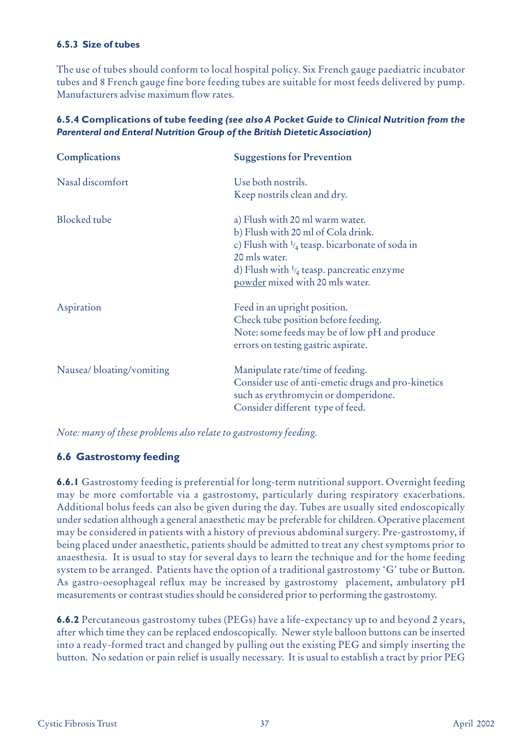## **6.5.3 Size of tubes**

The use of tubes should conform to local hospital policy. Six French gauge paediatric incubator tubes and 8 French gauge fine bore feeding tubes are suitable for most feeds delivered by pump. Manufacturers advise maximum flow rates.

| <b>Complications</b>     | <b>Suggestions for Prevention</b>                                                                                                                                                                                                              |
|--------------------------|------------------------------------------------------------------------------------------------------------------------------------------------------------------------------------------------------------------------------------------------|
| Nasal discomfort         | Use both nostrils.<br>Keep nostrils clean and dry.                                                                                                                                                                                             |
| <b>Blocked</b> tube      | a) Flush with 20 ml warm water.<br>b) Flush with 20 ml of Cola drink.<br>c) Flush with $\frac{1}{4}$ teasp. bicarbonate of soda in<br>20 mls water.<br>d) Flush with $\frac{1}{4}$ teasp. pancreatic enzyme<br>powder mixed with 20 mls water. |
| Aspiration               | Feed in an upright position.<br>Check tube position before feeding.<br>Note: some feeds may be of low pH and produce<br>errors on testing gastric aspirate.                                                                                    |
| Nausea/bloating/vomiting | Manipulate rate/time of feeding.<br>Consider use of anti-emetic drugs and pro-kinetics<br>such as erythromycin or domperidone.<br>Consider different type of feed.                                                                             |

## **6.5.4 Complications of tube feeding** *(see also A Pocket Guide to Clinical Nutrition from the Parenteral and Enteral Nutrition Group of the British Dietetic Association)*

*Note: many of these problems also relate to gastrostomy feeding.*

## **6.6 Gastrostomy feeding**

**6.6.1** Gastrostomy feeding is preferential for long-term nutritional support. Overnight feeding may be more comfortable via a gastrostomy, particularly during respiratory exacerbations. Additional bolus feeds can also be given during the day. Tubes are usually sited endoscopically under sedation although a general anaesthetic may be preferable for children. Operative placement may be considered in patients with a history of previous abdominal surgery. Pre-gastrostomy, if being placed under anaesthetic, patients should be admitted to treat any chest symptoms prior to anaesthesia. It is usual to stay for several days to learn the technique and for the home feeding system to be arranged. Patients have the option of a traditional gastrostomy 'G' tube or Button. As gastro-oesophageal reflux may be increased by gastrostomy placement, ambulatory pH measurements or contrast studies should be considered prior to performing the gastrostomy.

**6.6.2** Percutaneous gastrostomy tubes (PEGs) have a life-expectancy up to and beyond 2 years, after which time they can be replaced endoscopically. Newer style balloon buttons can be inserted into a ready-formed tract and changed by pulling out the existing PEG and simply inserting the button. No sedation or pain relief is usually necessary. It is usual to establish a tract by prior PEG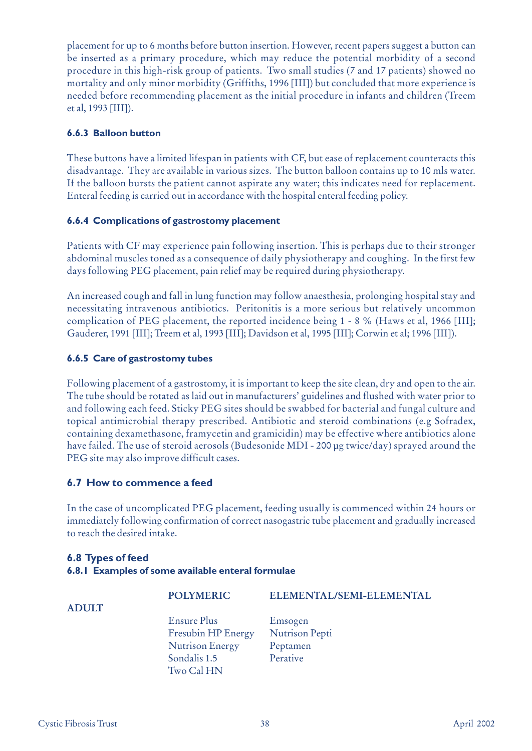placement for up to 6 months before button insertion. However, recent papers suggest a button can be inserted as a primary procedure, which may reduce the potential morbidity of a second procedure in this high-risk group of patients. Two small studies (7 and 17 patients) showed no mortality and only minor morbidity (Griffiths, 1996 [III]) but concluded that more experience is needed before recommending placement as the initial procedure in infants and children (Treem et al, 1993 [III]).

## **6.6.3 Balloon button**

These buttons have a limited lifespan in patients with CF, but ease of replacement counteracts this disadvantage. They are available in various sizes. The button balloon contains up to 10 mls water. If the balloon bursts the patient cannot aspirate any water; this indicates need for replacement. Enteral feeding is carried out in accordance with the hospital enteral feeding policy.

## **6.6.4 Complications of gastrostomy placement**

Patients with CF may experience pain following insertion. This is perhaps due to their stronger abdominal muscles toned as a consequence of daily physiotherapy and coughing. In the first few days following PEG placement, pain relief may be required during physiotherapy.

An increased cough and fall in lung function may follow anaesthesia, prolonging hospital stay and necessitating intravenous antibiotics. Peritonitis is a more serious but relatively uncommon complication of PEG placement, the reported incidence being 1 - 8 % (Haws et al, 1966 [III]; Gauderer, 1991 [III]; Treem et al, 1993 [III]; Davidson et al, 1995 [III]; Corwin et al; 1996 [III]).

## **6.6.5 Care of gastrostomy tubes**

Following placement of a gastrostomy, it is important to keep the site clean, dry and open to the air. The tube should be rotated as laid out in manufacturers' guidelines and flushed with water prior to and following each feed. Sticky PEG sites should be swabbed for bacterial and fungal culture and topical antimicrobial therapy prescribed. Antibiotic and steroid combinations (e.g Sofradex, containing dexamethasone, framycetin and gramicidin) may be effective where antibiotics alone have failed. The use of steroid aerosols (Budesonide MDI - 200 µg twice/day) sprayed around the PEG site may also improve difficult cases.

## **6.7 How to commence a feed**

In the case of uncomplicated PEG placement, feeding usually is commenced within 24 hours or immediately following confirmation of correct nasogastric tube placement and gradually increased to reach the desired intake.

## **6.8 Types of feed 6.8.1 Examples of some available enteral formulae**

| <b>POLYMERIC</b>                                                                                 | ELEMENTAL/SEMI-ELEMENTAL                          |
|--------------------------------------------------------------------------------------------------|---------------------------------------------------|
| <b>Ensure Plus</b><br>Fresubin HP Energy<br><b>Nutrison Energy</b><br>Sondalis 1.5<br>Two Cal HN | Emsogen<br>Nutrison Pepti<br>Peptamen<br>Perative |

**ADULT**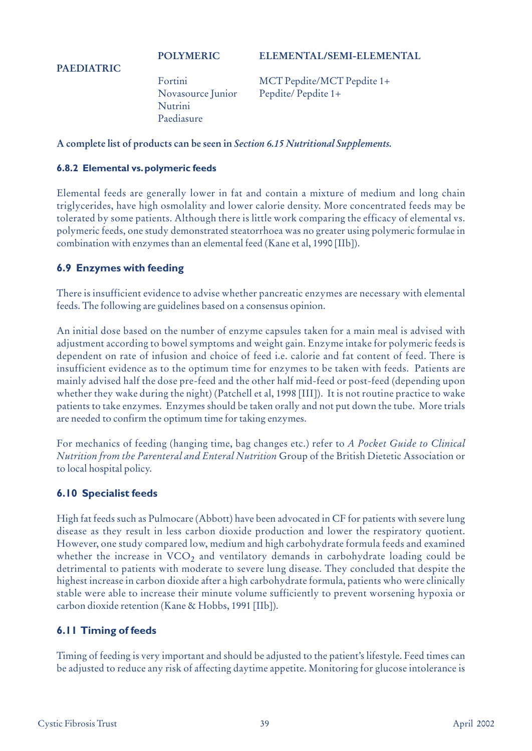## **POLYMERIC ELEMENTAL/SEMI-ELEMENTAL**

#### **PAEDIATRIC**

Nutrini Paediasure

Fortini MCT Pepdite/MCT Pepdite 1+ Novasource Junior Pepdite/ Pepdite 1+

## **A complete list of products can be seen in** *Section 6.15 Nutritional Supplements.*

#### **6.8.2 Elemental vs.polymeric feeds**

Elemental feeds are generally lower in fat and contain a mixture of medium and long chain triglycerides, have high osmolality and lower calorie density. More concentrated feeds may be tolerated by some patients. Although there is little work comparing the efficacy of elemental vs. polymeric feeds, one study demonstrated steatorrhoea was no greater using polymeric formulae in combination with enzymes than an elemental feed (Kane et al, 1990 [IIb]).

## **6.9 Enzymes with feeding**

There is insufficient evidence to advise whether pancreatic enzymes are necessary with elemental feeds. The following are guidelines based on a consensus opinion.

An initial dose based on the number of enzyme capsules taken for a main meal is advised with adjustment according to bowel symptoms and weight gain. Enzyme intake for polymeric feeds is dependent on rate of infusion and choice of feed i.e. calorie and fat content of feed. There is insufficient evidence as to the optimum time for enzymes to be taken with feeds. Patients are mainly advised half the dose pre-feed and the other half mid-feed or post-feed (depending upon whether they wake during the night) (Patchell et al, 1998 [III]). It is not routine practice to wake patients to take enzymes. Enzymes should be taken orally and not put down the tube. More trials are needed to confirm the optimum time for taking enzymes.

For mechanics of feeding (hanging time, bag changes etc.) refer to *A Pocket Guide to Clinical Nutrition from the Parenteral and Enteral Nutrition* Group of the British Dietetic Association or to local hospital policy.

#### **6.10 Specialist feeds**

High fat feeds such as Pulmocare (Abbott) have been advocated in CF for patients with severe lung disease as they result in less carbon dioxide production and lower the respiratory quotient. However, one study compared low, medium and high carbohydrate formula feeds and examined whether the increase in  $VCO<sub>2</sub>$  and ventilatory demands in carbohydrate loading could be detrimental to patients with moderate to severe lung disease. They concluded that despite the highest increase in carbon dioxide after a high carbohydrate formula, patients who were clinically stable were able to increase their minute volume sufficiently to prevent worsening hypoxia or carbon dioxide retention (Kane & Hobbs, 1991 [IIb]).

## **6.11 Timing of feeds**

Timing of feeding is very important and should be adjusted to the patient's lifestyle. Feed times can be adjusted to reduce any risk of affecting daytime appetite. Monitoring for glucose intolerance is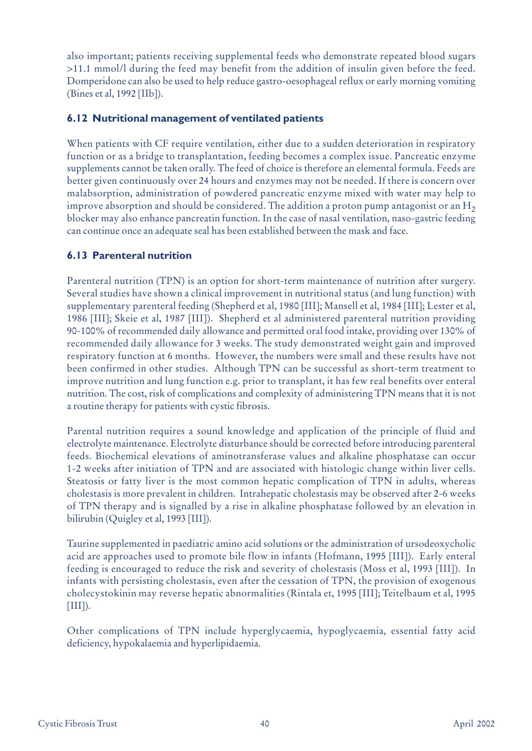also important; patients receiving supplemental feeds who demonstrate repeated blood sugars >11.1 mmol/l during the feed may benefit from the addition of insulin given before the feed. Domperidone can also be used to help reduce gastro-oesophageal reflux or early morning vomiting (Bines et al, 1992 [IIb]).

## **6.12 Nutritional management of ventilated patients**

When patients with CF require ventilation, either due to a sudden deterioration in respiratory function or as a bridge to transplantation, feeding becomes a complex issue. Pancreatic enzyme supplements cannot be taken orally. The feed of choice is therefore an elemental formula. Feeds are better given continuously over 24 hours and enzymes may not be needed. If there is concern over malabsorption, administration of powdered pancreatic enzyme mixed with water may help to improve absorption and should be considered. The addition a proton pump antagonist or an  $H_2$ blocker may also enhance pancreatin function. In the case of nasal ventilation, naso-gastric feeding can continue once an adequate seal has been established between the mask and face.

## **6.13 Parenteral nutrition**

Parenteral nutrition (TPN) is an option for short-term maintenance of nutrition after surgery. Several studies have shown a clinical improvement in nutritional status (and lung function) with supplementary parenteral feeding (Shepherd et al, 1980 [III]; Mansell et al, 1984 [III]; Lester et al, 1986 [III]; Skeie et al, 1987 [III]). Shepherd et al administered parenteral nutrition providing 90-100% of recommended daily allowance and permitted oral food intake, providing over 130% of recommended daily allowance for 3 weeks. The study demonstrated weight gain and improved respiratory function at 6 months. However, the numbers were small and these results have not been confirmed in other studies. Although TPN can be successful as short-term treatment to improve nutrition and lung function e.g. prior to transplant, it has few real benefits over enteral nutrition. The cost, risk of complications and complexity of administering TPN means that it is not a routine therapy for patients with cystic fibrosis.

Parental nutrition requires a sound knowledge and application of the principle of fluid and electrolyte maintenance. Electrolyte disturbance should be corrected before introducing parenteral feeds. Biochemical elevations of aminotransferase values and alkaline phosphatase can occur 1-2 weeks after initiation of TPN and are associated with histologic change within liver cells. Steatosis or fatty liver is the most common hepatic complication of TPN in adults, whereas cholestasis is more prevalent in children. Intrahepatic cholestasis may be observed after 2-6 weeks of TPN therapy and is signalled by a rise in alkaline phosphatase followed by an elevation in bilirubin (Quigley et al, 1993 [III]).

Taurine supplemented in paediatric amino acid solutions or the administration of ursodeoxycholic acid are approaches used to promote bile flow in infants (Hofmann, 1995 [III]). Early enteral feeding is encouraged to reduce the risk and severity of cholestasis (Moss et al, 1993 [III]). In infants with persisting cholestasis, even after the cessation of TPN, the provision of exogenous cholecystokinin may reverse hepatic abnormalities (Rintala et, 1995 [III]; Teitelbaum et al, 1995  $[III]$ ).

Other complications of TPN include hyperglycaemia, hypoglycaemia, essential fatty acid deficiency, hypokalaemia and hyperlipidaemia.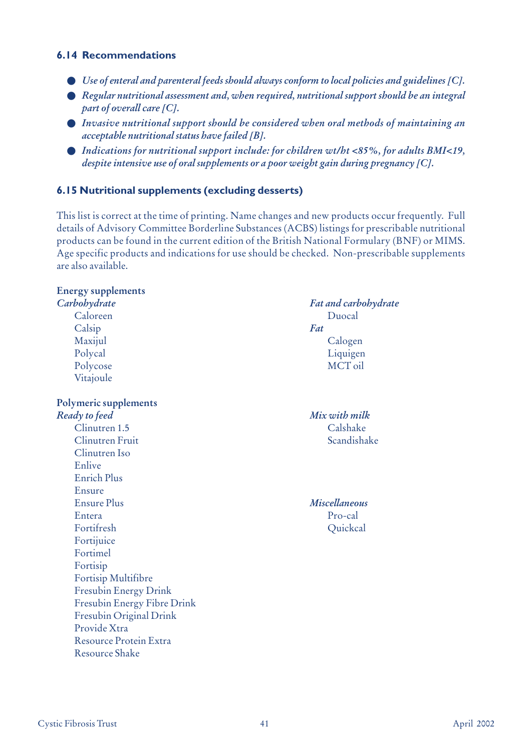## **6.14 Recommendations**

- *Use of enteral and parenteral feeds should always conform to local policies and guidelines [C].*
- *Regular nutritional assessment and, when required, nutritional support should be an integral part of overall care [C].*
- *Invasive nutritional support should be considered when oral methods of maintaining an acceptable nutritional status have failed [B].*
- *Indications for nutritional support include: for children wt/ht <85%, for adults BMI<19, despite intensive use of oral supplements or a poor weight gain during pregnancy [C].*

## **6.15 Nutritional supplements (excluding desserts)**

This list is correct at the time of printing. Name changes and new products occur frequently. Full details of Advisory Committee Borderline Substances (ACBS) listings for prescribable nutritional products can be found in the current edition of the British National Formulary (BNF) or MIMS. Age specific products and indications for use should be checked. Non-prescribable supplements are also available.

## **Energy supplements** *Carbohydrate Fat and carbohydrate* Caloreen Duocal Calsip *Fat* Maxijul Calogen Polycal Liquigen Polycose MCT oil Vitajoule **Polymeric supplements** *Ready to feed Mix with milk* Clinutren 1.5 Calshake Clinutren Fruit Scandishake Clinutren Iso Enlive Enrich Plus Ensure Ensure Plus *Miscellaneous* Entera Pro-cal Fortifresh Quickcal Fortijuice Fortimel Fortisip Fortisip Multifibre Fresubin Energy Drink Fresubin Energy Fibre Drink Fresubin Original Drink Provide Xtra Resource Protein Extra Resource Shake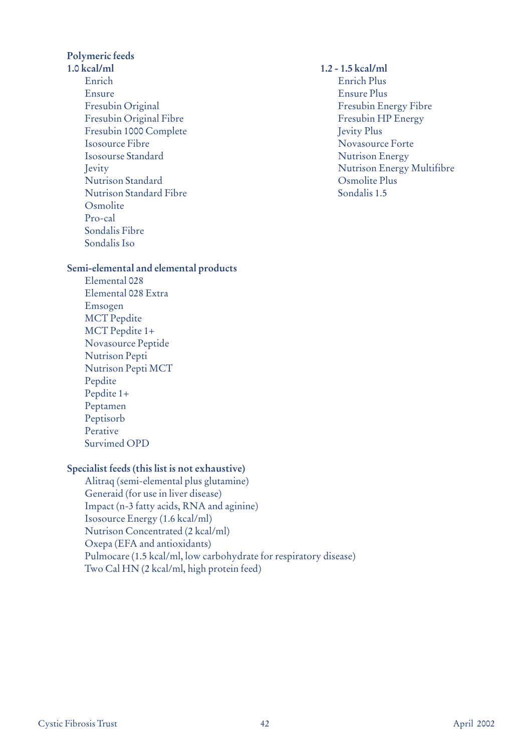**Polymeric feeds**

**1.0 kcal/ml 1.2 - 1.5 kcal/ml** Enrich Enrich Plus Ensure Ensure Plus Fresubin Original Fresubin Energy Fibre Fresubin Original Fibre Fresubin HP Energy Fresubin 1000 Complete Jevity Plus Isosource Fibre Novasource Forte Isosourse Standard Nutrison Energy Nutrison Standard Osmolite Plus Nutrison Standard Fibre Sondalis 1.5 **Osmolite** Pro-cal Sondalis Fibre Sondalis Iso

Jevity Nutrison Energy Multifibre

#### **Semi-elemental and elemental products**

Elemental 028 Elemental 028 Extra Emsogen MCT Pepdite MCT Pepdite 1+ Novasource Peptide Nutrison Pepti Nutrison Pepti MCT Pepdite Pepdite 1+ Peptamen Peptisorb Perative Survimed OPD

## **Specialist feeds (this list is not exhaustive)**

Alitraq (semi-elemental plus glutamine) Generaid (for use in liver disease) Impact (n-3 fatty acids, RNA and aginine) Isosource Energy (1.6 kcal/ml) Nutrison Concentrated (2 kcal/ml) Oxepa (EFA and antioxidants) Pulmocare (1.5 kcal/ml, low carbohydrate for respiratory disease) Two Cal HN (2 kcal/ml, high protein feed)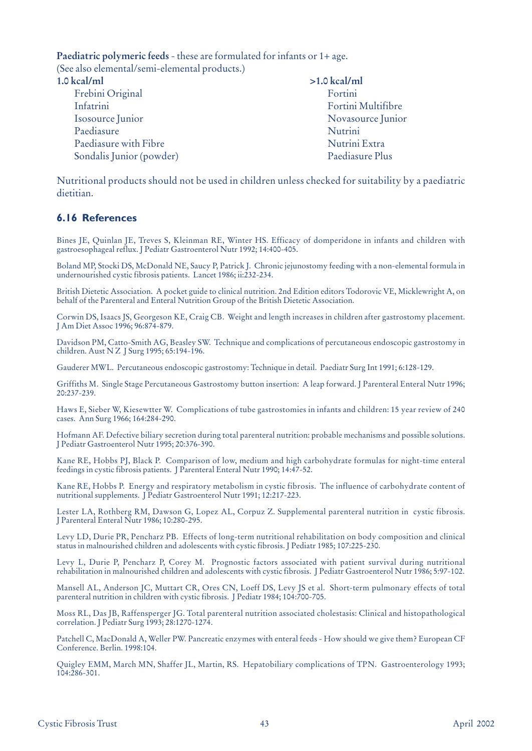**Paediatric polymeric feeds** - these are formulated for infants or 1+ age.

(See also elemental/semi-elemental products.)

| $1.0$ kcal/ml            | $>1.0$ kcal/ml     |
|--------------------------|--------------------|
| Frebini Original         | Fortini            |
| Infatrini                | Fortini Multifibre |
| Isosource Junior         | Novasource Junior  |
| Paediasure               | Nutrini            |
| Paediasure with Fibre    | Nutrini Extra      |
| Sondalis Junior (powder) | Paediasure Plus    |

Nutritional products should not be used in children unless checked for suitability by a paediatric dietitian.

## **6.16 References**

Bines JE, Quinlan JE, Treves S, Kleinman RE, Winter HS. Efficacy of domperidone in infants and children with gastroesophageal reflux. J Pediatr Gastroenterol Nutr 1992; 14:400-405.

Boland MP, Stocki DS, McDonald NE, Saucy P, Patrick J. Chronic jejunostomy feeding with a non-elemental formula in undernourished cystic fibrosis patients. Lancet 1986; ii:232-234.

British Dietetic Association. A pocket guide to clinical nutrition. 2nd Edition editors Todorovic VE, Micklewright A, on behalf of the Parenteral and Enteral Nutrition Group of the British Dietetic Association.

Corwin DS, Isaacs JS, Georgeson KE, Craig CB. Weight and length increases in children after gastrostomy placement. J Am Diet Assoc 1996; 96:874-879.

Davidson PM, Catto-Smith AG, Beasley SW. Technique and complications of percutaneous endoscopic gastrostomy in children. Aust N Z J Surg 1995; 65:194-196.

Gauderer MWL. Percutaneous endoscopic gastrostomy: Technique in detail. Paediatr Surg Int 1991; 6:128-129.

Griffiths M. Single Stage Percutaneous Gastrostomy button insertion: A leap forward. J Parenteral Enteral Nutr 1996; 20:237-239.

Haws E, Sieber W, Kiesewtter W. Complications of tube gastrostomies in infants and children: 15 year review of 240 cases. Ann Surg 1966; 164:284-290.

Hofmann AF. Defective biliary secretion during total parenteral nutrition: probable mechanisms and possible solutions. J Pediatr Gastroenterol Nutr 1995; 20:376-390.

Kane RE, Hobbs PJ, Black P. Comparison of low, medium and high carbohydrate formulas for night-time enteral feedings in cystic fibrosis patients. J Parenteral Enteral Nutr 1990; 14:47-52.

Kane RE, Hobbs P. Energy and respiratory metabolism in cystic fibrosis. The influence of carbohydrate content of nutritional supplements. J Pediatr Gastroenterol Nutr 1991; 12:217-223.

Lester LA, Rothberg RM, Dawson G, Lopez AL, Corpuz Z. Supplemental parenteral nutrition in cystic fibrosis. J Parenteral Enteral Nutr 1986; 10:280-295.

Levy LD, Durie PR, Pencharz PB. Effects of long-term nutritional rehabilitation on body composition and clinical status in malnourished children and adolescents with cystic fibrosis. J Pediatr 1985; 107:225-230.

Levy L, Durie P, Pencharz P, Corey M. Prognostic factors associated with patient survival during nutritional rehabilitation in malnourished children and adolescents with cystic fibrosis. J Pediatr Gastroenterol Nutr 1986; 5:97-102.

Mansell AL, Anderson JC, Muttart CR, Ores CN, Loeff DS, Levy JS et al. Short-term pulmonary effects of total parenteral nutrition in children with cystic fibrosis. J Pediatr 1984; 104:700-705.

Moss RL, Das JB, Raffensperger JG. Total parenteral nutrition associated cholestasis: Clinical and histopathological correlation. J Pediatr Surg 1993; 28:1270-1274.

Patchell C, MacDonald A, Weller PW. Pancreatic enzymes with enteral feeds - How should we give them? European CF Conference. Berlin. 1998:104.

Quigley EMM, March MN, Shaffer JL, Martin, RS. Hepatobiliary complications of TPN. Gastroenterology 1993; 104:286-301.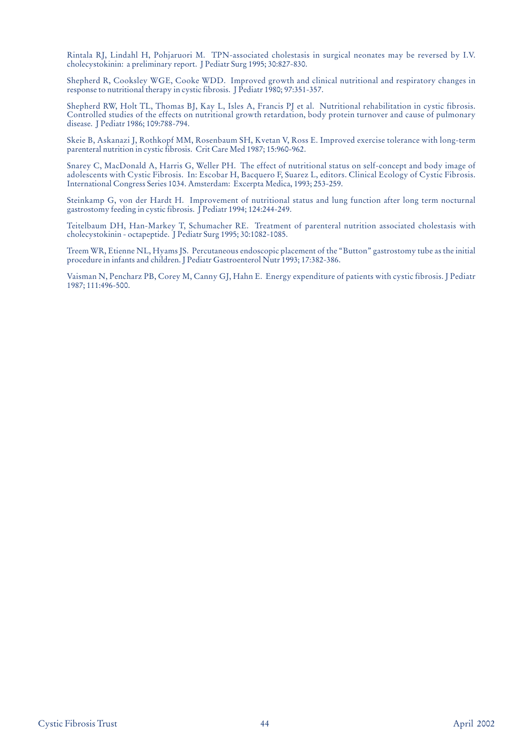Rintala RJ, Lindahl H, Pohjaruori M. TPN-associated cholestasis in surgical neonates may be reversed by I.V. cholecystokinin: a preliminary report. J Pediatr Surg 1995; 30:827-830.

Shepherd R, Cooksley WGE, Cooke WDD. Improved growth and clinical nutritional and respiratory changes in response to nutritional therapy in cystic fibrosis. J Pediatr 1980; 97:351-357.

Shepherd RW, Holt TL, Thomas BJ, Kay L, Isles A, Francis PJ et al. Nutritional rehabilitation in cystic fibrosis. Controlled studies of the effects on nutritional growth retardation, body protein turnover and cause of pulmonary disease. J Pediatr 1986; 109:788-794.

Skeie B, Askanazi J, Rothkopf MM, Rosenbaum SH, Kvetan V, Ross E. Improved exercise tolerance with long-term parenteral nutrition in cystic fibrosis. Crit Care Med 1987; 15:960-962.

Snarey C, MacDonald A, Harris G, Weller PH. The effect of nutritional status on self-concept and body image of adolescents with Cystic Fibrosis. In: Escobar H, Bacquero F, Suarez L, editors. Clinical Ecology of Cystic Fibrosis. International Congress Series 1034. Amsterdam: Excerpta Medica, 1993; 253-259.

Steinkamp G, von der Hardt H. Improvement of nutritional status and lung function after long term nocturnal gastrostomy feeding in cystic fibrosis. J Pediatr 1994; 124:244-249.

Teitelbaum DH, Han-Markey T, Schumacher RE. Treatment of parenteral nutrition associated cholestasis with cholecystokinin - octapeptide. J Pediatr Surg 1995; 30:1082-1085.

Treem WR, Etienne NL, Hyams JS. Percutaneous endoscopic placement of the "Button" gastrostomy tube as the initial procedure in infants and children. J Pediatr Gastroenterol Nutr 1993; 17:382-386.

Vaisman N, Pencharz PB, Corey M, Canny GJ, Hahn E. Energy expenditure of patients with cystic fibrosis. J Pediatr 1987; 111:496-500.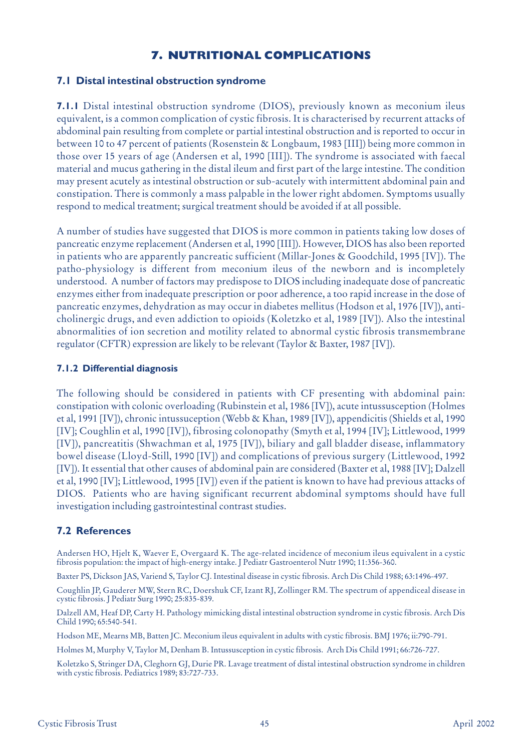## **7. NUTRITIONAL COMPLICATIONS**

## **7.1 Distal intestinal obstruction syndrome**

**7.1.1** Distal intestinal obstruction syndrome (DIOS), previously known as meconium ileus equivalent, is a common complication of cystic fibrosis. It is characterised by recurrent attacks of abdominal pain resulting from complete or partial intestinal obstruction and is reported to occur in between 10 to 47 percent of patients (Rosenstein & Longbaum, 1983 [III]) being more common in those over 15 years of age (Andersen et al, 1990 [III]). The syndrome is associated with faecal material and mucus gathering in the distal ileum and first part of the large intestine. The condition may present acutely as intestinal obstruction or sub-acutely with intermittent abdominal pain and constipation. There is commonly a mass palpable in the lower right abdomen. Symptoms usually respond to medical treatment; surgical treatment should be avoided if at all possible.

A number of studies have suggested that DIOS is more common in patients taking low doses of pancreatic enzyme replacement (Andersen et al, 1990 [III]). However, DIOS has also been reported in patients who are apparently pancreatic sufficient (Millar-Jones & Goodchild, 1995 [IV]). The patho-physiology is different from meconium ileus of the newborn and is incompletely understood. A number of factors may predispose to DIOS including inadequate dose of pancreatic enzymes either from inadequate prescription or poor adherence, a too rapid increase in the dose of pancreatic enzymes, dehydration as may occur in diabetes mellitus (Hodson et al, 1976 [IV]), anticholinergic drugs, and even addiction to opioids (Koletzko et al, 1989 [IV]). Also the intestinal abnormalities of ion secretion and motility related to abnormal cystic fibrosis transmembrane regulator (CFTR) expression are likely to be relevant (Taylor & Baxter, 1987 [IV]).

#### **7.1.2 Differential diagnosis**

The following should be considered in patients with CF presenting with abdominal pain: constipation with colonic overloading (Rubinstein et al, 1986 [IV]), acute intussusception (Holmes et al, 1991 [IV]), chronic intussuception (Webb & Khan, 1989 [IV]), appendicitis (Shields et al, 1990 [IV]; Coughlin et al, 1990 [IV]), fibrosing colonopathy (Smyth et al, 1994 [IV]; Littlewood, 1999 [IV]), pancreatitis (Shwachman et al, 1975 [IV]), biliary and gall bladder disease, inflammatory bowel disease (Lloyd-Still, 1990 [IV]) and complications of previous surgery (Littlewood, 1992 [IV]). It essential that other causes of abdominal pain are considered (Baxter et al, 1988 [IV]; Dalzell et al, 1990 [IV]; Littlewood, 1995 [IV]) even if the patient is known to have had previous attacks of DIOS. Patients who are having significant recurrent abdominal symptoms should have full investigation including gastrointestinal contrast studies.

## **7.2 References**

Andersen HO, Hjelt K, Waever E, Overgaard K. The age-related incidence of meconium ileus equivalent in a cystic fibrosis population: the impact of high-energy intake. J Pediatr Gastroenterol Nutr 1990; 11:356-360.

Baxter PS, Dickson JAS, Variend S, Taylor CJ. Intestinal disease in cystic fibrosis. Arch Dis Child 1988; 63:1496-497.

Coughlin JP, Gauderer MW, Stern RC, Doershuk CF, Izant RJ, Zollinger RM. The spectrum of appendiceal disease in cystic fibrosis. J Pediatr Surg 1990; 25:835-839.

Dalzell AM, Heaf DP, Carty H. Pathology mimicking distal intestinal obstruction syndrome in cystic fibrosis. Arch Dis Child 1990; 65:540-541.

Hodson ME, Mearns MB, Batten JC. Meconium ileus equivalent in adults with cystic fibrosis. BMJ 1976; ii:790-791.

Holmes M, Murphy V, Taylor M, Denham B. Intussusception in cystic fibrosis. Arch Dis Child 1991; 66:726-727.

Koletzko S, Stringer DA, Cleghorn GJ, Durie PR. Lavage treatment of distal intestinal obstruction syndrome in children with cystic fibrosis. Pediatrics 1989; 83:727-733.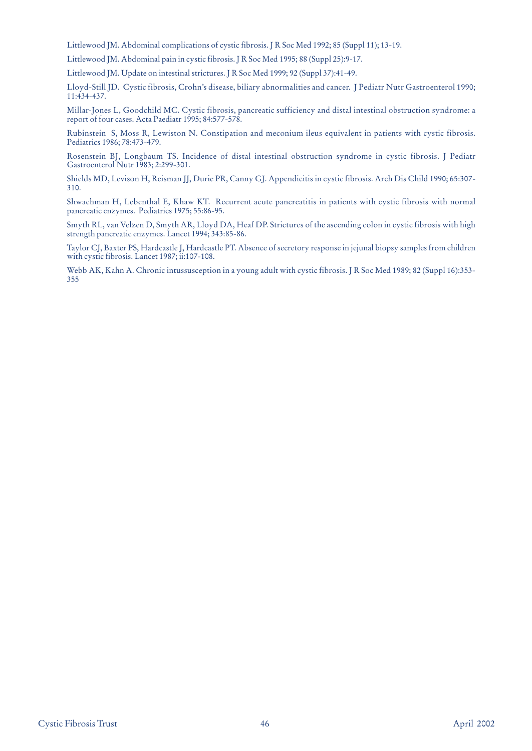Littlewood JM. Abdominal complications of cystic fibrosis. J R Soc Med 1992; 85 (Suppl 11); 13-19.

Littlewood JM. Abdominal pain in cystic fibrosis. J R Soc Med 1995; 88 (Suppl 25):9-17.

Littlewood JM. Update on intestinal strictures. J R Soc Med 1999; 92 (Suppl 37):41-49.

Lloyd-Still JD. Cystic fibrosis, Crohn's disease, biliary abnormalities and cancer. J Pediatr Nutr Gastroenterol 1990; 11:434-437.

Millar-Jones L, Goodchild MC. Cystic fibrosis, pancreatic sufficiency and distal intestinal obstruction syndrome: a report of four cases. Acta Paediatr 1995; 84:577-578.

Rubinstein S, Moss R, Lewiston N. Constipation and meconium ileus equivalent in patients with cystic fibrosis. Pediatrics 1986; 78:473-479.

Rosenstein BJ, Longbaum TS. Incidence of distal intestinal obstruction syndrome in cystic fibrosis. J Pediatr Gastroenterol Nutr 1983; 2:299-301.

Shields MD, Levison H, Reisman JJ, Durie PR, Canny GJ. Appendicitis in cystic fibrosis. Arch Dis Child 1990; 65:307- 310.

Shwachman H, Lebenthal E, Khaw KT. Recurrent acute pancreatitis in patients with cystic fibrosis with normal pancreatic enzymes. Pediatrics 1975; 55:86-95.

Smyth RL, van Velzen D, Smyth AR, Lloyd DA, Heaf DP. Strictures of the ascending colon in cystic fibrosis with high strength pancreatic enzymes. Lancet 1994; 343:85-86.

Taylor CJ, Baxter PS, Hardcastle J, Hardcastle PT. Absence of secretory response in jejunal biopsy samples from children with cystic fibrosis. Lancet 1987; ii:107-108.

Webb AK, Kahn A. Chronic intussusception in a young adult with cystic fibrosis. J R Soc Med 1989; 82 (Suppl 16):353- 355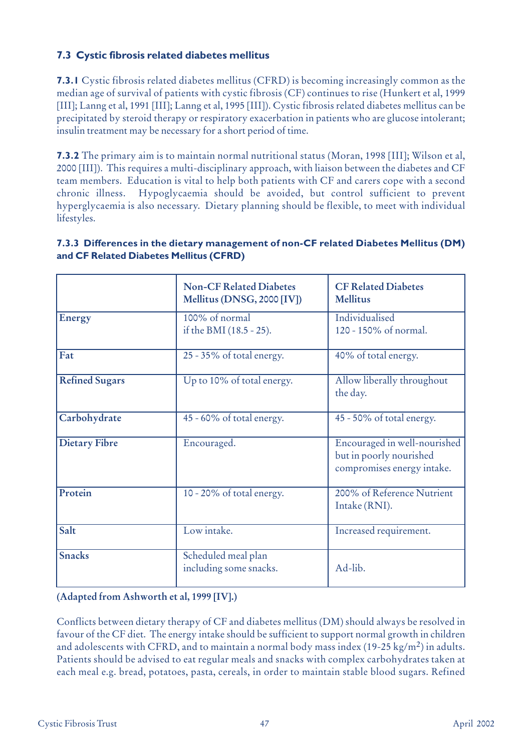## **7.3 Cystic fibrosis related diabetes mellitus**

**7.3.1** Cystic fibrosis related diabetes mellitus (CFRD) is becoming increasingly common as the median age of survival of patients with cystic fibrosis (CF) continues to rise (Hunkert et al, 1999 [III]; Lanng et al, 1991 [III]; Lanng et al, 1995 [III]). Cystic fibrosis related diabetes mellitus can be precipitated by steroid therapy or respiratory exacerbation in patients who are glucose intolerant; insulin treatment may be necessary for a short period of time.

**7.3.2** The primary aim is to maintain normal nutritional status (Moran, 1998 [III]; Wilson et al, 2000 [III]). This requires a multi-disciplinary approach, with liaison between the diabetes and CF team members. Education is vital to help both patients with CF and carers cope with a second chronic illness. Hypoglycaemia should be avoided, but control sufficient to prevent hyperglycaemia is also necessary. Dietary planning should be flexible, to meet with individual lifestyles.

|                       | <b>Non-CF Related Diabetes</b><br>Mellitus (DNSG, 2000 [IV]) | <b>CF Related Diabetes</b><br><b>Mellitus</b>                                         |
|-----------------------|--------------------------------------------------------------|---------------------------------------------------------------------------------------|
| <b>Energy</b>         | 100% of normal<br>if the BMI (18.5 - 25).                    | Individualised<br>120 - 150% of normal.                                               |
| Fat                   | 25 - 35% of total energy.                                    | 40% of total energy.                                                                  |
| <b>Refined Sugars</b> | Up to 10% of total energy.                                   | Allow liberally throughout<br>the day.                                                |
| Carbohydrate          | 45 - 60% of total energy.                                    | 45 - 50% of total energy.                                                             |
| <b>Dietary Fibre</b>  | Encouraged.                                                  | Encouraged in well-nourished<br>but in poorly nourished<br>compromises energy intake. |
| Protein               | 10 - 20% of total energy.                                    | 200% of Reference Nutrient<br>Intake (RNI).                                           |
| Salt                  | Low intake.                                                  | Increased requirement.                                                                |
| <b>Snacks</b>         | Scheduled meal plan<br>including some snacks.                | Ad-lib.                                                                               |

## **7.3.3 Differences in the dietary management of non-CF related Diabetes Mellitus (DM) and CF Related Diabetes Mellitus (CFRD)**

**(Adapted from Ashworth et al, 1999 [IV].)**

Conflicts between dietary therapy of CF and diabetes mellitus (DM) should always be resolved in favour of the CF diet. The energy intake should be sufficient to support normal growth in children and adolescents with CFRD, and to maintain a normal body mass index (19-25 kg/m<sup>2</sup>) in adults. Patients should be advised to eat regular meals and snacks with complex carbohydrates taken at each meal e.g. bread, potatoes, pasta, cereals, in order to maintain stable blood sugars. Refined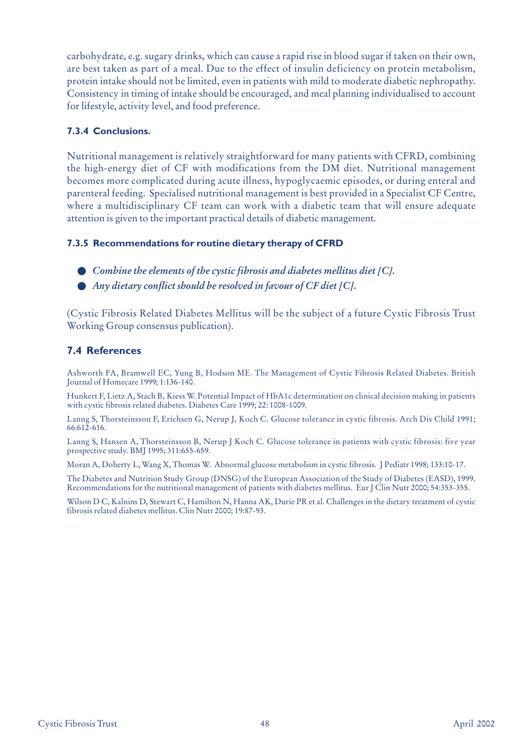carbohydrate, e.g. sugary drinks, which can cause a rapid rise in blood sugar if taken on their own, are best taken as part of a meal. Due to the effect of insulin deficiency on protein metabolism, protein intake should not be limited, even in patients with mild to moderate diabetic nephropathy. Consistency in timing of intake should be encouraged, and meal planning individualised to account for lifestyle, activity level, and food preference.

#### **7.3.4 Conclusions.**

Nutritional management is relatively straightforward for many patients with CFRD, combining the high-energy diet of CF with modifications from the DM diet. Nutritional management becomes more complicated during acute illness, hypoglycaemic episodes, or during enteral and parenteral feeding. Specialised nutritional management is best provided in a Specialist CF Centre, where a multidisciplinary CF team can work with a diabetic team that will ensure adequate attention is given to the important practical details of diabetic management.

#### **7.3.5 Recommendations for routine dietary therapy of CFRD**

- *Combine the elements of the cystic fibrosis and diabetes mellitus diet [C].*
- *Any dietary conflict should be resolved in favour of CF diet [C]*.

(Cystic Fibrosis Related Diabetes Mellitus will be the subject of a future Cystic Fibrosis Trust Working Group consensus publication).

## **7.4 References**

Ashworth FA, Bramwell EC, Yung B, Hodson ME. The Management of Cystic Fibrosis Related Diabetes. British Journal of Homecare 1999; 1:136-140.

Hunkert F, Lietz A, Stach B, Kiess W. Potential Impact of HbA1c determination on clinical decision making in patients with cystic fibrosis related diabetes. Diabetes Care 1999; 22: 1008-1009.

Lanng S, Thorsteinsson F, Erichsen G, Nerup J, Koch C. Glucose tolerance in cystic fibrosis. Arch Dis Child 1991; 66:612-616.

Lanng S, Hansen A, Thorsteinsson B, Nerup J Koch C. Glucose tolerance in patients with cystic fibrosis: five year prospective study. BMJ 1995; 311:655-659.

Moran A, Doherty L, Wang X, Thomas W. Abnormal glucose metabolism in cystic fibrosis. J Pediatr 1998; 133:10-17.

The Diabetes and Nutrition Study Group (DNSG) of the European Association of the Study of Diabetes (EASD), 1999. Recommendations for the nutritional management of patients with diabetes mellitus. Eur J Clin Nutr 2000; 54:353-355.

Wilson D C, Kalnins D, Stewart C, Hamilton N, Hanna AK, Durie PR et al. Challenges in the dietary treatment of cystic fibrosis related diabetes mellitus. Clin Nutr 2000; 19:87-93.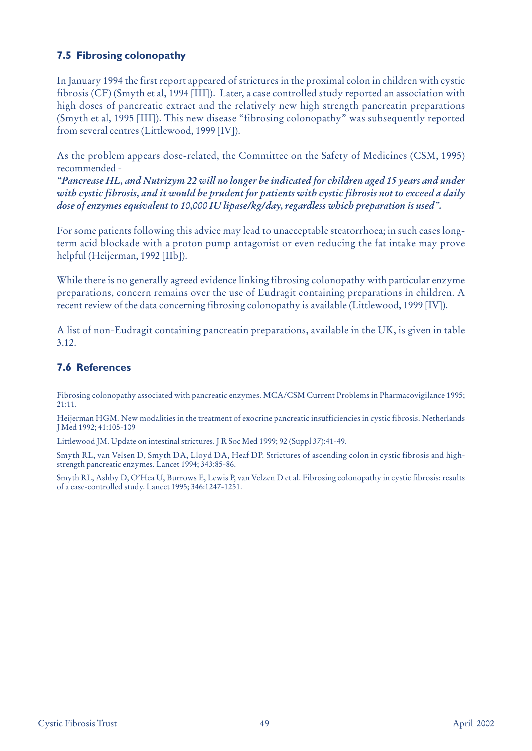## **7.5 Fibrosing colonopathy**

In January 1994 the first report appeared of strictures in the proximal colon in children with cystic fibrosis (CF) (Smyth et al, 1994 [III]). Later, a case controlled study reported an association with high doses of pancreatic extract and the relatively new high strength pancreatin preparations (Smyth et al, 1995 [III]). This new disease "fibrosing colonopathy" was subsequently reported from several centres (Littlewood, 1999 [IV]).

As the problem appears dose-related, the Committee on the Safety of Medicines (CSM, 1995) recommended -

*"Pancrease HL, and Nutrizym 22 will no longer be indicated for children aged 15 years and under with cystic fibrosis, and it would be prudent for patients with cystic fibrosis not to exceed a daily dose of enzymes equivalent to 10,000 IU lipase/kg/day, regardless which preparation is used".* 

For some patients following this advice may lead to unacceptable steatorrhoea; in such cases longterm acid blockade with a proton pump antagonist or even reducing the fat intake may prove helpful (Heijerman, 1992 [IIb]).

While there is no generally agreed evidence linking fibrosing colonopathy with particular enzyme preparations, concern remains over the use of Eudragit containing preparations in children. A recent review of the data concerning fibrosing colonopathy is available (Littlewood, 1999 [IV]).

A list of non-Eudragit containing pancreatin preparations, available in the UK, is given in table 3.12.

## **7.6 References**

Fibrosing colonopathy associated with pancreatic enzymes. MCA/CSM Current Problems in Pharmacovigilance 1995; 21:11.

Heijerman HGM. New modalities in the treatment of exocrine pancreatic insufficiencies in cystic fibrosis. Netherlands J Med 1992; 41:105-109

Littlewood JM. Update on intestinal strictures. J R Soc Med 1999; 92 (Suppl 37):41-49.

Smyth RL, van Velsen D, Smyth DA, Lloyd DA, Heaf DP. Strictures of ascending colon in cystic fibrosis and highstrength pancreatic enzymes. Lancet 1994; 343:85-86.

Smyth RL, Ashby D, O'Hea U, Burrows E, Lewis P, van Velzen D et al. Fibrosing colonopathy in cystic fibrosis: results of a case-controlled study. Lancet 1995; 346:1247-1251.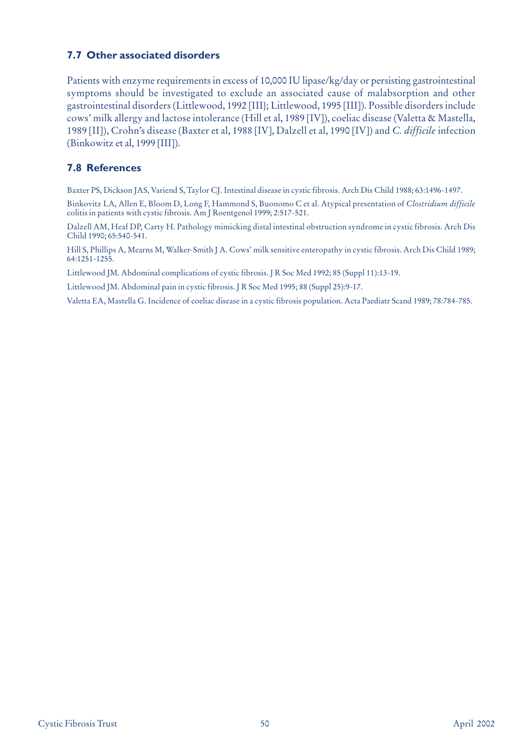## **7.7 Other associated disorders**

Patients with enzyme requirements in excess of 10,000 IU lipase/kg/day or persisting gastrointestinal symptoms should be investigated to exclude an associated cause of malabsorption and other gastrointestinal disorders (Littlewood, 1992 [III}; Littlewood, 1995 [III]). Possible disorders include cows' milk allergy and lactose intolerance (Hill et al, 1989 [IV]), coeliac disease (Valetta & Mastella, 1989 [II]), Crohn's disease (Baxter et al, 1988 [IV], Dalzell et al, 1990 [IV]) and *C. difficile* infection (Binkowitz et al, 1999 [III]).

## **7.8 References**

Baxter PS, Dickson JAS, Variend S, Taylor CJ. Intestinal disease in cystic fibrosis. Arch Dis Child 1988; 63:1496-1497.

Binkovitz LA, Allen E, Bloom D, Long F, Hammond S, Buonomo C et al. Atypical presentation of *Clostridium difficile* colitis in patients with cystic fibrosis. Am J Roentgenol 1999; 2:517-521.

Dalzell AM, Heaf DP, Carty H. Pathology mimicking distal intestinal obstruction syndrome in cystic fibrosis. Arch Dis Child 1990; 65:540-541.

Hill S, Phillips A, Mearns M, Walker-Smith J A. Cows' milk sensitive enteropathy in cystic fibrosis. Arch Dis Child 1989; 64:1251-1255.

Littlewood JM. Abdominal complications of cystic fibrosis. J R Soc Med 1992; 85 (Suppl 11):13-19.

Littlewood JM. Abdominal pain in cystic fibrosis. J R Soc Med 1995; 88 (Suppl 25):9-17.

Valetta EA, Mastella G. Incidence of coeliac disease in a cystic fibrosis population. Acta Paediatr Scand 1989; 78:784-785.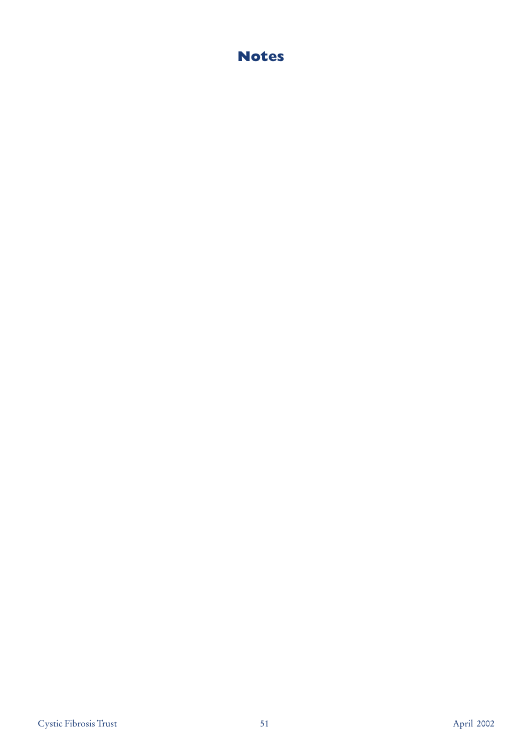# **Notes**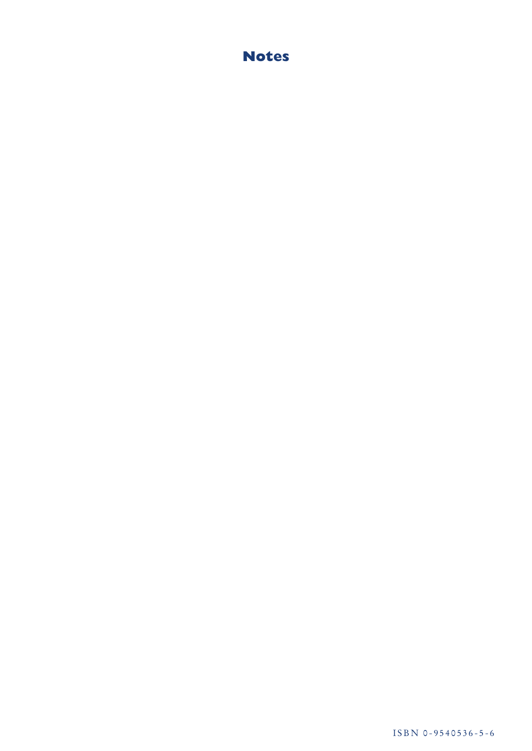# **Notes**